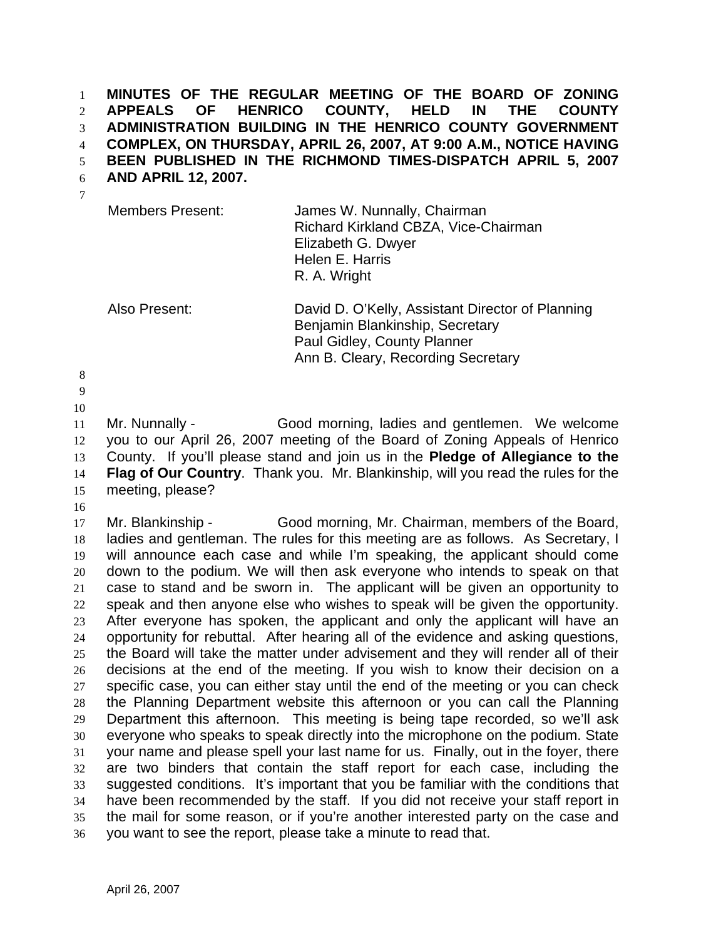**MINUTES OF THE REGULAR MEETING OF THE BOARD OF ZONING APPEALS OF HENRICO COUNTY, HELD IN THE COUNTY ADMINISTRATION BUILDING IN THE HENRICO COUNTY GOVERNMENT COMPLEX, ON THURSDAY, APRIL 26, 2007, AT 9:00 A.M., NOTICE HAVING BEEN PUBLISHED IN THE RICHMOND TIMES-DISPATCH APRIL 5, 2007**  1 2 3 4 5

**AND APRIL 12, 2007.**  6

| <b>Members Present:</b> | James W. Nunnally, Chairman<br>Richard Kirkland CBZA, Vice-Chairman<br>Elizabeth G. Dwyer<br>Helen E. Harris<br>R. A. Wright |
|-------------------------|------------------------------------------------------------------------------------------------------------------------------|
|                         |                                                                                                                              |

Also Present: David D. O'Kelly, Assistant Director of Planning Benjamin Blankinship, Secretary Paul Gidley, County Planner Ann B. Cleary, Recording Secretary

8

7

9

10

11 12 13 14 15 Mr. Nunnally - Good morning, ladies and gentlemen. We welcome you to our April 26, 2007 meeting of the Board of Zoning Appeals of Henrico County. If you'll please stand and join us in the **Pledge of Allegiance to the Flag of Our Country**. Thank you. Mr. Blankinship, will you read the rules for the meeting, please?

16

17 18 19 20 21 22 23 24 25 26 27 28 29 30 31 32 33 34 35 36 Mr. Blankinship - Good morning, Mr. Chairman, members of the Board, ladies and gentleman. The rules for this meeting are as follows. As Secretary, I will announce each case and while I'm speaking, the applicant should come down to the podium. We will then ask everyone who intends to speak on that case to stand and be sworn in. The applicant will be given an opportunity to speak and then anyone else who wishes to speak will be given the opportunity. After everyone has spoken, the applicant and only the applicant will have an opportunity for rebuttal. After hearing all of the evidence and asking questions, the Board will take the matter under advisement and they will render all of their decisions at the end of the meeting. If you wish to know their decision on a specific case, you can either stay until the end of the meeting or you can check the Planning Department website this afternoon or you can call the Planning Department this afternoon. This meeting is being tape recorded, so we'll ask everyone who speaks to speak directly into the microphone on the podium. State your name and please spell your last name for us. Finally, out in the foyer, there are two binders that contain the staff report for each case, including the suggested conditions. It's important that you be familiar with the conditions that have been recommended by the staff. If you did not receive your staff report in the mail for some reason, or if you're another interested party on the case and you want to see the report, please take a minute to read that.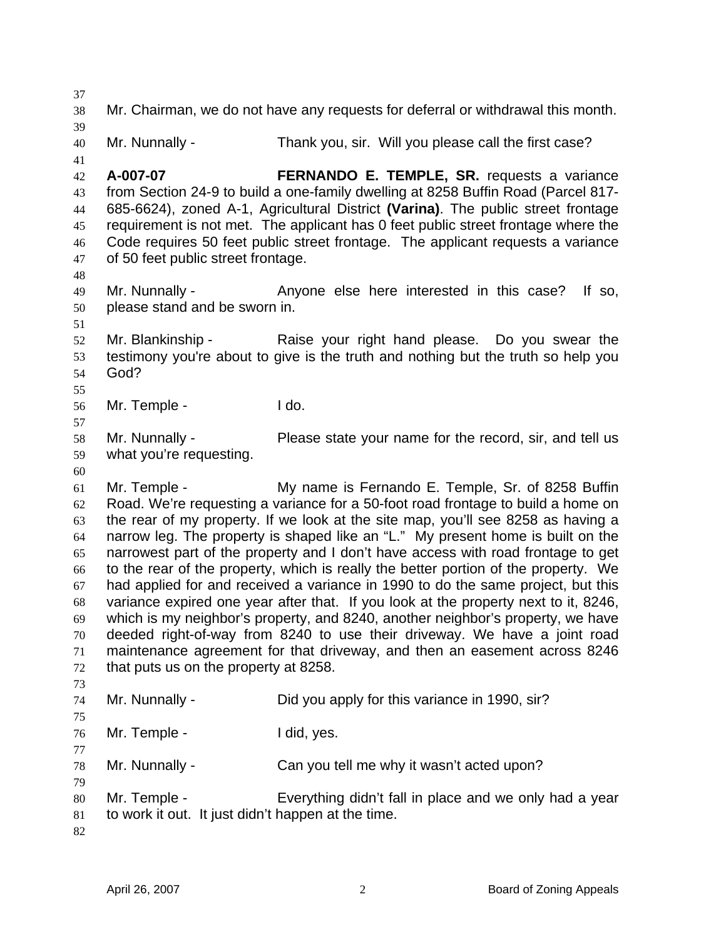37 38 39 40 41 42 43 44 45 46 47 48 49 50 51 52 53 54 55 56 57 58 59 60 61 62 63 64 65 66 67 68 69 70 71 72 73 74 75 76 77 78 79 80 81 82 Mr. Chairman, we do not have any requests for deferral or withdrawal this month. Mr. Nunnally - Thank you, sir. Will you please call the first case? **A-007-07 FERNANDO E. TEMPLE, SR.** requests a variance from Section 24-9 to build a one-family dwelling at 8258 Buffin Road (Parcel 817- 685-6624), zoned A-1, Agricultural District **(Varina)**. The public street frontage requirement is not met. The applicant has 0 feet public street frontage where the Code requires 50 feet public street frontage. The applicant requests a variance of 50 feet public street frontage. Mr. Nunnally - Anyone else here interested in this case? If so, please stand and be sworn in. Mr. Blankinship - The Raise your right hand please. Do you swear the testimony you're about to give is the truth and nothing but the truth so help you God? Mr. Temple - I do. Mr. Nunnally - Please state your name for the record, sir, and tell us what you're requesting. Mr. Temple - My name is Fernando E. Temple, Sr. of 8258 Buffin Road. We're requesting a variance for a 50-foot road frontage to build a home on the rear of my property. If we look at the site map, you'll see 8258 as having a narrow leg. The property is shaped like an "L." My present home is built on the narrowest part of the property and I don't have access with road frontage to get to the rear of the property, which is really the better portion of the property. We had applied for and received a variance in 1990 to do the same project, but this variance expired one year after that. If you look at the property next to it, 8246, which is my neighbor's property, and 8240, another neighbor's property, we have deeded right-of-way from 8240 to use their driveway. We have a joint road maintenance agreement for that driveway, and then an easement across 8246 that puts us on the property at 8258. Mr. Nunnally - Did you apply for this variance in 1990, sir? Mr. Temple - I did, yes. Mr. Nunnally - Can you tell me why it wasn't acted upon? Mr. Temple - Everything didn't fall in place and we only had a year to work it out. It just didn't happen at the time.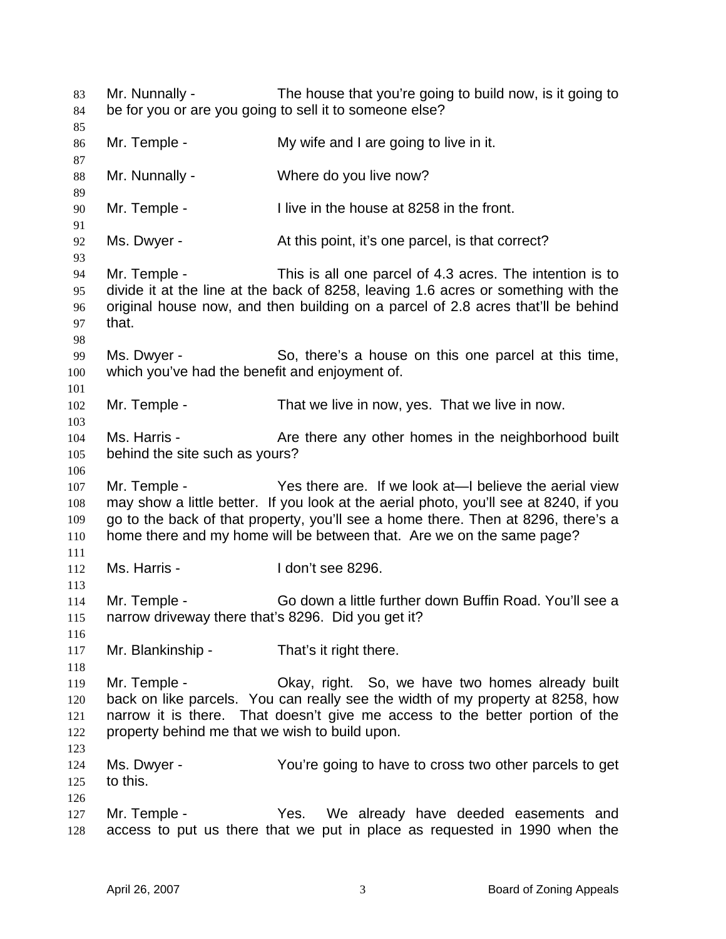Mr. Nunnally - The house that you're going to build now, is it going to be for you or are you going to sell it to someone else? 83 84 85 86 87 88 89 90 91 92 93 94 95 96 97 98 99 100 101 102 103 104 105 106 107 108 109 110 111 112 113 114 115 116 117 118 119 120 121 122 123 124 125 126 127 128 Mr. Temple - My wife and I are going to live in it. Mr. Nunnally - Where do you live now? Mr. Temple - I live in the house at 8258 in the front. Ms. Dwyer - At this point, it's one parcel, is that correct? Mr. Temple - This is all one parcel of 4.3 acres. The intention is to divide it at the line at the back of 8258, leaving 1.6 acres or something with the original house now, and then building on a parcel of 2.8 acres that'll be behind that. Ms. Dwyer - So, there's a house on this one parcel at this time, which you've had the benefit and enjoyment of. Mr. Temple - That we live in now, yes. That we live in now. Ms. Harris - The Are there any other homes in the neighborhood built behind the site such as yours? Mr. Temple - Yes there are. If we look at—I believe the aerial view may show a little better. If you look at the aerial photo, you'll see at 8240, if you go to the back of that property, you'll see a home there. Then at 8296, there's a home there and my home will be between that. Are we on the same page? Ms. Harris - I don't see 8296. Mr. Temple - Go down a little further down Buffin Road. You'll see a narrow driveway there that's 8296. Did you get it? Mr. Blankinship - That's it right there. Mr. Temple - Ckay, right. So, we have two homes already built back on like parcels. You can really see the width of my property at 8258, how narrow it is there. That doesn't give me access to the better portion of the property behind me that we wish to build upon. Ms. Dwyer - The You're going to have to cross two other parcels to get to this. Mr. Temple - The Yes. We already have deeded easements and access to put us there that we put in place as requested in 1990 when the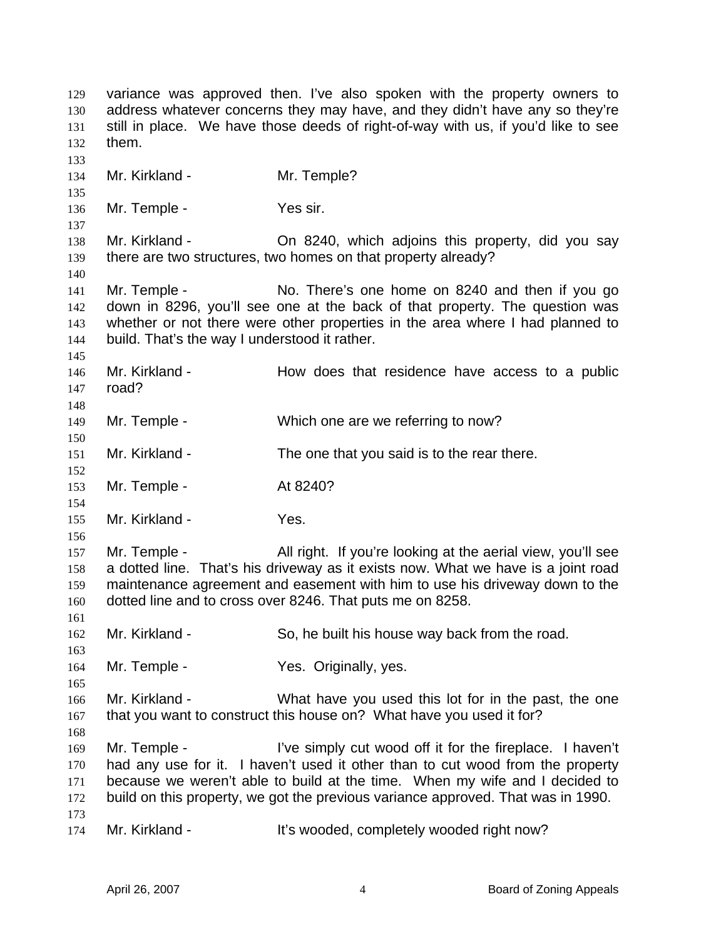variance was approved then. I've also spoken with the property owners to address whatever concerns they may have, and they didn't have any so they're still in place. We have those deeds of right-of-way with us, if you'd like to see them. 129 130 131 132 133 134 135 136 137 138 139 140 141 142 143 144 145 146 147 148 149 150 151 152 153 154 155 156 157 158 159 160 161 162 163 164 165 166 167 168 169 170 171 172 173 174 Mr. Kirkland - Mr. Temple? Mr. Temple - Yes sir. Mr. Kirkland - Ch 8240, which adjoins this property, did you say there are two structures, two homes on that property already? Mr. Temple - No. There's one home on 8240 and then if you go down in 8296, you'll see one at the back of that property. The question was whether or not there were other properties in the area where I had planned to build. That's the way I understood it rather. Mr. Kirkland - The How does that residence have access to a public road? Mr. Temple - Which one are we referring to now? Mr. Kirkland - The one that you said is to the rear there. Mr. Temple - **At 8240?** Mr. Kirkland - Yes. Mr. Temple - All right. If you're looking at the aerial view, you'll see a dotted line. That's his driveway as it exists now. What we have is a joint road maintenance agreement and easement with him to use his driveway down to the dotted line and to cross over 8246. That puts me on 8258. Mr. Kirkland - So, he built his house way back from the road. Mr. Temple - The Yes. Originally, yes. Mr. Kirkland - What have you used this lot for in the past, the one that you want to construct this house on? What have you used it for? Mr. Temple - I've simply cut wood off it for the fireplace. I haven't had any use for it. I haven't used it other than to cut wood from the property because we weren't able to build at the time. When my wife and I decided to build on this property, we got the previous variance approved. That was in 1990. Mr. Kirkland - It's wooded, completely wooded right now?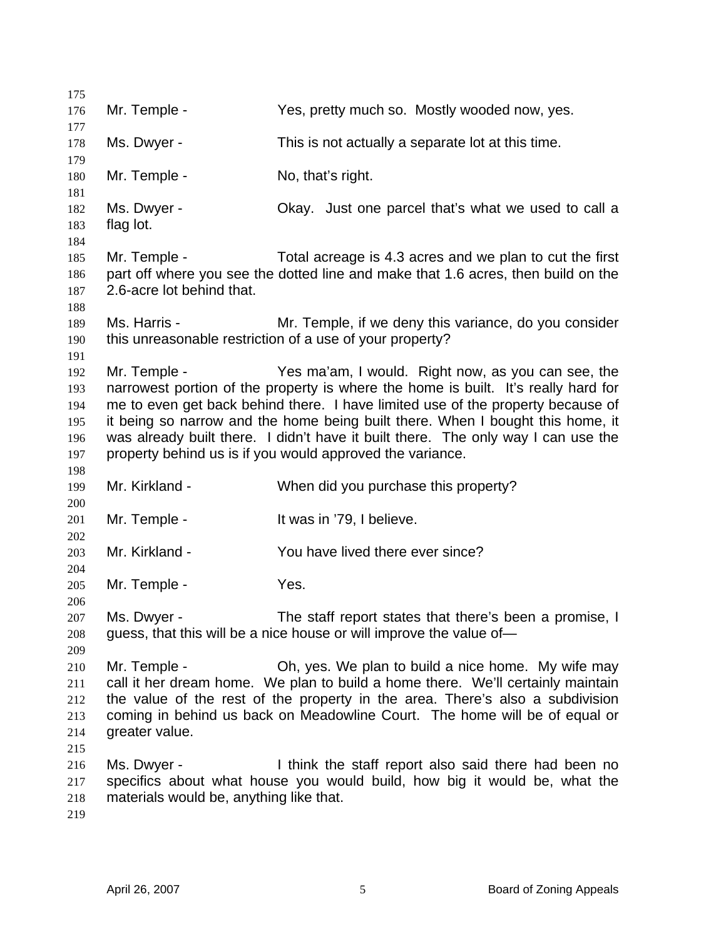175 176 177 178 179 180 181 182 183 184 185 186 187 188 189 190 191 192 193 194 195 196 197 198 199 200 201 202 203 204 205 206 207 208 209 210 211 212 213 214 215 216 217 218 219 Mr. Temple - The Yes, pretty much so. Mostly wooded now, yes. Ms. Dwyer - This is not actually a separate lot at this time. Mr. Temple - No, that's right. Ms. Dwyer - Ckay. Just one parcel that's what we used to call a flag lot. Mr. Temple - Total acreage is 4.3 acres and we plan to cut the first part off where you see the dotted line and make that 1.6 acres, then build on the 2.6-acre lot behind that. Ms. Harris - The Mr. Temple, if we deny this variance, do you consider this unreasonable restriction of a use of your property? Mr. Temple - Yes ma'am, I would. Right now, as you can see, the narrowest portion of the property is where the home is built. It's really hard for me to even get back behind there. I have limited use of the property because of it being so narrow and the home being built there. When I bought this home, it was already built there. I didn't have it built there. The only way I can use the property behind us is if you would approved the variance. Mr. Kirkland - When did you purchase this property? Mr. Temple - The Music Contract Hotel is a large Mr. Temple -Mr. Kirkland - The You have lived there ever since? Mr. Temple - The Yes. Ms. Dwyer - The staff report states that there's been a promise, I guess, that this will be a nice house or will improve the value of— Mr. Temple - Oh, yes. We plan to build a nice home. My wife may call it her dream home. We plan to build a home there. We'll certainly maintain the value of the rest of the property in the area. There's also a subdivision coming in behind us back on Meadowline Court. The home will be of equal or greater value. Ms. Dwyer - I think the staff report also said there had been no specifics about what house you would build, how big it would be, what the materials would be, anything like that.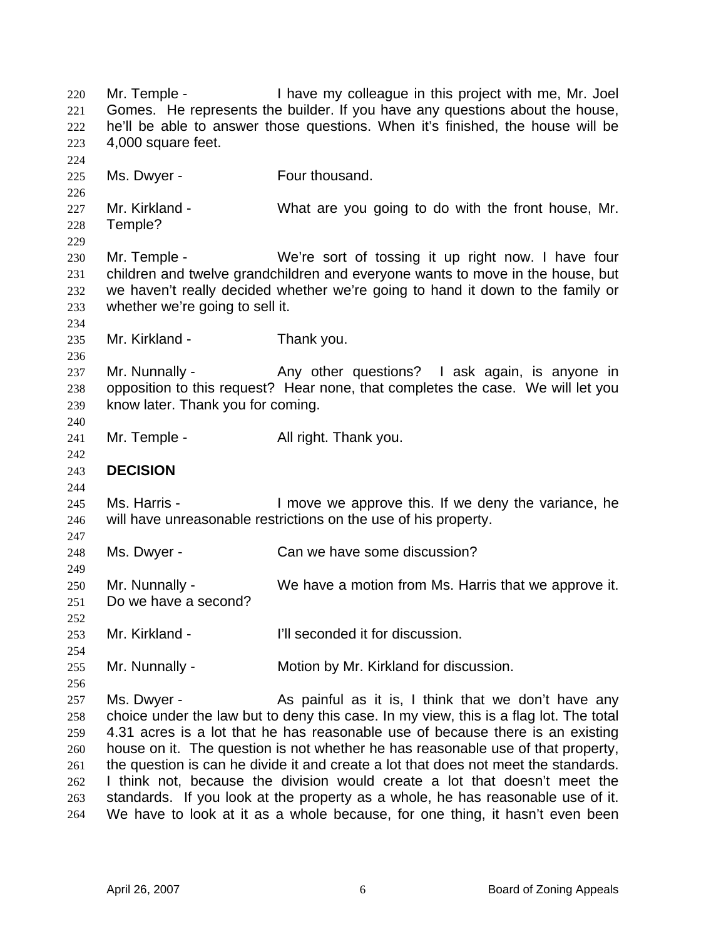Mr. Temple - I have my colleague in this project with me, Mr. Joel Gomes. He represents the builder. If you have any questions about the house, he'll be able to answer those questions. When it's finished, the house will be 4,000 square feet. 220 221 222 223 224 225 226 227 228 229 230 231 232 233 234 235 236 237 238 239 240 241 242 243 244 245 246 247 248 249 250 251 252 253 254 255 256 257 258 259 260 261 262 263 264 Ms. Dwyer - Four thousand. Mr. Kirkland - What are you going to do with the front house, Mr. Temple? Mr. Temple - We're sort of tossing it up right now. I have four children and twelve grandchildren and everyone wants to move in the house, but we haven't really decided whether we're going to hand it down to the family or whether we're going to sell it. Mr. Kirkland - Thank you. Mr. Nunnally - Any other questions? I ask again, is anyone in opposition to this request? Hear none, that completes the case. We will let you know later. Thank you for coming. Mr. Temple - All right. Thank you. **DECISION**  Ms. Harris - I move we approve this. If we deny the variance, he will have unreasonable restrictions on the use of his property. Ms. Dwyer - Can we have some discussion? Mr. Nunnally - We have a motion from Ms. Harris that we approve it. Do we have a second? Mr. Kirkland - The Tell seconded it for discussion. Mr. Nunnally - **Motion by Mr. Kirkland for discussion.** Ms. Dwyer - The State As painful as it is, I think that we don't have any choice under the law but to deny this case. In my view, this is a flag lot. The total 4.31 acres is a lot that he has reasonable use of because there is an existing house on it. The question is not whether he has reasonable use of that property, the question is can he divide it and create a lot that does not meet the standards. I think not, because the division would create a lot that doesn't meet the standards. If you look at the property as a whole, he has reasonable use of it. We have to look at it as a whole because, for one thing, it hasn't even been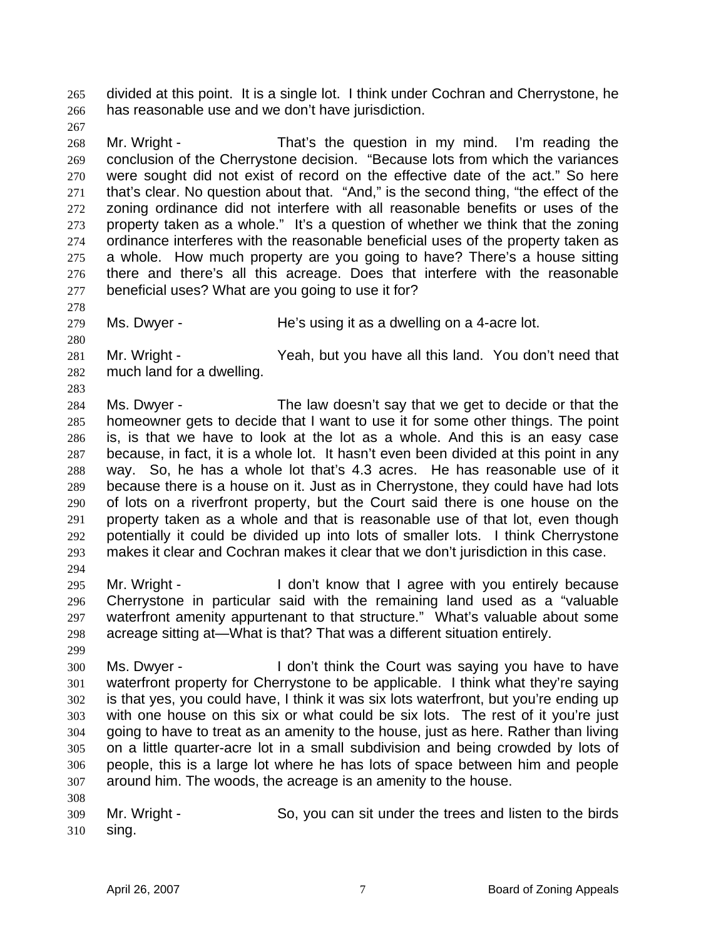divided at this point. It is a single lot. I think under Cochran and Cherrystone, he has reasonable use and we don't have jurisdiction. 265 266

267

278

280

283

268 269 270 271 272 273 274 275 276 277 Mr. Wright - That's the question in my mind. I'm reading the conclusion of the Cherrystone decision. "Because lots from which the variances were sought did not exist of record on the effective date of the act." So here that's clear. No question about that. "And," is the second thing, "the effect of the zoning ordinance did not interfere with all reasonable benefits or uses of the property taken as a whole." It's a question of whether we think that the zoning ordinance interferes with the reasonable beneficial uses of the property taken as a whole. How much property are you going to have? There's a house sitting there and there's all this acreage. Does that interfere with the reasonable beneficial uses? What are you going to use it for?

279 Ms. Dwyer - The's using it as a dwelling on a 4-acre lot.

281 282 Mr. Wright - Yeah, but you have all this land. You don't need that much land for a dwelling.

284 285 286 287 288 289 290 291 292 293 294 Ms. Dwyer - The law doesn't say that we get to decide or that the homeowner gets to decide that I want to use it for some other things. The point is, is that we have to look at the lot as a whole. And this is an easy case because, in fact, it is a whole lot. It hasn't even been divided at this point in any way. So, he has a whole lot that's 4.3 acres. He has reasonable use of it because there is a house on it. Just as in Cherrystone, they could have had lots of lots on a riverfront property, but the Court said there is one house on the property taken as a whole and that is reasonable use of that lot, even though potentially it could be divided up into lots of smaller lots. I think Cherrystone makes it clear and Cochran makes it clear that we don't jurisdiction in this case.

295 296 297 298 Mr. Wright - I don't know that I agree with you entirely because Cherrystone in particular said with the remaining land used as a "valuable waterfront amenity appurtenant to that structure." What's valuable about some acreage sitting at—What is that? That was a different situation entirely.

299

308

300 301 302 303 304 305 306 307 Ms. Dwyer - I don't think the Court was saying you have to have waterfront property for Cherrystone to be applicable. I think what they're saying is that yes, you could have, I think it was six lots waterfront, but you're ending up with one house on this six or what could be six lots. The rest of it you're just going to have to treat as an amenity to the house, just as here. Rather than living on a little quarter-acre lot in a small subdivision and being crowded by lots of people, this is a large lot where he has lots of space between him and people around him. The woods, the acreage is an amenity to the house.

309 310 Mr. Wright - So, you can sit under the trees and listen to the birds sing.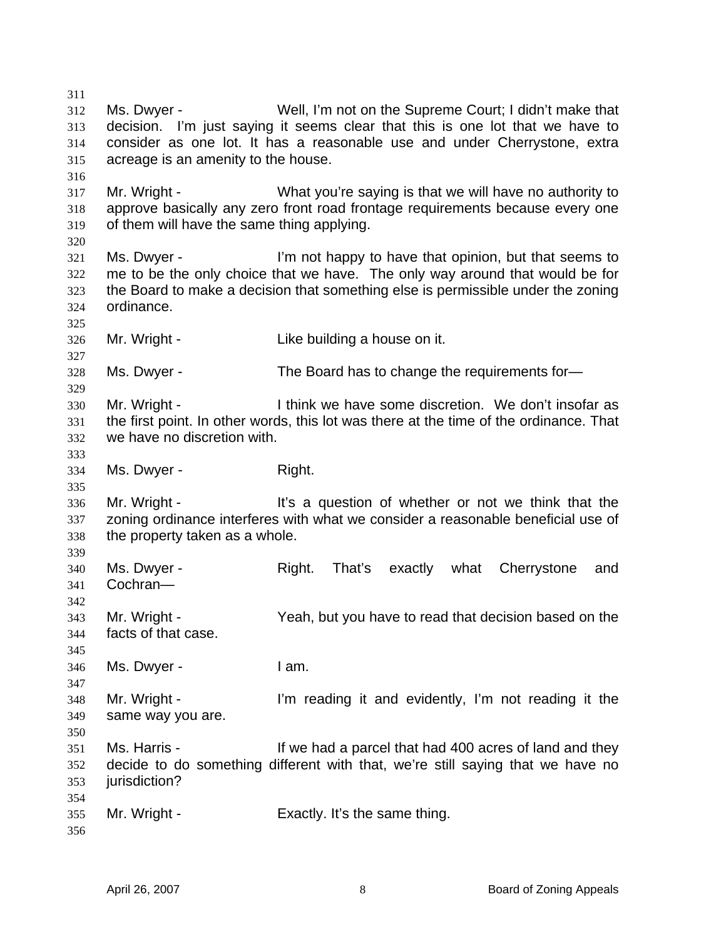312 313 314 315 316 317 318 319 320 321 322 323 324 325 326 327 328 329 330 331 332 333 334 335 336 337 338 339 340 341 342 343 344 345 346 347 348 349 350 351 352 353 354 355 356 Ms. Dwyer - Well, I'm not on the Supreme Court; I didn't make that decision. I'm just saying it seems clear that this is one lot that we have to consider as one lot. It has a reasonable use and under Cherrystone, extra acreage is an amenity to the house. Mr. Wright - What you're saying is that we will have no authority to approve basically any zero front road frontage requirements because every one of them will have the same thing applying. Ms. Dwyer - The I'm not happy to have that opinion, but that seems to me to be the only choice that we have. The only way around that would be for the Board to make a decision that something else is permissible under the zoning ordinance. Mr. Wright - The Like building a house on it. Ms. Dwyer - The Board has to change the requirements for— Mr. Wright - I think we have some discretion. We don't insofar as the first point. In other words, this lot was there at the time of the ordinance. That we have no discretion with. Ms. Dwyer - Right. Mr. Wright - It's a question of whether or not we think that the zoning ordinance interferes with what we consider a reasonable beneficial use of the property taken as a whole. Ms. Dwyer - Right. That's exactly what Cherrystone and Cochran— Mr. Wright - The Yeah, but you have to read that decision based on the facts of that case. Ms. Dwyer - I am. Mr. Wright - I'm reading it and evidently, I'm not reading it the same way you are. Ms. Harris - If we had a parcel that had 400 acres of land and they decide to do something different with that, we're still saying that we have no jurisdiction? Mr. Wright - Exactly. It's the same thing.

311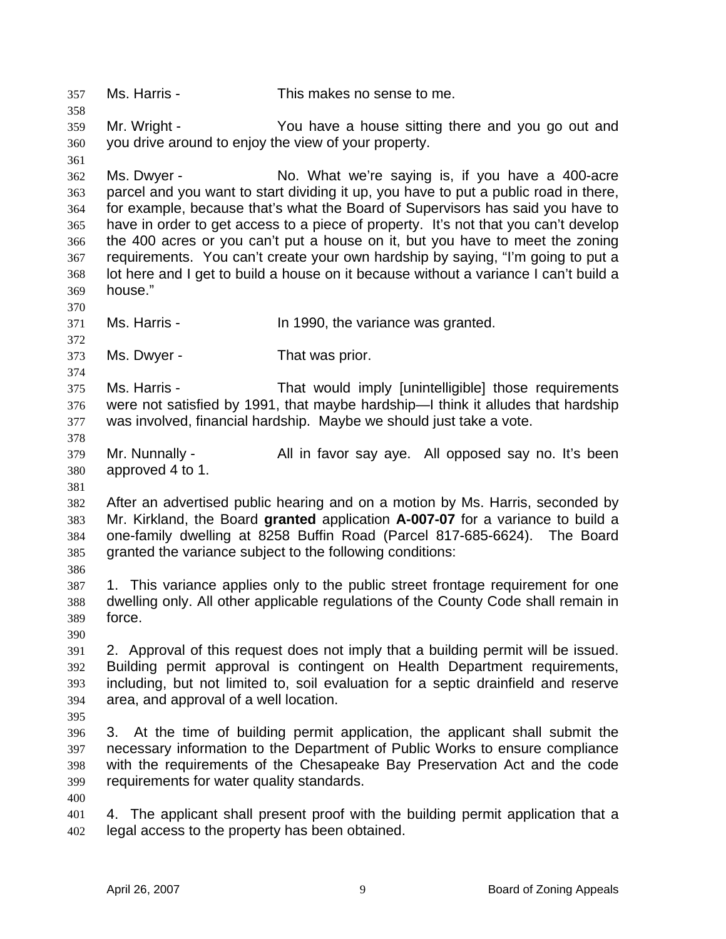357 Ms. Harris - This makes no sense to me. 358 359 360 361 362 363 364 365 366 367 368 369 370 371 372 373 374 375 376 377 378 379 380 381 382 383 384 385 386 387 388 389 390 391 392 393 394 395 396 397 398 399 400 401 402 Mr. Wright - The You have a house sitting there and you go out and you drive around to enjoy the view of your property. Ms. Dwyer - No. What we're saying is, if you have a 400-acre parcel and you want to start dividing it up, you have to put a public road in there, for example, because that's what the Board of Supervisors has said you have to have in order to get access to a piece of property. It's not that you can't develop the 400 acres or you can't put a house on it, but you have to meet the zoning requirements. You can't create your own hardship by saying, "I'm going to put a lot here and I get to build a house on it because without a variance I can't build a house." Ms. Harris - The Mullet 1990, the variance was granted. Ms. Dwyer - That was prior. Ms. Harris - That would imply [unintelligible] those requirements were not satisfied by 1991, that maybe hardship—I think it alludes that hardship was involved, financial hardship. Maybe we should just take a vote. Mr. Nunnally - All in favor say aye. All opposed say no. It's been approved 4 to 1. After an advertised public hearing and on a motion by Ms. Harris, seconded by Mr. Kirkland, the Board **granted** application **A-007-07** for a variance to build a one-family dwelling at 8258 Buffin Road (Parcel 817-685-6624). The Board granted the variance subject to the following conditions: 1. This variance applies only to the public street frontage requirement for one dwelling only. All other applicable regulations of the County Code shall remain in force. 2. Approval of this request does not imply that a building permit will be issued. Building permit approval is contingent on Health Department requirements, including, but not limited to, soil evaluation for a septic drainfield and reserve area, and approval of a well location. 3. At the time of building permit application, the applicant shall submit the necessary information to the Department of Public Works to ensure compliance with the requirements of the Chesapeake Bay Preservation Act and the code requirements for water quality standards. 4. The applicant shall present proof with the building permit application that a legal access to the property has been obtained.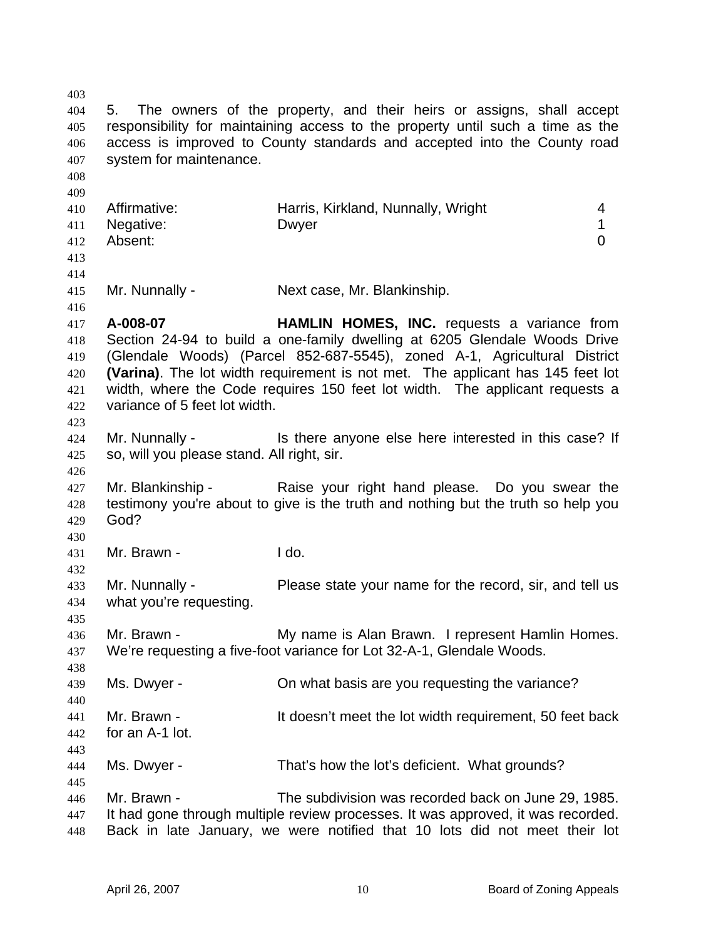403 404 405 406 407 408 409 410 411 412 413 414 415 416 417 418 419 420 421 422 423 424 425 426 427 428 429 430 431 432 433 434 435 436 437 438 439 440 441 442 443 444 445 446 447 448 5. The owners of the property, and their heirs or assigns, shall accept responsibility for maintaining access to the property until such a time as the access is improved to County standards and accepted into the County road system for maintenance. Affirmative: **Harris, Kirkland, Nunnally, Wright** 4 Negative: Dwyer 2008 Dwyer 2009 1 Absent: 0 Mr. Nunnally - Next case, Mr. Blankinship. **A-008-07 HAMLIN HOMES, INC.** requests a variance from Section 24-94 to build a one-family dwelling at 6205 Glendale Woods Drive (Glendale Woods) (Parcel 852-687-5545), zoned A-1, Agricultural District **(Varina)**. The lot width requirement is not met. The applicant has 145 feet lot width, where the Code requires 150 feet lot width. The applicant requests a variance of 5 feet lot width. Mr. Nunnally - This there anyone else here interested in this case? If so, will you please stand. All right, sir. Mr. Blankinship - Raise your right hand please. Do you swear the testimony you're about to give is the truth and nothing but the truth so help you God? Mr. Brawn - I do. Mr. Nunnally - Please state your name for the record, sir, and tell us what you're requesting. Mr. Brawn - The My name is Alan Brawn. I represent Hamlin Homes. We're requesting a five-foot variance for Lot 32-A-1, Glendale Woods. Ms. Dwyer - Chi what basis are you requesting the variance? Mr. Brawn - The Multi doesn't meet the lot width requirement, 50 feet back for an A-1 lot. Ms. Dwyer - That's how the lot's deficient. What grounds? Mr. Brawn - The subdivision was recorded back on June 29, 1985. It had gone through multiple review processes. It was approved, it was recorded. Back in late January, we were notified that 10 lots did not meet their lot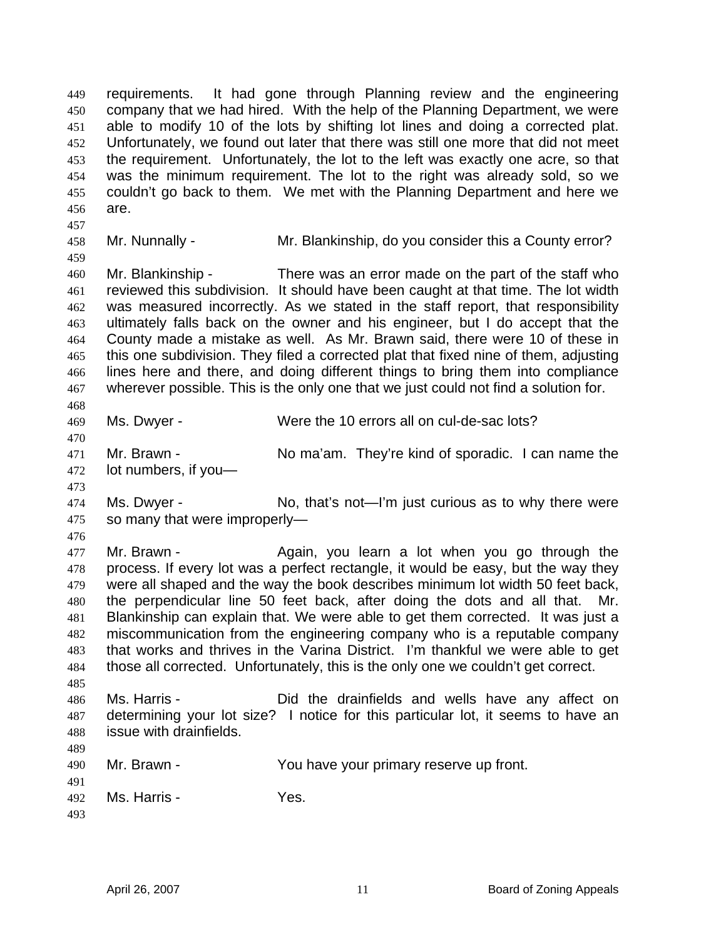requirements. It had gone through Planning review and the engineering company that we had hired. With the help of the Planning Department, we were able to modify 10 of the lots by shifting lot lines and doing a corrected plat. Unfortunately, we found out later that there was still one more that did not meet the requirement. Unfortunately, the lot to the left was exactly one acre, so that was the minimum requirement. The lot to the right was already sold, so we couldn't go back to them. We met with the Planning Department and here we are. 449 450 451 452 453 454 455 456

457 458

459

Mr. Nunnally - Mr. Blankinship, do you consider this a County error?

460 461 462 463 464 465 466 467 468 Mr. Blankinship - There was an error made on the part of the staff who reviewed this subdivision. It should have been caught at that time. The lot width was measured incorrectly. As we stated in the staff report, that responsibility ultimately falls back on the owner and his engineer, but I do accept that the County made a mistake as well. As Mr. Brawn said, there were 10 of these in this one subdivision. They filed a corrected plat that fixed nine of them, adjusting lines here and there, and doing different things to bring them into compliance wherever possible. This is the only one that we just could not find a solution for.

469

Ms. Dwyer - Were the 10 errors all on cul-de-sac lots?

471 472 473 Mr. Brawn - No ma'am. They're kind of sporadic. I can name the lot numbers, if you—

474 475 Ms. Dwyer - No, that's not—I'm just curious as to why there were so many that were improperly—

476

489

470

477 478 479 480 481 482 483 484 485 Mr. Brawn - The Again, you learn a lot when you go through the process. If every lot was a perfect rectangle, it would be easy, but the way they were all shaped and the way the book describes minimum lot width 50 feet back, the perpendicular line 50 feet back, after doing the dots and all that. Mr. Blankinship can explain that. We were able to get them corrected. It was just a miscommunication from the engineering company who is a reputable company that works and thrives in the Varina District. I'm thankful we were able to get those all corrected. Unfortunately, this is the only one we couldn't get correct.

486 487 488 Ms. Harris - Did the drainfields and wells have any affect on determining your lot size? I notice for this particular lot, it seems to have an issue with drainfields.

| 490<br>491 | Mr. Brawn -             | You have your primary reserve up front. |
|------------|-------------------------|-----------------------------------------|
|            | 492 <b>Ms. Harris</b> - | Yes.                                    |
| 493        |                         |                                         |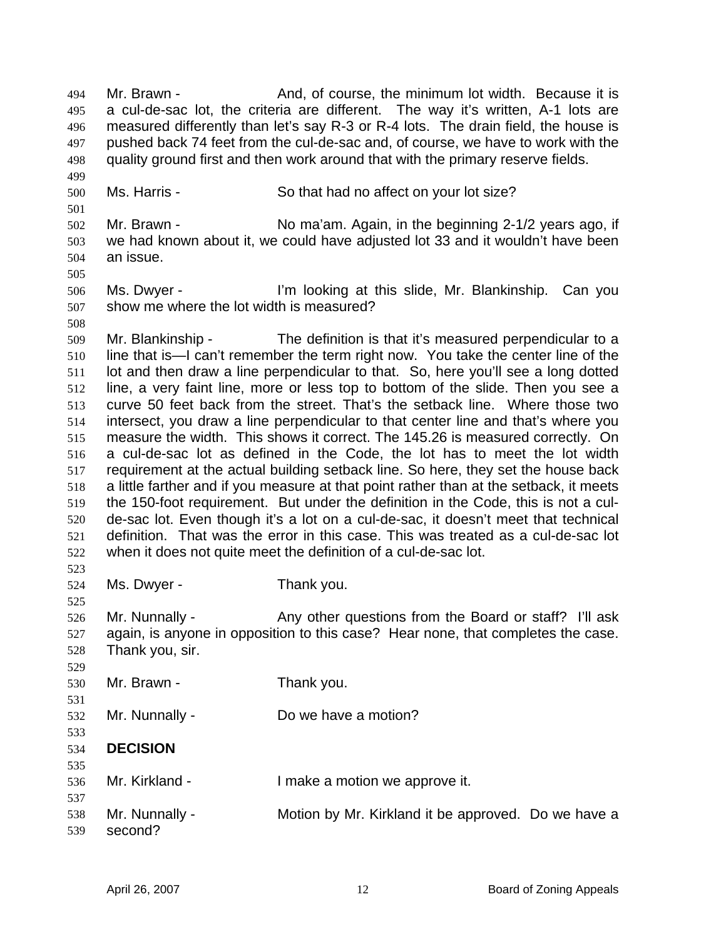Mr. Brawn - And, of course, the minimum lot width. Because it is a cul-de-sac lot, the criteria are different. The way it's written, A-1 lots are measured differently than let's say R-3 or R-4 lots. The drain field, the house is pushed back 74 feet from the cul-de-sac and, of course, we have to work with the quality ground first and then work around that with the primary reserve fields. 494 495 496 497 498 499

500 Ms. Harris - So that had no affect on your lot size?

502 503 504 Mr. Brawn - No ma'am. Again, in the beginning 2-1/2 years ago, if we had known about it, we could have adjusted lot 33 and it wouldn't have been an issue.

506 507 Ms. Dwyer - I'm looking at this slide, Mr. Blankinship. Can you show me where the lot width is measured?

509 510 511 512 513 514 515 516 517 518 519 520 521 522 Mr. Blankinship - The definition is that it's measured perpendicular to a line that is—I can't remember the term right now. You take the center line of the lot and then draw a line perpendicular to that. So, here you'll see a long dotted line, a very faint line, more or less top to bottom of the slide. Then you see a curve 50 feet back from the street. That's the setback line. Where those two intersect, you draw a line perpendicular to that center line and that's where you measure the width. This shows it correct. The 145.26 is measured correctly. On a cul-de-sac lot as defined in the Code, the lot has to meet the lot width requirement at the actual building setback line. So here, they set the house back a little farther and if you measure at that point rather than at the setback, it meets the 150-foot requirement. But under the definition in the Code, this is not a culde-sac lot. Even though it's a lot on a cul-de-sac, it doesn't meet that technical definition. That was the error in this case. This was treated as a cul-de-sac lot when it does not quite meet the definition of a cul-de-sac lot.

524 Ms. Dwyer - Thank you.

526 527 528 Mr. Nunnally - Any other questions from the Board or staff? I'll ask again, is anyone in opposition to this case? Hear none, that completes the case. Thank you, sir.

- 529 530 Mr. Brawn - Thank you.
- 532 Mr. Nunnally - Do we have a motion?
- 533 534 **DECISION**

501

505

508

523

525

531

535

- 536 537 Mr. Kirkland - The Music Limake a motion we approve it.
- 538 539 Mr. Nunnally - **Motion by Mr. Kirkland it be approved.** Do we have a second?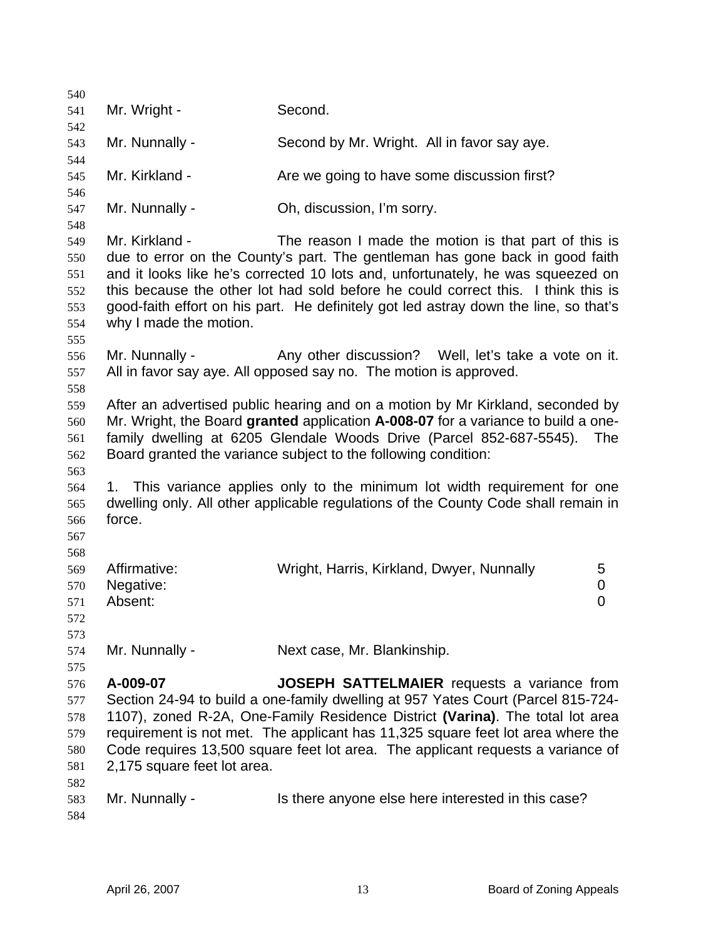| 540                             |                                      |                                                                                                                                                                                                                                                                                                                     |
|---------------------------------|--------------------------------------|---------------------------------------------------------------------------------------------------------------------------------------------------------------------------------------------------------------------------------------------------------------------------------------------------------------------|
| 541                             | Mr. Wright -                         | Second.                                                                                                                                                                                                                                                                                                             |
| 542                             |                                      |                                                                                                                                                                                                                                                                                                                     |
| 543                             | Mr. Nunnally -                       | Second by Mr. Wright. All in favor say aye.                                                                                                                                                                                                                                                                         |
| 544<br>545                      | Mr. Kirkland -                       | Are we going to have some discussion first?                                                                                                                                                                                                                                                                         |
| 546                             |                                      |                                                                                                                                                                                                                                                                                                                     |
| 547                             | Mr. Nunnally -                       | Oh, discussion, I'm sorry.                                                                                                                                                                                                                                                                                          |
| 548<br>549                      | Mr. Kirkland -                       | The reason I made the motion is that part of this is                                                                                                                                                                                                                                                                |
| 550<br>551<br>552               |                                      | due to error on the County's part. The gentleman has gone back in good faith<br>and it looks like he's corrected 10 lots and, unfortunately, he was squeezed on<br>this because the other lot had sold before he could correct this. I think this is                                                                |
| 553<br>554<br>555               | why I made the motion.               | good-faith effort on his part. He definitely got led astray down the line, so that's                                                                                                                                                                                                                                |
| 556<br>557<br>558               | Mr. Nunnally -                       | Any other discussion? Well, let's take a vote on it.<br>All in favor say aye. All opposed say no. The motion is approved.                                                                                                                                                                                           |
| 559<br>560<br>561<br>562<br>563 |                                      | After an advertised public hearing and on a motion by Mr Kirkland, seconded by<br>Mr. Wright, the Board granted application A-008-07 for a variance to build a one-<br>family dwelling at 6205 Glendale Woods Drive (Parcel 852-687-5545).<br>The<br>Board granted the variance subject to the following condition: |
| 564<br>565<br>566<br>567<br>568 | force.                               | 1. This variance applies only to the minimum lot width requirement for one<br>dwelling only. All other applicable regulations of the County Code shall remain in                                                                                                                                                    |
| 569<br>570<br>571<br>572        | Affirmative:<br>Negative:<br>Absent: | Wright, Harris, Kirkland, Dwyer, Nunnally<br>5<br>$\pmb{0}$<br>$\mathbf 0$                                                                                                                                                                                                                                          |
| 573<br>574                      | Mr. Nunnally -                       | Next case, Mr. Blankinship.                                                                                                                                                                                                                                                                                         |
| 575                             |                                      |                                                                                                                                                                                                                                                                                                                     |
| 576<br>577                      | A-009-07                             | <b>JOSEPH SATTELMAIER</b> requests a variance from<br>Section 24-94 to build a one-family dwelling at 957 Yates Court (Parcel 815-724-                                                                                                                                                                              |
| 578                             |                                      | 1107), zoned R-2A, One-Family Residence District (Varina). The total lot area                                                                                                                                                                                                                                       |
| 579                             |                                      | requirement is not met. The applicant has 11,325 square feet lot area where the                                                                                                                                                                                                                                     |
| 580<br>581                      | 2,175 square feet lot area.          | Code requires 13,500 square feet lot area. The applicant requests a variance of                                                                                                                                                                                                                                     |
| 582                             |                                      |                                                                                                                                                                                                                                                                                                                     |
| 583<br>584                      | Mr. Nunnally -                       | Is there anyone else here interested in this case?                                                                                                                                                                                                                                                                  |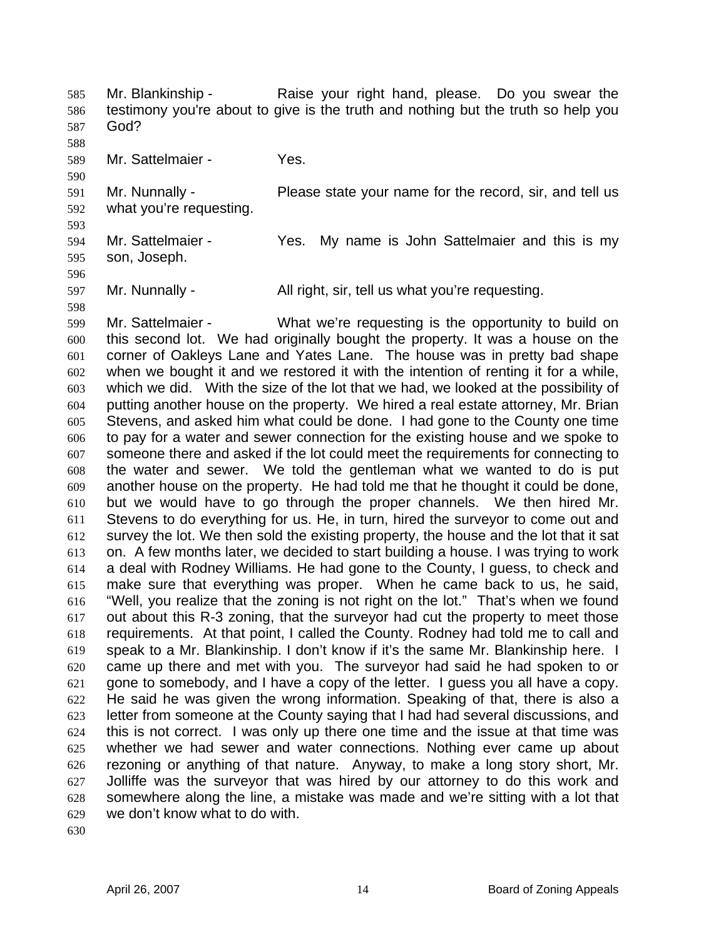Mr. Blankinship - Raise your right hand, please. Do you swear the testimony you're about to give is the truth and nothing but the truth so help you God? 585 586 587 588 589 590 591 592 593 594 Mr. Sattelmaier - Yes. Mr. Nunnally - Please state your name for the record, sir, and tell us what you're requesting. Mr. Sattelmaier - Yes. My name is John Sattelmaier and this is my

596 597 Mr. Nunnally - All right, sir, tell us what you're requesting.

598 599 600 601 602 603 604 605 606 607 608 609 610 611 612 613 614 615 616 617 618 619 620 621 622 623 624 625 626 627 628 629 Mr. Sattelmaier - What we're requesting is the opportunity to build on this second lot. We had originally bought the property. It was a house on the corner of Oakleys Lane and Yates Lane. The house was in pretty bad shape when we bought it and we restored it with the intention of renting it for a while, which we did. With the size of the lot that we had, we looked at the possibility of putting another house on the property. We hired a real estate attorney, Mr. Brian Stevens, and asked him what could be done. I had gone to the County one time to pay for a water and sewer connection for the existing house and we spoke to someone there and asked if the lot could meet the requirements for connecting to the water and sewer. We told the gentleman what we wanted to do is put another house on the property. He had told me that he thought it could be done, but we would have to go through the proper channels. We then hired Mr. Stevens to do everything for us. He, in turn, hired the surveyor to come out and survey the lot. We then sold the existing property, the house and the lot that it sat on. A few months later, we decided to start building a house. I was trying to work a deal with Rodney Williams. He had gone to the County, I guess, to check and make sure that everything was proper. When he came back to us, he said, "Well, you realize that the zoning is not right on the lot." That's when we found out about this R-3 zoning, that the surveyor had cut the property to meet those requirements. At that point, I called the County. Rodney had told me to call and speak to a Mr. Blankinship. I don't know if it's the same Mr. Blankinship here. I came up there and met with you. The surveyor had said he had spoken to or gone to somebody, and I have a copy of the letter. I guess you all have a copy. He said he was given the wrong information. Speaking of that, there is also a letter from someone at the County saying that I had had several discussions, and this is not correct. I was only up there one time and the issue at that time was whether we had sewer and water connections. Nothing ever came up about rezoning or anything of that nature. Anyway, to make a long story short, Mr. Jolliffe was the surveyor that was hired by our attorney to do this work and somewhere along the line, a mistake was made and we're sitting with a lot that we don't know what to do with.

630

595

son, Joseph.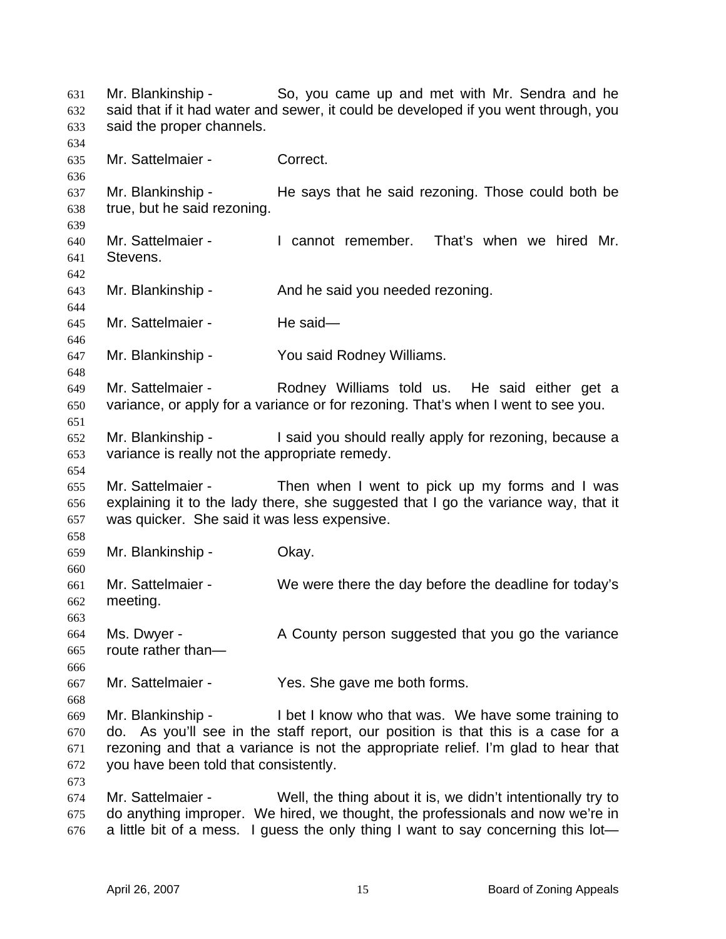Mr. Blankinship - So, you came up and met with Mr. Sendra and he said that if it had water and sewer, it could be developed if you went through, you said the proper channels. 631 632 633 634 635 636 637 638 639 640 641 642 643 644 645 646 647 648 649 650 651 652 653 654 655 656 657 658 659 660 661 662 663 664 665 666 667 668 669 670 671 672 673 674 675 676 Mr. Sattelmaier - Correct. Mr. Blankinship - He says that he said rezoning. Those could both be true, but he said rezoning. Mr. Sattelmaier - I cannot remember. That's when we hired Mr. **Stevens** Mr. Blankinship - The And he said you needed rezoning. Mr. Sattelmaier - He said— Mr. Blankinship - You said Rodney Williams. Mr. Sattelmaier - The Rodney Williams told us. He said either get a variance, or apply for a variance or for rezoning. That's when I went to see you. Mr. Blankinship - The said you should really apply for rezoning, because a variance is really not the appropriate remedy. Mr. Sattelmaier - Then when I went to pick up my forms and I was explaining it to the lady there, she suggested that I go the variance way, that it was quicker. She said it was less expensive. Mr. Blankinship - Okay. Mr. Sattelmaier - We were there the day before the deadline for today's meeting. Ms. Dwyer - A County person suggested that you go the variance route rather than— Mr. Sattelmaier - Yes. She gave me both forms. Mr. Blankinship - I bet I know who that was. We have some training to do. As you'll see in the staff report, our position is that this is a case for a rezoning and that a variance is not the appropriate relief. I'm glad to hear that you have been told that consistently. Mr. Sattelmaier - Well, the thing about it is, we didn't intentionally try to do anything improper. We hired, we thought, the professionals and now we're in a little bit of a mess. I guess the only thing I want to say concerning this lot—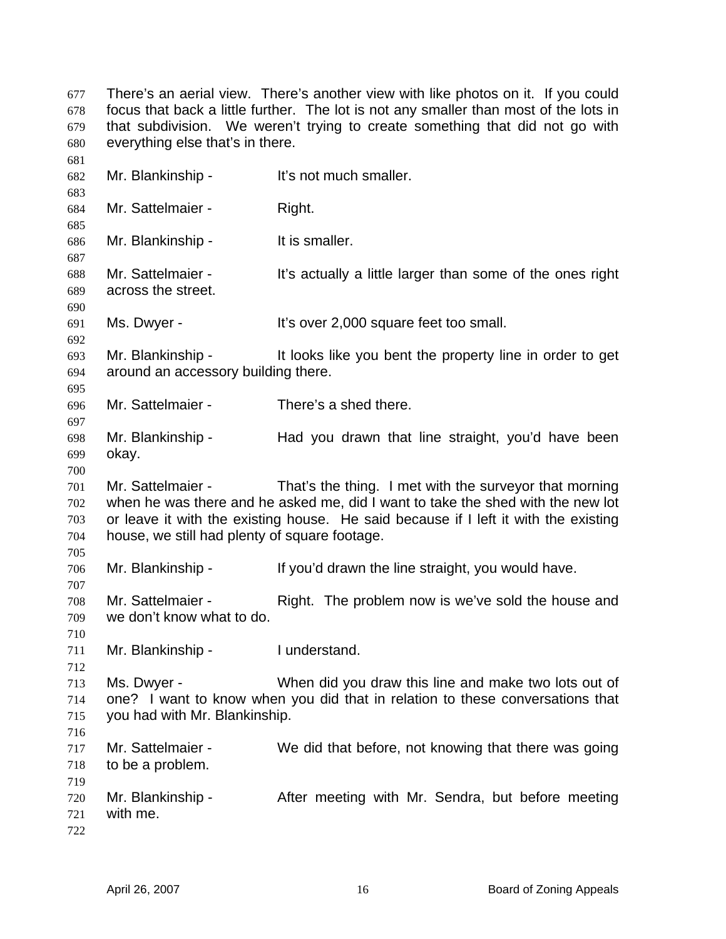There's an aerial view. There's another view with like photos on it. If you could focus that back a little further. The lot is not any smaller than most of the lots in that subdivision. We weren't trying to create something that did not go with everything else that's in there. 677 678 679 680 681

682 683 684 685 686 687 688 689 690 691 692 693 694 695 696 697 698 699 700 701 702 703 704 705 706 707 708 709 710 711 712 713 714 715 716 717 718 719 720 721 722 Mr. Blankinship - It's not much smaller. Mr. Sattelmaier - Right. Mr. Blankinship - It is smaller. Mr. Sattelmaier - It's actually a little larger than some of the ones right across the street. Ms. Dwyer - It's over 2,000 square feet too small. Mr. Blankinship - It looks like you bent the property line in order to get around an accessory building there. Mr. Sattelmaier - There's a shed there. Mr. Blankinship - Thad you drawn that line straight, you'd have been okay. Mr. Sattelmaier - That's the thing. I met with the surveyor that morning when he was there and he asked me, did I want to take the shed with the new lot or leave it with the existing house. He said because if I left it with the existing house, we still had plenty of square footage. Mr. Blankinship - If you'd drawn the line straight, you would have. Mr. Sattelmaier - Right. The problem now is we've sold the house and we don't know what to do. Mr. Blankinship - I understand. Ms. Dwyer - When did you draw this line and make two lots out of one? I want to know when you did that in relation to these conversations that you had with Mr. Blankinship. Mr. Sattelmaier - We did that before, not knowing that there was going to be a problem. Mr. Blankinship - After meeting with Mr. Sendra, but before meeting with me.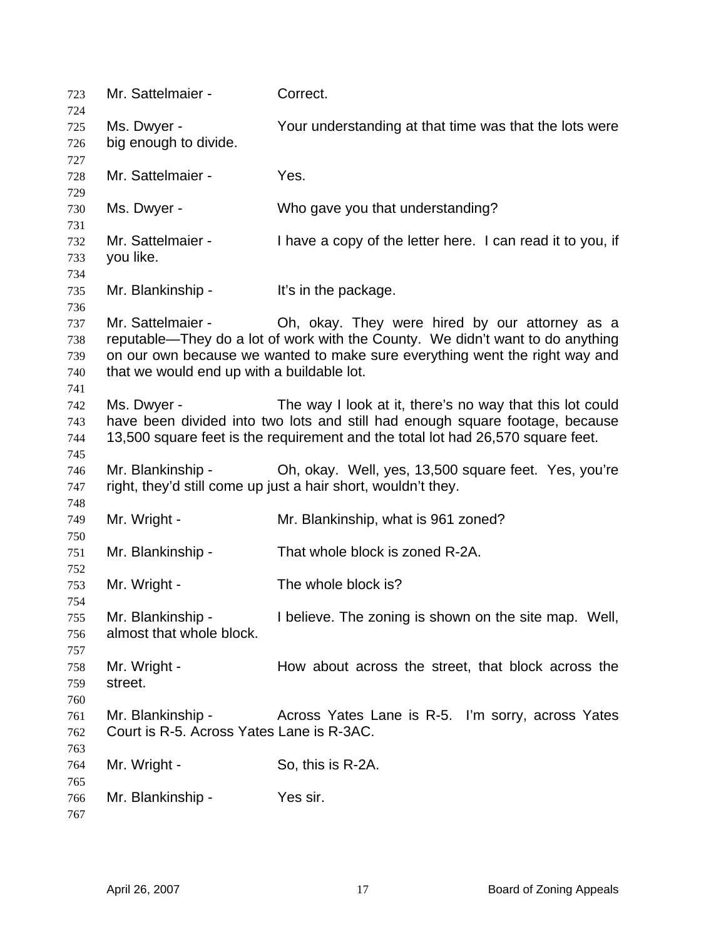| 723<br>724 | Mr. Sattelmaier -                          | Correct.                                                                        |
|------------|--------------------------------------------|---------------------------------------------------------------------------------|
| 725        | Ms. Dwyer -                                | Your understanding at that time was that the lots were                          |
| 726        | big enough to divide.                      |                                                                                 |
| 727        |                                            |                                                                                 |
| 728        | Mr. Sattelmaier -                          | Yes.                                                                            |
| 729        |                                            |                                                                                 |
| 730        | Ms. Dwyer -                                | Who gave you that understanding?                                                |
| 731        |                                            |                                                                                 |
| 732        | Mr. Sattelmaier -                          | I have a copy of the letter here. I can read it to you, if                      |
| 733        | you like.                                  |                                                                                 |
| 734        |                                            |                                                                                 |
| 735        | Mr. Blankinship -                          | It's in the package.                                                            |
| 736        |                                            |                                                                                 |
| 737        | Mr. Sattelmaier -                          | Oh, okay. They were hired by our attorney as a                                  |
| 738        |                                            | reputable—They do a lot of work with the County. We didn't want to do anything  |
| 739        |                                            | on our own because we wanted to make sure everything went the right way and     |
| 740        | that we would end up with a buildable lot. |                                                                                 |
| 741        |                                            |                                                                                 |
| 742        | Ms. Dwyer -                                | The way I look at it, there's no way that this lot could                        |
| 743        |                                            | have been divided into two lots and still had enough square footage, because    |
| 744        |                                            | 13,500 square feet is the requirement and the total lot had 26,570 square feet. |
| 745        |                                            |                                                                                 |
| 746        | Mr. Blankinship -                          | Oh, okay. Well, yes, 13,500 square feet. Yes, you're                            |
| 747        |                                            | right, they'd still come up just a hair short, wouldn't they.                   |
| 748        |                                            |                                                                                 |
| 749        | Mr. Wright -                               | Mr. Blankinship, what is 961 zoned?                                             |
| 750<br>751 | Mr. Blankinship -                          | That whole block is zoned R-2A.                                                 |
| 752        |                                            |                                                                                 |
| 753        | Mr. Wright -                               | The whole block is?                                                             |
| 754        |                                            |                                                                                 |
| 755        | Mr. Blankinship -                          | I believe. The zoning is shown on the site map. Well,                           |
| 756        | almost that whole block.                   |                                                                                 |
| 757        |                                            |                                                                                 |
| 758        | Mr. Wright -                               | How about across the street, that block across the                              |
| 759        | street.                                    |                                                                                 |
| 760        |                                            |                                                                                 |
| 761        | Mr. Blankinship -                          | Across Yates Lane is R-5. I'm sorry, across Yates                               |
| 762        | Court is R-5. Across Yates Lane is R-3AC.  |                                                                                 |
| 763        |                                            |                                                                                 |
| 764        | Mr. Wright -                               | So, this is R-2A.                                                               |
| 765        |                                            |                                                                                 |
| 766        | Mr. Blankinship -                          | Yes sir.                                                                        |
| 767        |                                            |                                                                                 |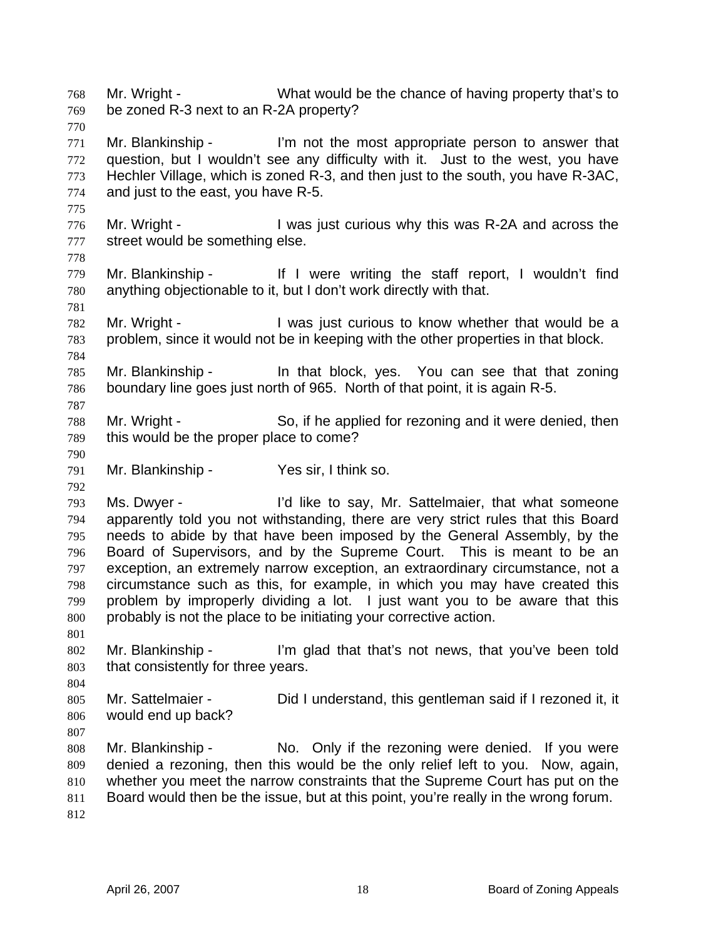Mr. Wright - What would be the chance of having property that's to be zoned R-3 next to an R-2A property? 768 769 770 771 772 773 774 775 776 777 778 779 780 781 782 783 784 785 786 787 788 789 790 791 792 793 794 795 796 797 798 799 800 801 802 803 804 805 806 807 808 809 810 811 812 Mr. Blankinship - I'm not the most appropriate person to answer that question, but I wouldn't see any difficulty with it. Just to the west, you have Hechler Village, which is zoned R-3, and then just to the south, you have R-3AC, and just to the east, you have R-5. Mr. Wright - I was just curious why this was R-2A and across the street would be something else. Mr. Blankinship - If I were writing the staff report, I wouldn't find anything objectionable to it, but I don't work directly with that. Mr. Wright - The Musicust curious to know whether that would be a problem, since it would not be in keeping with the other properties in that block. Mr. Blankinship - In that block, yes. You can see that that zoning boundary line goes just north of 965. North of that point, it is again R-5. Mr. Wright - So, if he applied for rezoning and it were denied, then this would be the proper place to come? Mr. Blankinship - Yes sir, I think so. Ms. Dwyer - I'd like to say, Mr. Sattelmaier, that what someone apparently told you not withstanding, there are very strict rules that this Board needs to abide by that have been imposed by the General Assembly, by the Board of Supervisors, and by the Supreme Court. This is meant to be an exception, an extremely narrow exception, an extraordinary circumstance, not a circumstance such as this, for example, in which you may have created this problem by improperly dividing a lot. I just want you to be aware that this probably is not the place to be initiating your corrective action. Mr. Blankinship - I'm glad that that's not news, that you've been told that consistently for three years. Mr. Sattelmaier - Did I understand, this gentleman said if I rezoned it, it would end up back? Mr. Blankinship - No. Only if the rezoning were denied. If you were denied a rezoning, then this would be the only relief left to you. Now, again, whether you meet the narrow constraints that the Supreme Court has put on the Board would then be the issue, but at this point, you're really in the wrong forum.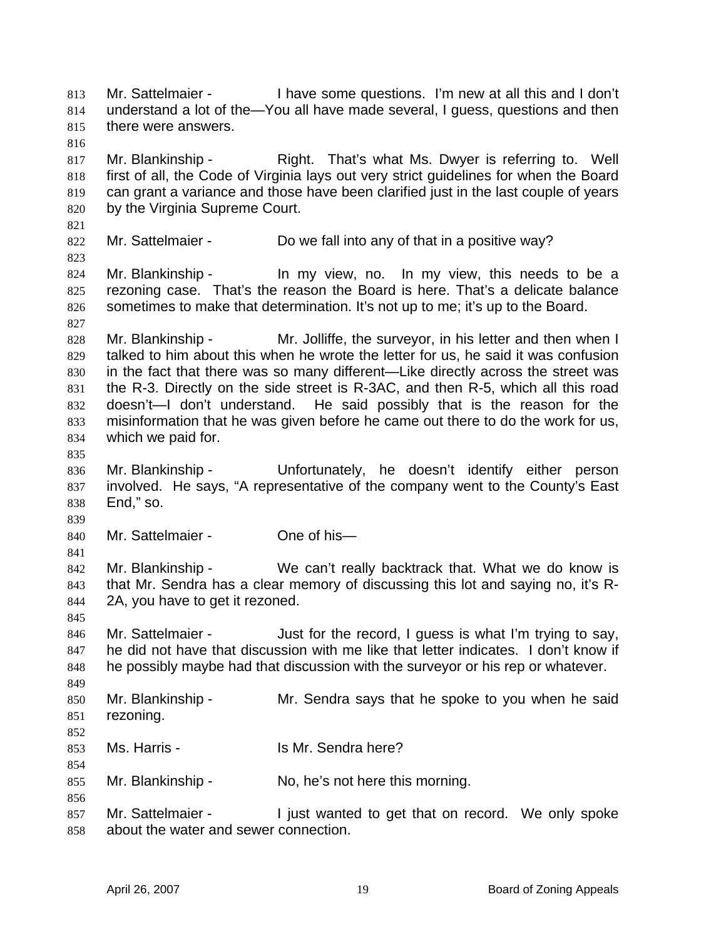Mr. Sattelmaier - I have some questions. I'm new at all this and I don't understand a lot of the—You all have made several, I guess, questions and then there were answers. 813 814 815 816 817 818 819 820 821 822 823 824 825 826 827 828 829 830 831 832 833 834 835 836 837 838 839 840 841 842 843 844 845 846 847 848 849 850 851 852 853 854 855 856 857 858 Mr. Blankinship - That's what Ms. Dwyer is referring to. Well first of all, the Code of Virginia lays out very strict guidelines for when the Board can grant a variance and those have been clarified just in the last couple of years by the Virginia Supreme Court. Mr. Sattelmaier - Do we fall into any of that in a positive way? Mr. Blankinship - In my view, no. In my view, this needs to be a rezoning case. That's the reason the Board is here. That's a delicate balance sometimes to make that determination. It's not up to me; it's up to the Board. Mr. Blankinship - Mr. Jolliffe, the surveyor, in his letter and then when I talked to him about this when he wrote the letter for us, he said it was confusion in the fact that there was so many different—Like directly across the street was the R-3. Directly on the side street is R-3AC, and then R-5, which all this road doesn't—I don't understand. He said possibly that is the reason for the misinformation that he was given before he came out there to do the work for us, which we paid for. Mr. Blankinship - Unfortunately, he doesn't identify either person involved. He says, "A representative of the company went to the County's East End," so. Mr. Sattelmaier - One of his-Mr. Blankinship - We can't really backtrack that. What we do know is that Mr. Sendra has a clear memory of discussing this lot and saying no, it's R-2A, you have to get it rezoned. Mr. Sattelmaier - Just for the record, I guess is what I'm trying to say, he did not have that discussion with me like that letter indicates. I don't know if he possibly maybe had that discussion with the surveyor or his rep or whatever. Mr. Blankinship - Mr. Sendra says that he spoke to you when he said rezoning. Ms. Harris - Is Mr. Sendra here? Mr. Blankinship - No, he's not here this morning. Mr. Sattelmaier - I just wanted to get that on record. We only spoke about the water and sewer connection.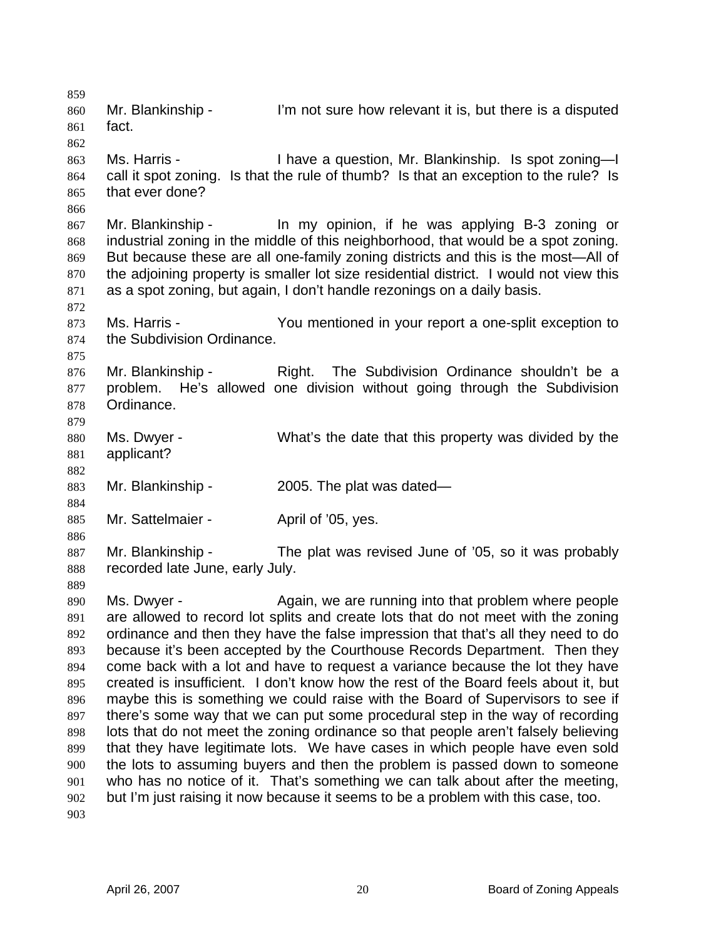859 860 861 862 863 864 865 866 867 868 869 870 871 872 873 874 875 876 877 878 879 880 881 882 883 884 885 886 887 888 889 890 891 892 893 894 895 896 897 898 899 900 901 902 903 Mr. Blankinship - I'm not sure how relevant it is, but there is a disputed fact. Ms. Harris - I have a question, Mr. Blankinship. Is spot zoning—I call it spot zoning. Is that the rule of thumb? Is that an exception to the rule? Is that ever done? Mr. Blankinship - In my opinion, if he was applying B-3 zoning or industrial zoning in the middle of this neighborhood, that would be a spot zoning. But because these are all one-family zoning districts and this is the most—All of the adjoining property is smaller lot size residential district. I would not view this as a spot zoning, but again, I don't handle rezonings on a daily basis. Ms. Harris - You mentioned in your report a one-split exception to the Subdivision Ordinance. Mr. Blankinship - The Subdivision Ordinance shouldn't be a problem. He's allowed one division without going through the Subdivision Ordinance. Ms. Dwyer - What's the date that this property was divided by the applicant? Mr. Blankinship - 2005. The plat was dated— Mr. Sattelmaier - **April of '05**, yes. Mr. Blankinship - The plat was revised June of '05, so it was probably recorded late June, early July. Ms. Dwyer - The Again, we are running into that problem where people are allowed to record lot splits and create lots that do not meet with the zoning ordinance and then they have the false impression that that's all they need to do because it's been accepted by the Courthouse Records Department. Then they come back with a lot and have to request a variance because the lot they have created is insufficient. I don't know how the rest of the Board feels about it, but maybe this is something we could raise with the Board of Supervisors to see if there's some way that we can put some procedural step in the way of recording lots that do not meet the zoning ordinance so that people aren't falsely believing that they have legitimate lots. We have cases in which people have even sold the lots to assuming buyers and then the problem is passed down to someone who has no notice of it. That's something we can talk about after the meeting, but I'm just raising it now because it seems to be a problem with this case, too.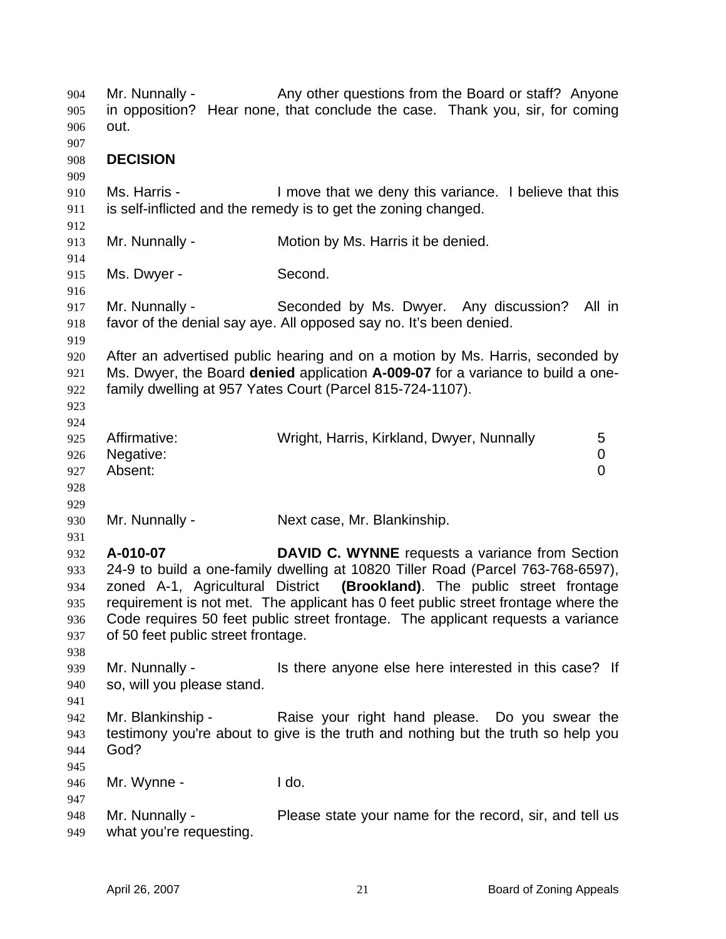| 904<br>905<br>906                             | Mr. Nunnally -<br>out.                         | Any other questions from the Board or staff? Anyone<br>in opposition? Hear none, that conclude the case. Thank you, sir, for coming                                                                                                                                                                                                                                                           |
|-----------------------------------------------|------------------------------------------------|-----------------------------------------------------------------------------------------------------------------------------------------------------------------------------------------------------------------------------------------------------------------------------------------------------------------------------------------------------------------------------------------------|
| 907<br>908<br>909                             | <b>DECISION</b>                                |                                                                                                                                                                                                                                                                                                                                                                                               |
| 910<br>911                                    | Ms. Harris -                                   | I move that we deny this variance. I believe that this<br>is self-inflicted and the remedy is to get the zoning changed.                                                                                                                                                                                                                                                                      |
| 912<br>913<br>914                             | Mr. Nunnally -                                 | Motion by Ms. Harris it be denied.                                                                                                                                                                                                                                                                                                                                                            |
| 915<br>916                                    | Ms. Dwyer -                                    | Second.                                                                                                                                                                                                                                                                                                                                                                                       |
| 917<br>918<br>919                             | Mr. Nunnally -                                 | Seconded by Ms. Dwyer. Any discussion?<br>All in<br>favor of the denial say aye. All opposed say no. It's been denied.                                                                                                                                                                                                                                                                        |
| 920<br>921<br>922<br>923<br>924               |                                                | After an advertised public hearing and on a motion by Ms. Harris, seconded by<br>Ms. Dwyer, the Board denied application A-009-07 for a variance to build a one-<br>family dwelling at 957 Yates Court (Parcel 815-724-1107).                                                                                                                                                                 |
| 925<br>926<br>927<br>928<br>929               | Affirmative:<br>Negative:<br>Absent:           | Wright, Harris, Kirkland, Dwyer, Nunnally<br>5<br>$\mathbf 0$<br>$\overline{0}$                                                                                                                                                                                                                                                                                                               |
| 930<br>931                                    | Mr. Nunnally -                                 | Next case, Mr. Blankinship.                                                                                                                                                                                                                                                                                                                                                                   |
| 932<br>933<br>934<br>935<br>936<br>937<br>938 | A-010-07<br>of 50 feet public street frontage. | <b>DAVID C. WYNNE</b> requests a variance from Section<br>24-9 to build a one-family dwelling at 10820 Tiller Road (Parcel 763-768-6597),<br>zoned A-1, Agricultural District (Brookland). The public street frontage<br>requirement is not met. The applicant has 0 feet public street frontage where the<br>Code requires 50 feet public street frontage. The applicant requests a variance |
| 939<br>940<br>941                             | Mr. Nunnally -<br>so, will you please stand.   | Is there anyone else here interested in this case? If                                                                                                                                                                                                                                                                                                                                         |
| 942<br>943<br>944<br>945                      | Mr. Blankinship -<br>God?                      | Raise your right hand please. Do you swear the<br>testimony you're about to give is the truth and nothing but the truth so help you                                                                                                                                                                                                                                                           |
| 946<br>947                                    | Mr. Wynne -                                    | I do.                                                                                                                                                                                                                                                                                                                                                                                         |
| 948<br>949                                    | Mr. Nunnally -<br>what you're requesting.      | Please state your name for the record, sir, and tell us                                                                                                                                                                                                                                                                                                                                       |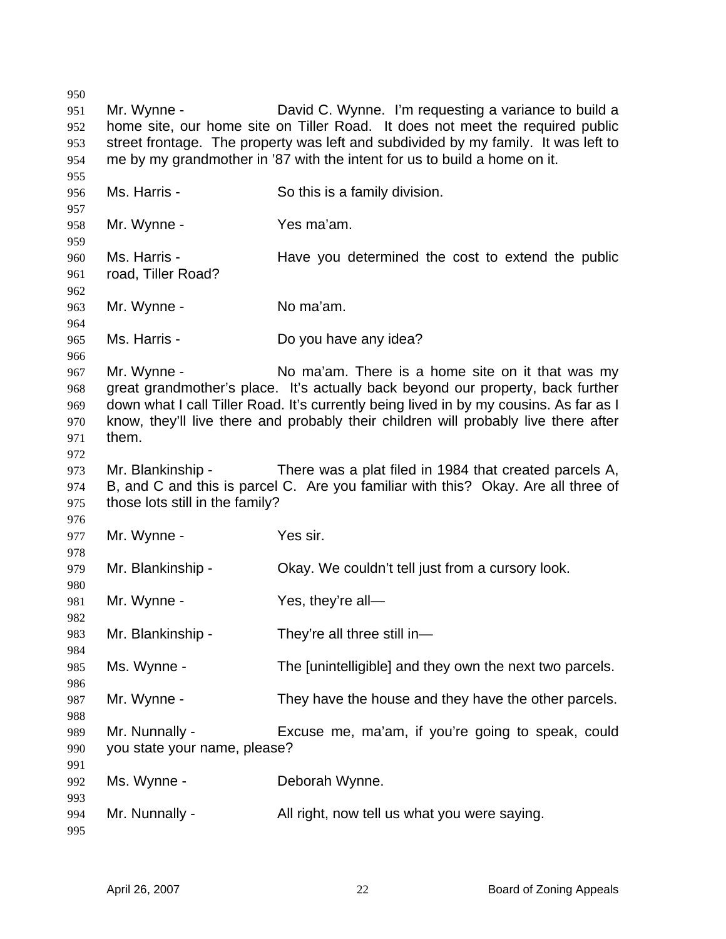Mr. Wynne - **David C. Wynne.** I'm requesting a variance to build a home site, our home site on Tiller Road. It does not meet the required public street frontage. The property was left and subdivided by my family. It was left to me by my grandmother in '87 with the intent for us to build a home on it. Ms. Harris - So this is a family division. Mr. Wynne - Yes ma'am. Ms. Harris - The Have you determined the cost to extend the public road, Tiller Road? Mr. Wynne - No ma'am. Ms. Harris - Do you have any idea? Mr. Wynne - No ma'am. There is a home site on it that was my great grandmother's place. It's actually back beyond our property, back further down what I call Tiller Road. It's currently being lived in by my cousins. As far as I know, they'll live there and probably their children will probably live there after them. Mr. Blankinship - There was a plat filed in 1984 that created parcels A, B, and C and this is parcel C. Are you familiar with this? Okay. Are all three of those lots still in the family? Mr. Wynne - Yes sir. Mr. Blankinship - Ckay. We couldn't tell just from a cursory look. Mr. Wynne - Yes, they're all— Mr. Blankinship - They're all three still in— Ms. Wynne - The [unintelligible] and they own the next two parcels. Mr. Wynne - They have the house and they have the other parcels. Mr. Nunnally - Excuse me, ma'am, if you're going to speak, could you state your name, please? Ms. Wynne - **Deborah Wynne.** Mr. Nunnally - All right, now tell us what you were saying.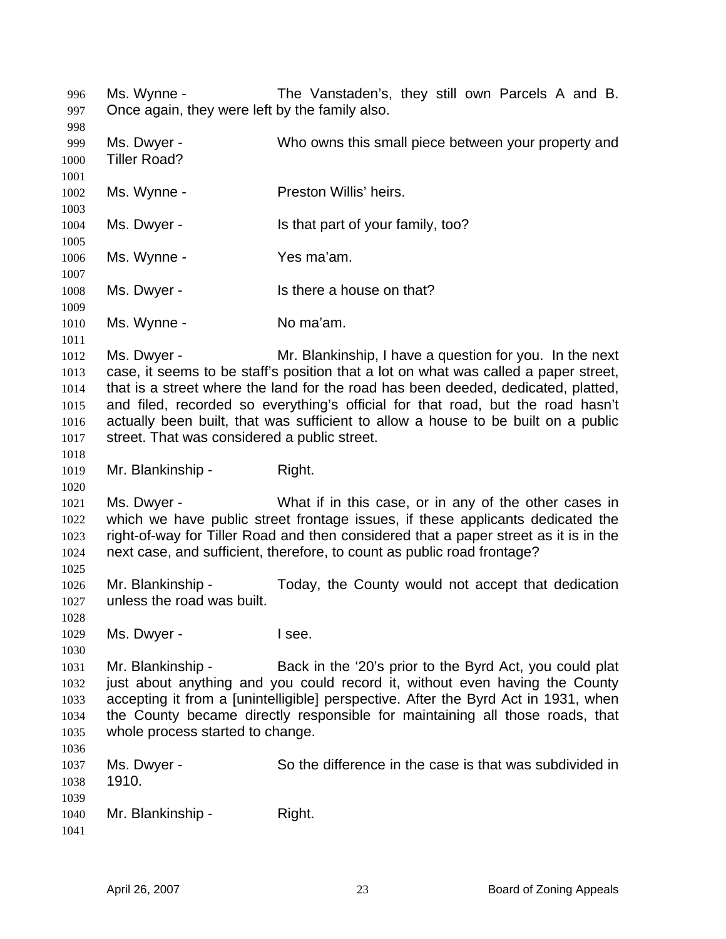Ms. Wynne - The Vanstaden's, they still own Parcels A and B. Once again, they were left by the family also. 996 997 998 999 1000 1001 1002 1003 1004 1005 1006 1007 1008 1009 1010 1011 1012 1013 1014 1015 1016 1017 1018 1019 1020 1021 1022 1023 1024 1025 1026 1027 1028 1029 1030 1031 1032 1033 1034 1035 1036 1037 1038 1039 1040 1041 Ms. Dwyer - Who owns this small piece between your property and Tiller Road? Ms. Wynne - Preston Willis' heirs. Ms. Dwyer - Is that part of your family, too? Ms. Wynne - Yes ma'am. Ms. Dwyer - Is there a house on that? Ms. Wynne - No ma'am. Ms. Dwyer - Mr. Blankinship, I have a question for you. In the next case, it seems to be staff's position that a lot on what was called a paper street, that is a street where the land for the road has been deeded, dedicated, platted, and filed, recorded so everything's official for that road, but the road hasn't actually been built, that was sufficient to allow a house to be built on a public street. That was considered a public street. Mr. Blankinship - Right. Ms. Dwyer - What if in this case, or in any of the other cases in which we have public street frontage issues, if these applicants dedicated the right-of-way for Tiller Road and then considered that a paper street as it is in the next case, and sufficient, therefore, to count as public road frontage? Mr. Blankinship - Today, the County would not accept that dedication unless the road was built. Ms. Dwyer - I see. Mr. Blankinship - Back in the '20's prior to the Byrd Act, you could plat just about anything and you could record it, without even having the County accepting it from a [unintelligible] perspective. After the Byrd Act in 1931, when the County became directly responsible for maintaining all those roads, that whole process started to change. Ms. Dwyer - So the difference in the case is that was subdivided in 1910. Mr. Blankinship - Right.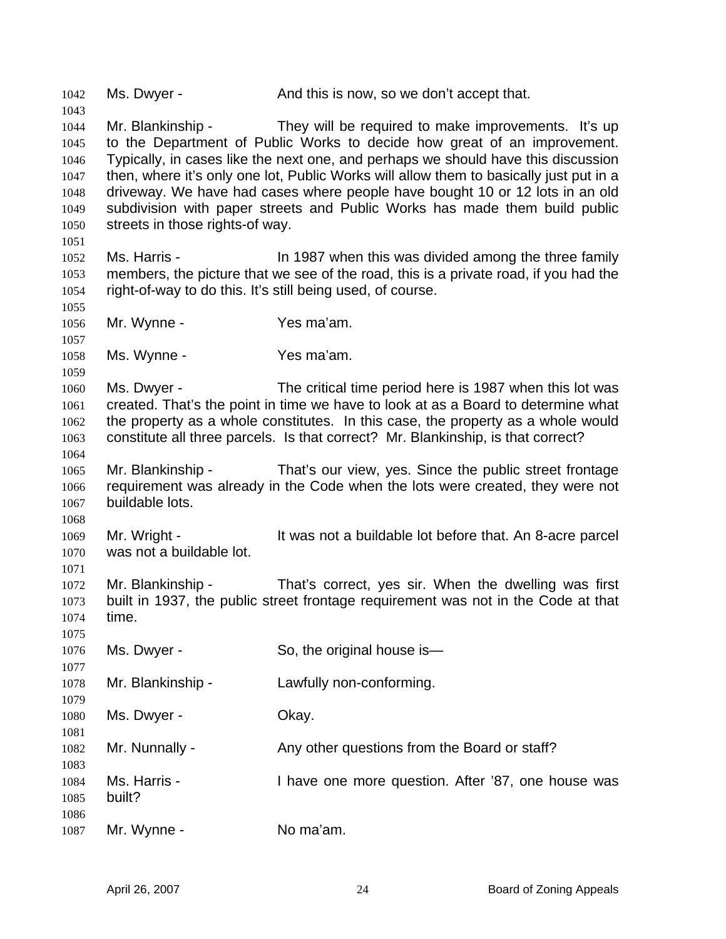1042 Ms. Dwyer - And this is now, so we don't accept that. 1043 1044 1045 1046 1047 1048 1049 1050 1051 1052 1053 1054 1055 1056 1057 1058 1059 1060 1061 1062 1063 1064 1065 1066 1067 1068 1069 1070 1071 1072 1073 1074 1075 1076 1077 1078 1079 1080 1081 1082 1083 1084 1085 1086 1087 Mr. Blankinship - They will be required to make improvements. It's up to the Department of Public Works to decide how great of an improvement. Typically, in cases like the next one, and perhaps we should have this discussion then, where it's only one lot, Public Works will allow them to basically just put in a driveway. We have had cases where people have bought 10 or 12 lots in an old subdivision with paper streets and Public Works has made them build public streets in those rights-of way. Ms. Harris - In 1987 when this was divided among the three family members, the picture that we see of the road, this is a private road, if you had the right-of-way to do this. It's still being used, of course. Mr. Wynne - Yes ma'am. Ms. Wynne - Yes ma'am. Ms. Dwyer - The critical time period here is 1987 when this lot was created. That's the point in time we have to look at as a Board to determine what the property as a whole constitutes. In this case, the property as a whole would constitute all three parcels. Is that correct? Mr. Blankinship, is that correct? Mr. Blankinship - That's our view, yes. Since the public street frontage requirement was already in the Code when the lots were created, they were not buildable lots. Mr. Wright - The It was not a buildable lot before that. An 8-acre parcel was not a buildable lot. Mr. Blankinship - That's correct, yes sir. When the dwelling was first built in 1937, the public street frontage requirement was not in the Code at that time. Ms. Dwyer - So, the original house is— Mr. Blankinship - Lawfully non-conforming. Ms. Dwyer - Chay. Mr. Nunnally - Any other questions from the Board or staff? Ms. Harris - Thave one more question. After '87, one house was built? Mr. Wynne - No ma'am.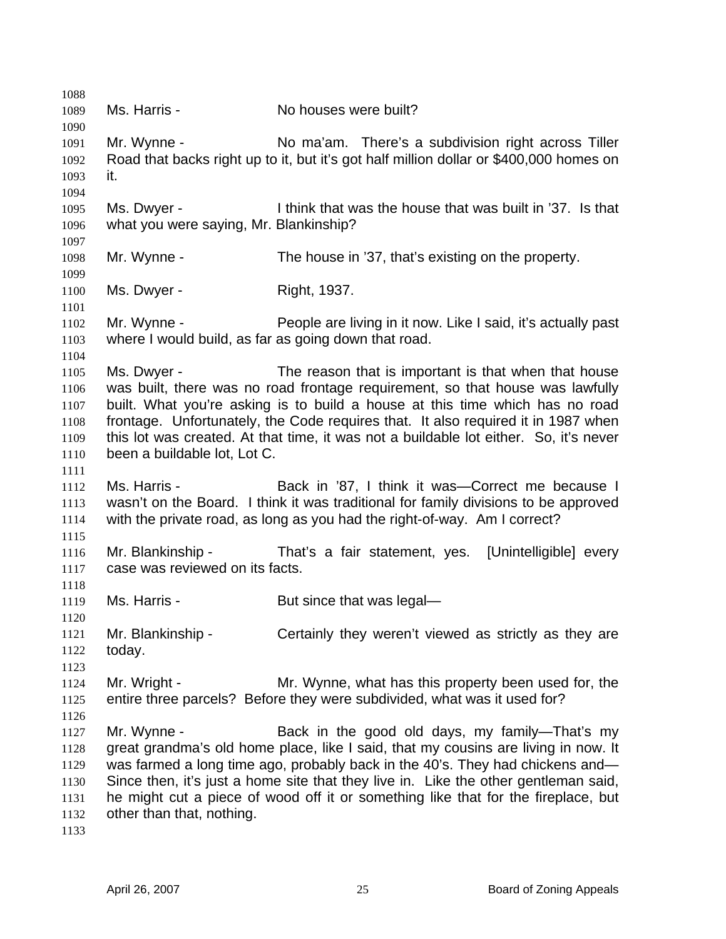1088 1089 1090 1091 1092 1093 1094 1095 1096 1097 1098 1099 1100 1101 1102 1103 1104 1105 1106 1107 1108 1109 1110 1111 1112 1113 1114 1115 1116 1117 1118 1119 1120 1121 1122 1123 1124 1125 1126 1127 1128 1129 1130 1131 1132 1133 Ms. Harris - **No houses were built?** Mr. Wynne - No ma'am. There's a subdivision right across Tiller Road that backs right up to it, but it's got half million dollar or \$400,000 homes on it. Ms. Dwyer - I think that was the house that was built in '37. Is that what you were saying, Mr. Blankinship? Mr. Wynne - The house in '37, that's existing on the property. Ms. Dwyer - Right, 1937. Mr. Wynne - People are living in it now. Like I said, it's actually past where I would build, as far as going down that road. Ms. Dwyer - The reason that is important is that when that house was built, there was no road frontage requirement, so that house was lawfully built. What you're asking is to build a house at this time which has no road frontage. Unfortunately, the Code requires that. It also required it in 1987 when this lot was created. At that time, it was not a buildable lot either. So, it's never been a buildable lot, Lot C. Ms. Harris - **Back in '87, I think it was—Correct me because I** wasn't on the Board. I think it was traditional for family divisions to be approved with the private road, as long as you had the right-of-way. Am I correct? Mr. Blankinship - That's a fair statement, yes. [Unintelligible] every case was reviewed on its facts. Ms. Harris - But since that was legal— Mr. Blankinship - Certainly they weren't viewed as strictly as they are today. Mr. Wright - Mr. Wynne, what has this property been used for, the entire three parcels? Before they were subdivided, what was it used for? Mr. Wynne - Back in the good old days, my family—That's my great grandma's old home place, like I said, that my cousins are living in now. It was farmed a long time ago, probably back in the 40's. They had chickens and— Since then, it's just a home site that they live in. Like the other gentleman said, he might cut a piece of wood off it or something like that for the fireplace, but other than that, nothing.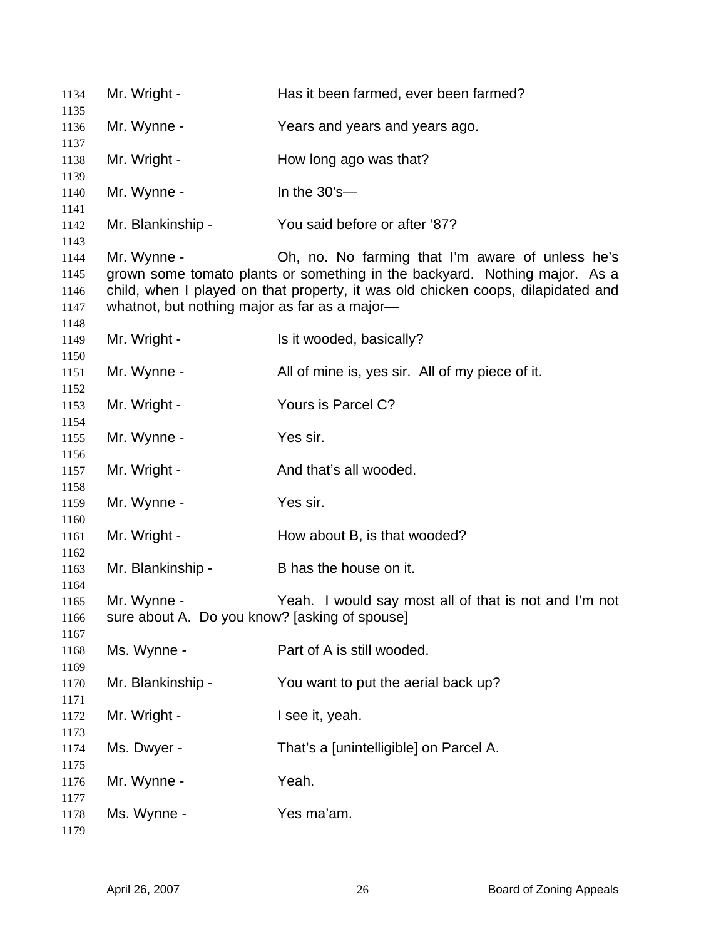| 1134         | Mr. Wright -                                  | Has it been farmed, ever been farmed?                                            |
|--------------|-----------------------------------------------|----------------------------------------------------------------------------------|
| 1135<br>1136 | Mr. Wynne -                                   | Years and years and years ago.                                                   |
| 1137         |                                               |                                                                                  |
| 1138         | Mr. Wright -                                  | How long ago was that?                                                           |
| 1139         |                                               |                                                                                  |
| 1140<br>1141 | Mr. Wynne -                                   | In the $30's$ —                                                                  |
| 1142         | Mr. Blankinship -                             | You said before or after '87?                                                    |
| 1143         |                                               |                                                                                  |
| 1144         | Mr. Wynne -                                   | Oh, no. No farming that I'm aware of unless he's                                 |
| 1145         |                                               | grown some tomato plants or something in the backyard. Nothing major. As a       |
| 1146         |                                               | child, when I played on that property, it was old chicken coops, dilapidated and |
| 1147         | whatnot, but nothing major as far as a major- |                                                                                  |
| 1148         |                                               |                                                                                  |
| 1149         | Mr. Wright -                                  | Is it wooded, basically?                                                         |
| 1150         |                                               |                                                                                  |
| 1151         | Mr. Wynne -                                   | All of mine is, yes sir. All of my piece of it.                                  |
|              |                                               |                                                                                  |
| 1152         |                                               |                                                                                  |
| 1153         | Mr. Wright -                                  | Yours is Parcel C?                                                               |
| 1154         |                                               |                                                                                  |
| 1155         | Mr. Wynne -                                   | Yes sir.                                                                         |
| 1156         |                                               |                                                                                  |
| 1157         | Mr. Wright -                                  | And that's all wooded.                                                           |
| 1158         |                                               |                                                                                  |
| 1159         | Mr. Wynne -                                   | Yes sir.                                                                         |
| 1160         |                                               |                                                                                  |
| 1161         | Mr. Wright -                                  | How about B, is that wooded?                                                     |
| 1162         |                                               |                                                                                  |
| 1163<br>1164 | Mr. Blankinship -                             | B has the house on it.                                                           |
| 1165         | Mr. Wynne -                                   |                                                                                  |
|              |                                               | Yeah. I would say most all of that is not and I'm not                            |
| 1166         | sure about A. Do you know? [asking of spouse] |                                                                                  |
| 1167         |                                               |                                                                                  |
| 1168         | Ms. Wynne -                                   | Part of A is still wooded.                                                       |
| 1169         |                                               |                                                                                  |
| 1170         | Mr. Blankinship -                             | You want to put the aerial back up?                                              |
| 1171         |                                               |                                                                                  |
| 1172         | Mr. Wright -                                  | I see it, yeah.                                                                  |
| 1173         |                                               |                                                                                  |
| 1174         | Ms. Dwyer -                                   | That's a [unintelligible] on Parcel A.                                           |
| 1175         |                                               |                                                                                  |
| 1176         | Mr. Wynne -                                   | Yeah.                                                                            |
| 1177         |                                               |                                                                                  |
| 1178         | Ms. Wynne -                                   | Yes ma'am.                                                                       |
| 1179         |                                               |                                                                                  |
|              |                                               |                                                                                  |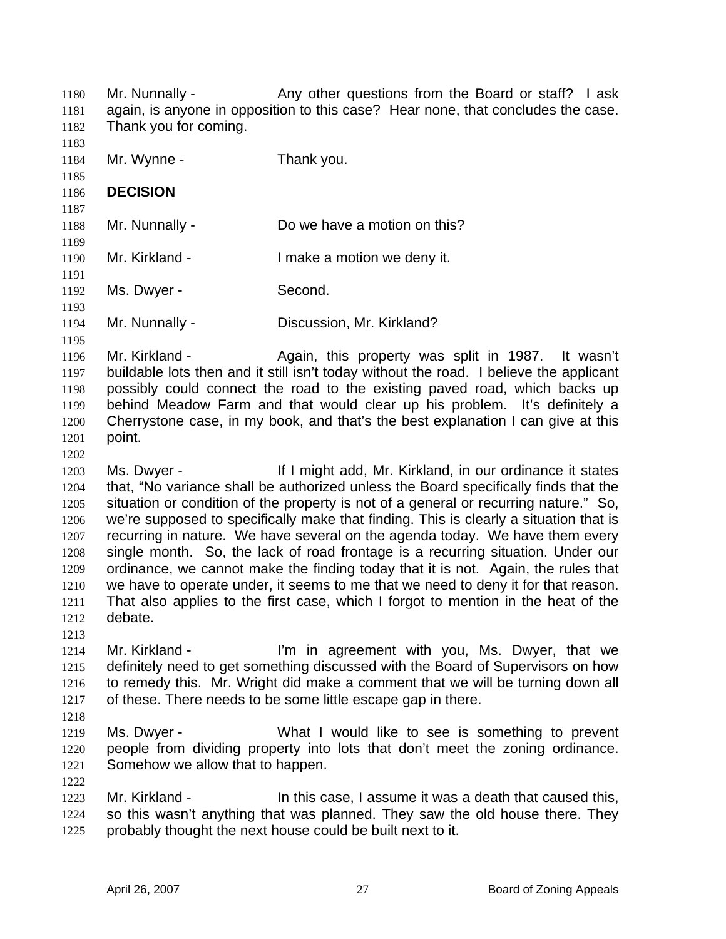Mr. Nunnally - **Any other questions from the Board or staff?** I ask again, is anyone in opposition to this case? Hear none, that concludes the case. Thank you for coming. 1180 1181 1182 1183 1184 1185 1186 1187 1188 1189 1190 1191 1192 1193 1194 1195 1196 1197 1198 1199 1200 1201 1202 1203 1204 1205 1206 1207 1208 1209 1210 1211 1212 1213 1214 1215 1216 1217 1218 1219 1220 1221 1222 1223 1224 1225 Mr. Wynne - Thank you. **DECISION**  Mr. Nunnally - Do we have a motion on this? Mr. Kirkland - The Music Limake a motion we deny it. Ms. Dwyer - Second. Mr. Nunnally - Discussion, Mr. Kirkland? Mr. Kirkland - The Again, this property was split in 1987. It wasn't buildable lots then and it still isn't today without the road. I believe the applicant possibly could connect the road to the existing paved road, which backs up behind Meadow Farm and that would clear up his problem. It's definitely a Cherrystone case, in my book, and that's the best explanation I can give at this point. Ms. Dwyer - The Mullet I might add, Mr. Kirkland, in our ordinance it states that, "No variance shall be authorized unless the Board specifically finds that the situation or condition of the property is not of a general or recurring nature." So, we're supposed to specifically make that finding. This is clearly a situation that is recurring in nature. We have several on the agenda today. We have them every single month. So, the lack of road frontage is a recurring situation. Under our ordinance, we cannot make the finding today that it is not. Again, the rules that we have to operate under, it seems to me that we need to deny it for that reason. That also applies to the first case, which I forgot to mention in the heat of the debate. Mr. Kirkland - I'm in agreement with you, Ms. Dwyer, that we definitely need to get something discussed with the Board of Supervisors on how to remedy this. Mr. Wright did make a comment that we will be turning down all of these. There needs to be some little escape gap in there. Ms. Dwyer - What I would like to see is something to prevent people from dividing property into lots that don't meet the zoning ordinance. Somehow we allow that to happen. Mr. Kirkland - The state of this case, I assume it was a death that caused this, so this wasn't anything that was planned. They saw the old house there. They probably thought the next house could be built next to it.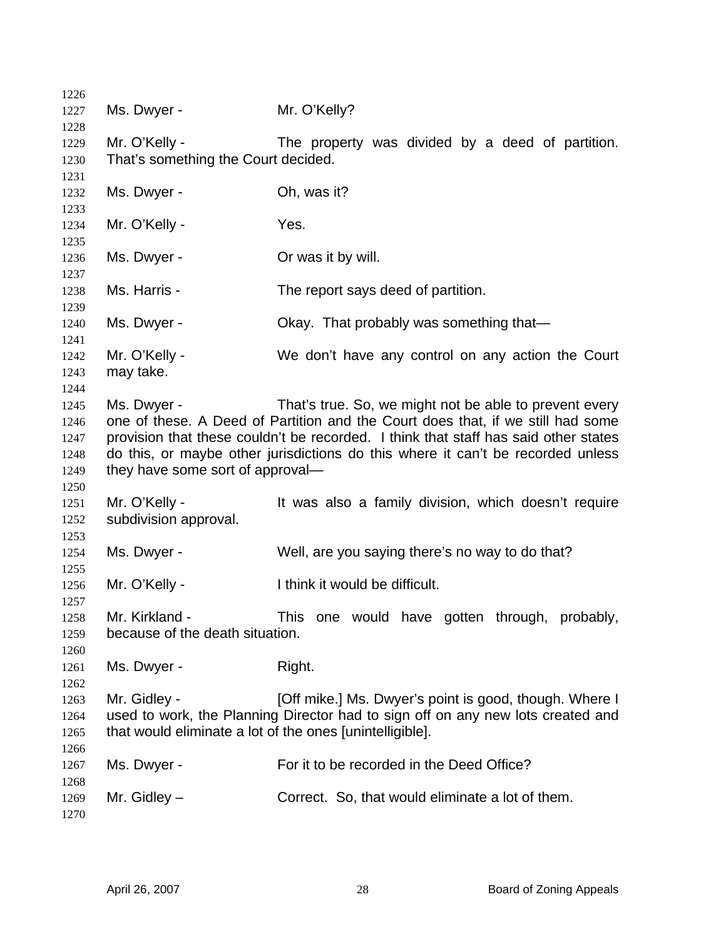| 1226         |                                                          |                                                                                     |
|--------------|----------------------------------------------------------|-------------------------------------------------------------------------------------|
| 1227         | Ms. Dwyer -                                              | Mr. O'Kelly?                                                                        |
| 1228         |                                                          |                                                                                     |
| 1229         | Mr. O'Kelly -                                            | The property was divided by a deed of partition.                                    |
| 1230         | That's something the Court decided.                      |                                                                                     |
| 1231         |                                                          |                                                                                     |
| 1232         | Ms. Dwyer -                                              | Oh, was it?                                                                         |
| 1233         |                                                          |                                                                                     |
| 1234         | Mr. O'Kelly -                                            | Yes.                                                                                |
| 1235         |                                                          |                                                                                     |
| 1236         | Ms. Dwyer -                                              | Or was it by will.                                                                  |
| 1237         | Ms. Harris -                                             |                                                                                     |
| 1238         |                                                          | The report says deed of partition.                                                  |
| 1239<br>1240 | Ms. Dwyer -                                              | Okay. That probably was something that-                                             |
| 1241         |                                                          |                                                                                     |
| 1242         | Mr. O'Kelly -                                            | We don't have any control on any action the Court                                   |
| 1243         | may take.                                                |                                                                                     |
| 1244         |                                                          |                                                                                     |
| 1245         | Ms. Dwyer -                                              | That's true. So, we might not be able to prevent every                              |
| 1246         |                                                          | one of these. A Deed of Partition and the Court does that, if we still had some     |
| 1247         |                                                          | provision that these couldn't be recorded. I think that staff has said other states |
| 1248         |                                                          | do this, or maybe other jurisdictions do this where it can't be recorded unless     |
| 1249         | they have some sort of approval-                         |                                                                                     |
| 1250         |                                                          |                                                                                     |
| 1251         | Mr. O'Kelly -                                            | It was also a family division, which doesn't require                                |
| 1252         | subdivision approval.                                    |                                                                                     |
| 1253         |                                                          |                                                                                     |
| 1254         | Ms. Dwyer -                                              | Well, are you saying there's no way to do that?                                     |
| 1255         |                                                          | I think it would be difficult.                                                      |
| 1256<br>1257 | Mr. O'Kelly -                                            |                                                                                     |
| 1258         | Mr. Kirkland -                                           | This one would have gotten through, probably,                                       |
| 1259         | because of the death situation.                          |                                                                                     |
| 1260         |                                                          |                                                                                     |
| 1261         | Ms. Dwyer -                                              | Right.                                                                              |
| 1262         |                                                          |                                                                                     |
| 1263         | Mr. Gidley -                                             | [Off mike.] Ms. Dwyer's point is good, though. Where I                              |
| 1264         |                                                          | used to work, the Planning Director had to sign off on any new lots created and     |
| 1265         | that would eliminate a lot of the ones [unintelligible]. |                                                                                     |
| 1266         |                                                          |                                                                                     |
| 1267         | Ms. Dwyer -                                              | For it to be recorded in the Deed Office?                                           |
| 1268         |                                                          |                                                                                     |
| 1269         | Mr. Gidley $-$                                           | Correct. So, that would eliminate a lot of them.                                    |
| 1270         |                                                          |                                                                                     |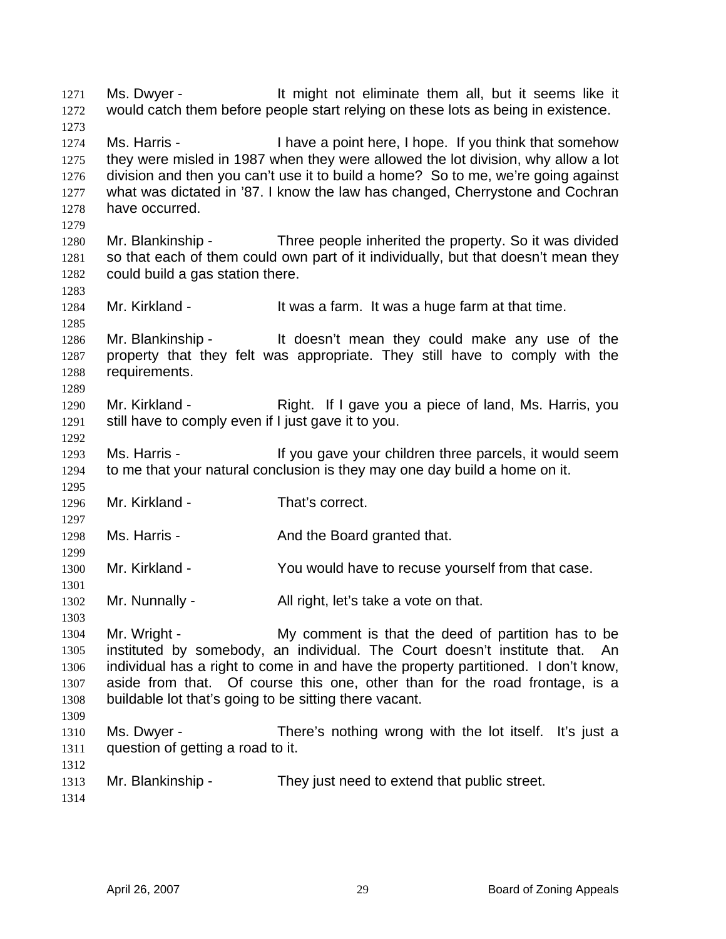Ms. Dwyer - It might not eliminate them all, but it seems like it would catch them before people start relying on these lots as being in existence. 1271 1272 1273 1274 1275 1276 1277 1278 1279 1280 1281 1282 1283 1284 1285 1286 1287 1288 1289 1290 1291 1292 1293 1294 1295 1296 1297 1298 1299 1300 1301 1302 1303 1304 1305 1306 1307 1308 1309 1310 1311 1312 1313 1314 Ms. Harris - Thave a point here, I hope. If you think that somehow they were misled in 1987 when they were allowed the lot division, why allow a lot division and then you can't use it to build a home? So to me, we're going against what was dictated in '87. I know the law has changed, Cherrystone and Cochran have occurred. Mr. Blankinship - Three people inherited the property. So it was divided so that each of them could own part of it individually, but that doesn't mean they could build a gas station there. Mr. Kirkland - It was a farm. It was a huge farm at that time. Mr. Blankinship - It doesn't mean they could make any use of the property that they felt was appropriate. They still have to comply with the requirements. Mr. Kirkland - Right. If I gave you a piece of land, Ms. Harris, you still have to comply even if I just gave it to you. Ms. Harris - The Multipul gave your children three parcels, it would seem to me that your natural conclusion is they may one day build a home on it. Mr. Kirkland - That's correct. Ms. Harris - The And the Board granted that. Mr. Kirkland - The You would have to recuse yourself from that case. Mr. Nunnally - All right, let's take a vote on that. Mr. Wright - My comment is that the deed of partition has to be instituted by somebody, an individual. The Court doesn't institute that. An individual has a right to come in and have the property partitioned. I don't know, aside from that. Of course this one, other than for the road frontage, is a buildable lot that's going to be sitting there vacant. Ms. Dwyer - There's nothing wrong with the lot itself. It's just a question of getting a road to it. Mr. Blankinship - They just need to extend that public street.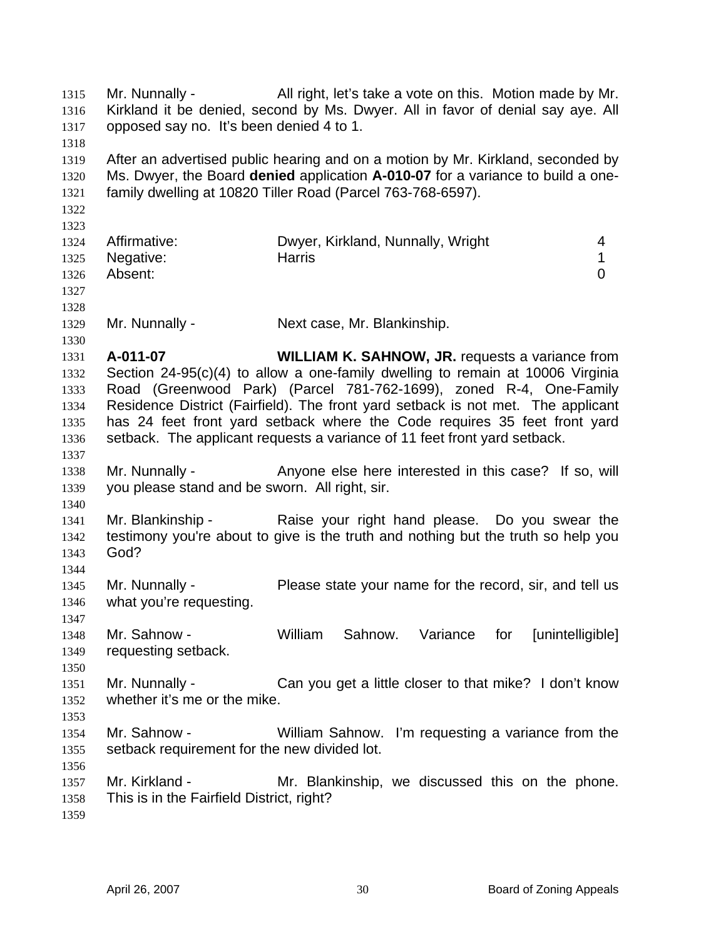Mr. Nunnally - All right, let's take a vote on this. Motion made by Mr. Kirkland it be denied, second by Ms. Dwyer. All in favor of denial say aye. All opposed say no. It's been denied 4 to 1. 1315 1316 1317 1318 1319 1320 1321 1322 1323 1324 1325 1326 1327 1328 1329 1330 1331 1332 1333 1334 1335 1336 1337 1338 1339 1340 1341 1342 1343 1344 1345 1346 1347 1348 1349 1350 1351 1352 1353 1354 1355 1356 1357 1358 1359 After an advertised public hearing and on a motion by Mr. Kirkland, seconded by Ms. Dwyer, the Board **denied** application **A-010-07** for a variance to build a onefamily dwelling at 10820 Tiller Road (Parcel 763-768-6597). Affirmative: Dwyer, Kirkland, Nunnally, Wright 4 Negative: harris 1 Absent: 0 Mr. Nunnally - Next case, Mr. Blankinship. **A-011-07 WILLIAM K. SAHNOW, JR.** requests a variance from Section 24-95(c)(4) to allow a one-family dwelling to remain at 10006 Virginia Road (Greenwood Park) (Parcel 781-762-1699), zoned R-4, One-Family Residence District (Fairfield). The front yard setback is not met. The applicant has 24 feet front yard setback where the Code requires 35 feet front yard setback. The applicant requests a variance of 11 feet front yard setback. Mr. Nunnally - Anyone else here interested in this case? If so, will you please stand and be sworn. All right, sir. Mr. Blankinship - The Raise your right hand please. Do you swear the testimony you're about to give is the truth and nothing but the truth so help you God? Mr. Nunnally - Please state your name for the record, sir, and tell us what you're requesting. Mr. Sahnow - William Sahnow. Variance for [unintelligible] requesting setback. Mr. Nunnally - Can you get a little closer to that mike? I don't know whether it's me or the mike. Mr. Sahnow - William Sahnow. I'm requesting a variance from the setback requirement for the new divided lot. Mr. Kirkland - The Mr. Blankinship, we discussed this on the phone. This is in the Fairfield District, right?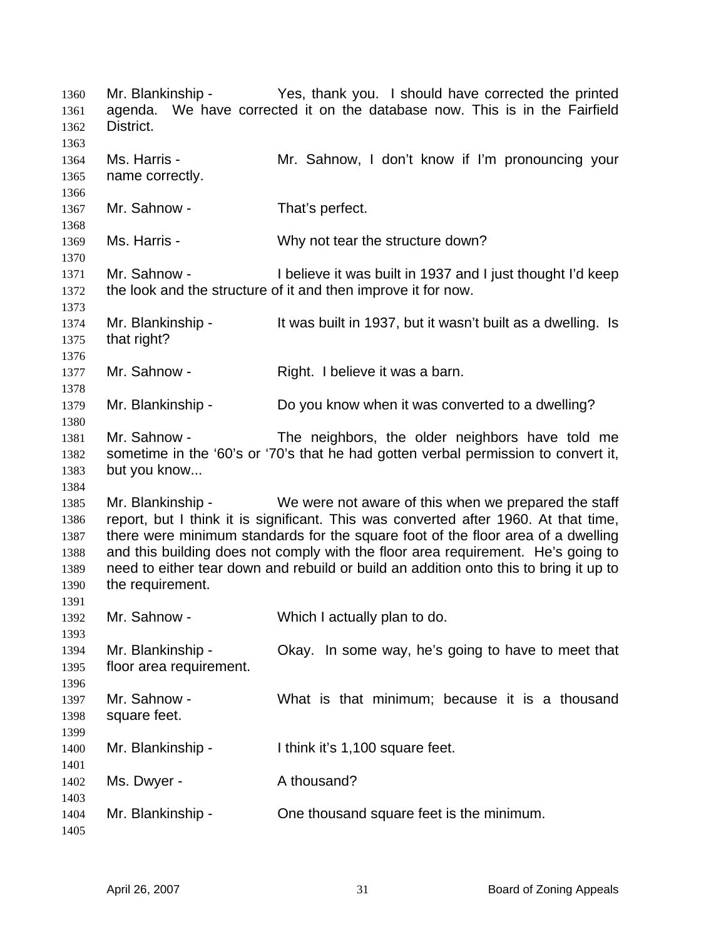Mr. Blankinship - Yes, thank you. I should have corrected the printed agenda. We have corrected it on the database now. This is in the Fairfield District. 1360 1361 1362 1363 1364 1365 1366 1367 1368 1369 1370 1371 1372 1373 1374 1375 1376 1377 1378 1379 1380 1381 1382 1383 1384 1385 1386 1387 1388 1389 1390 1391 1392 1393 1394 1395 1396 1397 1398 1399 1400 1401 1402 1403 1404 1405 Ms. Harris - The Mr. Sahnow, I don't know if I'm pronouncing your name correctly. Mr. Sahnow - That's perfect. Ms. Harris - Why not tear the structure down? Mr. Sahnow - I believe it was built in 1937 and I just thought I'd keep the look and the structure of it and then improve it for now. Mr. Blankinship - It was built in 1937, but it wasn't built as a dwelling. Is that right? Mr. Sahnow - Right. I believe it was a barn. Mr. Blankinship - Do you know when it was converted to a dwelling? Mr. Sahnow - The neighbors, the older neighbors have told me sometime in the '60's or '70's that he had gotten verbal permission to convert it, but you know... Mr. Blankinship - We were not aware of this when we prepared the staff report, but I think it is significant. This was converted after 1960. At that time, there were minimum standards for the square foot of the floor area of a dwelling and this building does not comply with the floor area requirement. He's going to need to either tear down and rebuild or build an addition onto this to bring it up to the requirement. Mr. Sahnow - Which I actually plan to do. Mr. Blankinship - Okay. In some way, he's going to have to meet that floor area requirement. Mr. Sahnow - What is that minimum; because it is a thousand square feet. Mr. Blankinship - Ithink it's 1,100 square feet. Ms. Dwyer - A thousand? Mr. Blankinship - Che thousand square feet is the minimum.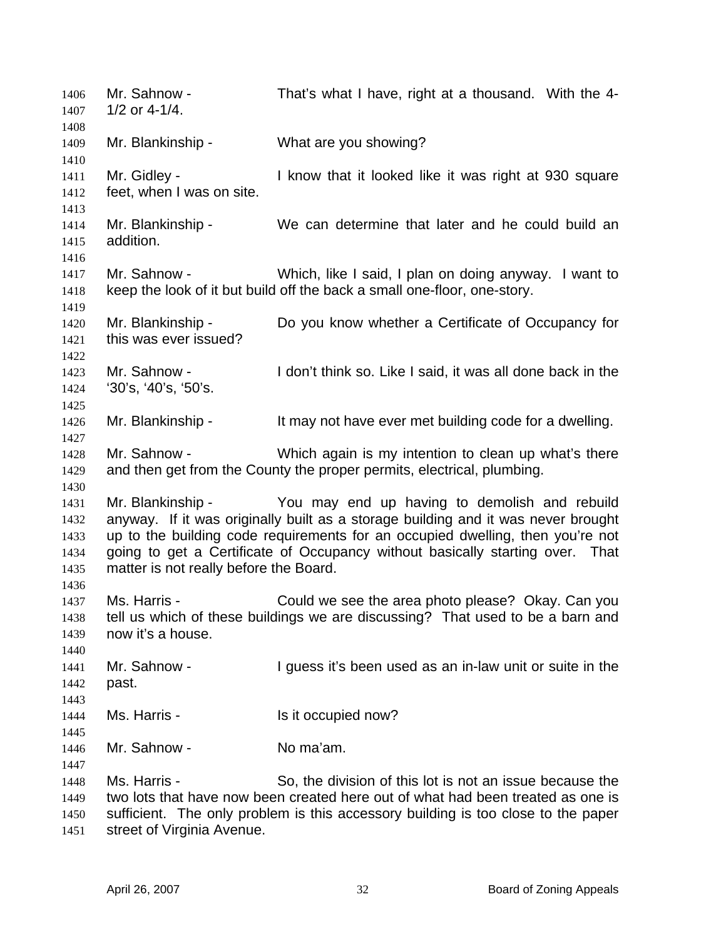| 1406<br>1407                                 | Mr. Sahnow -<br>$1/2$ or 4-1/4.                             | That's what I have, right at a thousand. With the 4-                                                                                                                                                                                                                                                  |
|----------------------------------------------|-------------------------------------------------------------|-------------------------------------------------------------------------------------------------------------------------------------------------------------------------------------------------------------------------------------------------------------------------------------------------------|
| 1408<br>1409                                 | Mr. Blankinship -                                           | What are you showing?                                                                                                                                                                                                                                                                                 |
| 1410<br>1411<br>1412                         | Mr. Gidley -<br>feet, when I was on site.                   | I know that it looked like it was right at 930 square                                                                                                                                                                                                                                                 |
| 1413<br>1414<br>1415                         | Mr. Blankinship -<br>addition.                              | We can determine that later and he could build an                                                                                                                                                                                                                                                     |
| 1416<br>1417<br>1418                         | Mr. Sahnow -                                                | Which, like I said, I plan on doing anyway. I want to<br>keep the look of it but build off the back a small one-floor, one-story.                                                                                                                                                                     |
| 1419<br>1420<br>1421                         | Mr. Blankinship -<br>this was ever issued?                  | Do you know whether a Certificate of Occupancy for                                                                                                                                                                                                                                                    |
| 1422<br>1423<br>1424                         | Mr. Sahnow -<br>'30's, '40's, '50's.                        | I don't think so. Like I said, it was all done back in the                                                                                                                                                                                                                                            |
| 1425<br>1426                                 | Mr. Blankinship -                                           | It may not have ever met building code for a dwelling.                                                                                                                                                                                                                                                |
| 1427<br>1428<br>1429                         | Mr. Sahnow -                                                | Which again is my intention to clean up what's there<br>and then get from the County the proper permits, electrical, plumbing.                                                                                                                                                                        |
| 1430<br>1431<br>1432<br>1433<br>1434<br>1435 | Mr. Blankinship -<br>matter is not really before the Board. | You may end up having to demolish and rebuild<br>anyway. If it was originally built as a storage building and it was never brought<br>up to the building code requirements for an occupied dwelling, then you're not<br>going to get a Certificate of Occupancy without basically starting over. That |
| 1436<br>1437<br>1438<br>1439                 | Ms. Harris -<br>now it's a house.                           | Could we see the area photo please? Okay. Can you<br>tell us which of these buildings we are discussing? That used to be a barn and                                                                                                                                                                   |
| 1440<br>1441<br>1442<br>1443                 | Mr. Sahnow -<br>past.                                       | I guess it's been used as an in-law unit or suite in the                                                                                                                                                                                                                                              |
| 1444<br>1445                                 | Ms. Harris -                                                | Is it occupied now?                                                                                                                                                                                                                                                                                   |
| 1446<br>1447                                 | Mr. Sahnow -                                                | No ma'am.                                                                                                                                                                                                                                                                                             |
| 1448<br>1449<br>1450<br>1451                 | Ms. Harris -<br>street of Virginia Avenue.                  | So, the division of this lot is not an issue because the<br>two lots that have now been created here out of what had been treated as one is<br>sufficient. The only problem is this accessory building is too close to the paper                                                                      |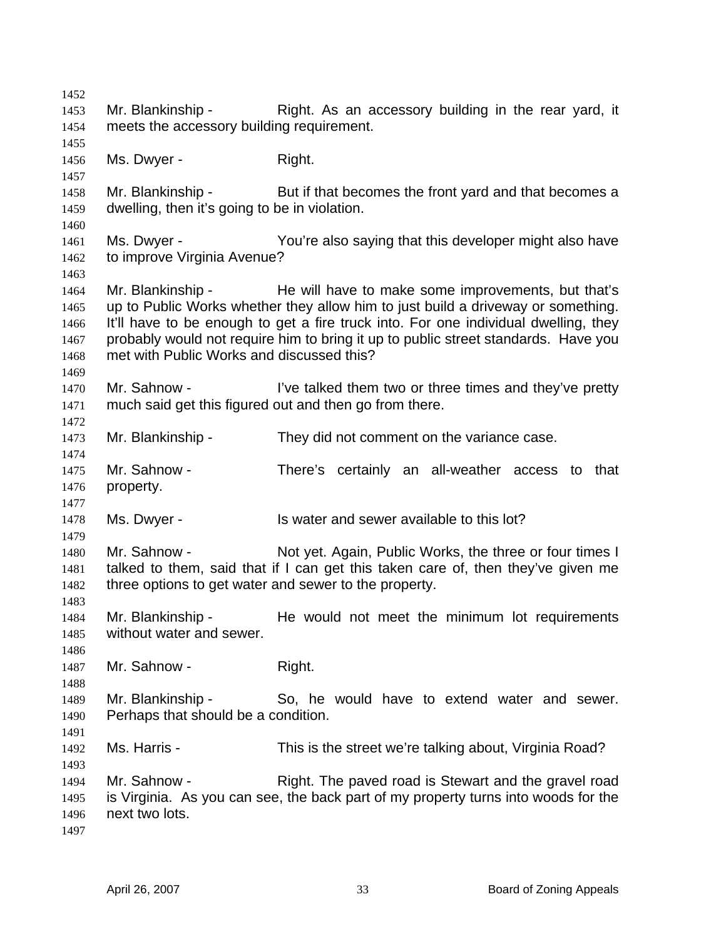1452 1453 1454 1455 1456 1457 1458 1459 1460 1461 1462 1463 1464 1465 1466 1467 1468 1469 1470 1471 1472 1473 1474 1475 1476 1477 1478 1479 1480 1481 1482 1483 1484 1485 1486 1487 1488 1489 1490 1491 1492 1493 1494 1495 1496 1497 Mr. Blankinship - Right. As an accessory building in the rear yard, it meets the accessory building requirement. Ms. Dwyer - Right. Mr. Blankinship - But if that becomes the front yard and that becomes a dwelling, then it's going to be in violation. Ms. Dwyer - The You're also saying that this developer might also have to improve Virginia Avenue? Mr. Blankinship - The will have to make some improvements, but that's up to Public Works whether they allow him to just build a driveway or something. It'll have to be enough to get a fire truck into. For one individual dwelling, they probably would not require him to bring it up to public street standards. Have you met with Public Works and discussed this? Mr. Sahnow - I've talked them two or three times and they've pretty much said get this figured out and then go from there. Mr. Blankinship - They did not comment on the variance case. Mr. Sahnow - There's certainly an all-weather access to that property. Ms. Dwyer - Is water and sewer available to this lot? Mr. Sahnow - Not yet. Again, Public Works, the three or four times I talked to them, said that if I can get this taken care of, then they've given me three options to get water and sewer to the property. Mr. Blankinship - The would not meet the minimum lot requirements without water and sewer. Mr. Sahnow - Right. Mr. Blankinship - So, he would have to extend water and sewer. Perhaps that should be a condition. Ms. Harris - This is the street we're talking about, Virginia Road? Mr. Sahnow - Right. The paved road is Stewart and the gravel road is Virginia. As you can see, the back part of my property turns into woods for the next two lots.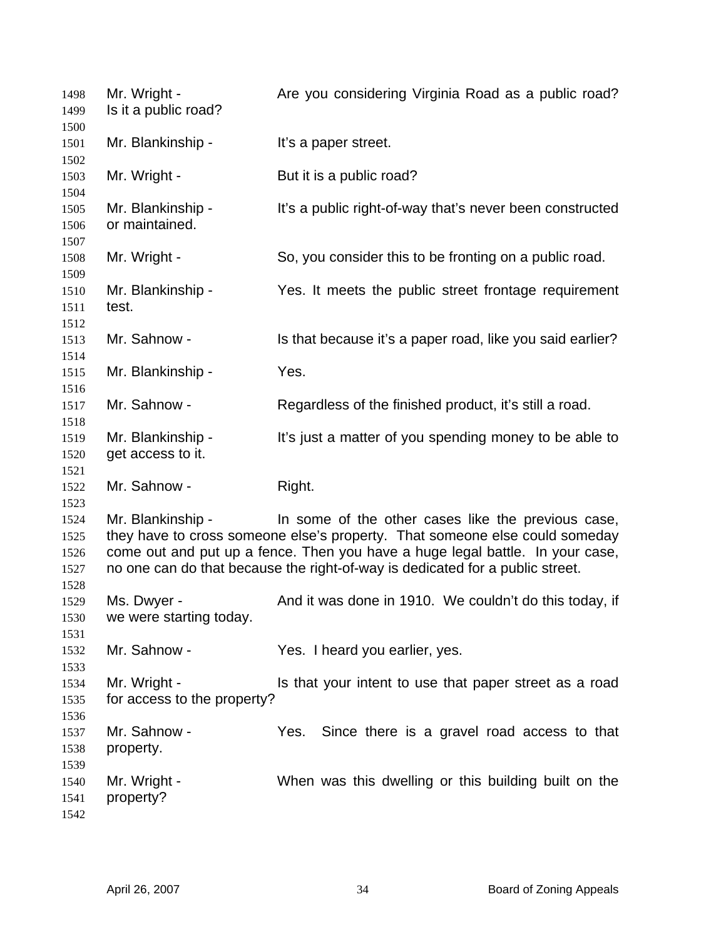| 1498<br>1499                         | Mr. Wright -<br>Is it a public road?        | Are you considering Virginia Road as a public road?                                                                                                                                                                                                                                                 |
|--------------------------------------|---------------------------------------------|-----------------------------------------------------------------------------------------------------------------------------------------------------------------------------------------------------------------------------------------------------------------------------------------------------|
| 1500<br>1501<br>1502                 | Mr. Blankinship -                           | It's a paper street.                                                                                                                                                                                                                                                                                |
| 1503<br>1504                         | Mr. Wright -                                | But it is a public road?                                                                                                                                                                                                                                                                            |
| 1505<br>1506<br>1507                 | Mr. Blankinship -<br>or maintained.         | It's a public right-of-way that's never been constructed                                                                                                                                                                                                                                            |
| 1508<br>1509                         | Mr. Wright -                                | So, you consider this to be fronting on a public road.                                                                                                                                                                                                                                              |
| 1510<br>1511                         | Mr. Blankinship -<br>test.                  | Yes. It meets the public street frontage requirement                                                                                                                                                                                                                                                |
| 1512<br>1513<br>1514                 | Mr. Sahnow -                                | Is that because it's a paper road, like you said earlier?                                                                                                                                                                                                                                           |
| 1515<br>1516                         | Mr. Blankinship -                           | Yes.                                                                                                                                                                                                                                                                                                |
| 1517<br>1518                         | Mr. Sahnow -                                | Regardless of the finished product, it's still a road.                                                                                                                                                                                                                                              |
| 1519<br>1520<br>1521                 | Mr. Blankinship -<br>get access to it.      | It's just a matter of you spending money to be able to                                                                                                                                                                                                                                              |
| 1522<br>1523                         | Mr. Sahnow -                                | Right.                                                                                                                                                                                                                                                                                              |
| 1524<br>1525<br>1526<br>1527<br>1528 | Mr. Blankinship -                           | In some of the other cases like the previous case,<br>they have to cross someone else's property. That someone else could someday<br>come out and put up a fence. Then you have a huge legal battle. In your case,<br>no one can do that because the right-of-way is dedicated for a public street. |
| 1529<br>1530<br>1531                 | Ms. Dwyer -<br>we were starting today.      | And it was done in 1910. We couldn't do this today, if                                                                                                                                                                                                                                              |
| 1532<br>1533                         | Mr. Sahnow -                                | Yes. I heard you earlier, yes.                                                                                                                                                                                                                                                                      |
| 1534<br>1535<br>1536                 | Mr. Wright -<br>for access to the property? | Is that your intent to use that paper street as a road                                                                                                                                                                                                                                              |
| 1537<br>1538<br>1539                 | Mr. Sahnow -<br>property.                   | Since there is a gravel road access to that<br>Yes.                                                                                                                                                                                                                                                 |
| 1540<br>1541<br>1542                 | Mr. Wright -<br>property?                   | When was this dwelling or this building built on the                                                                                                                                                                                                                                                |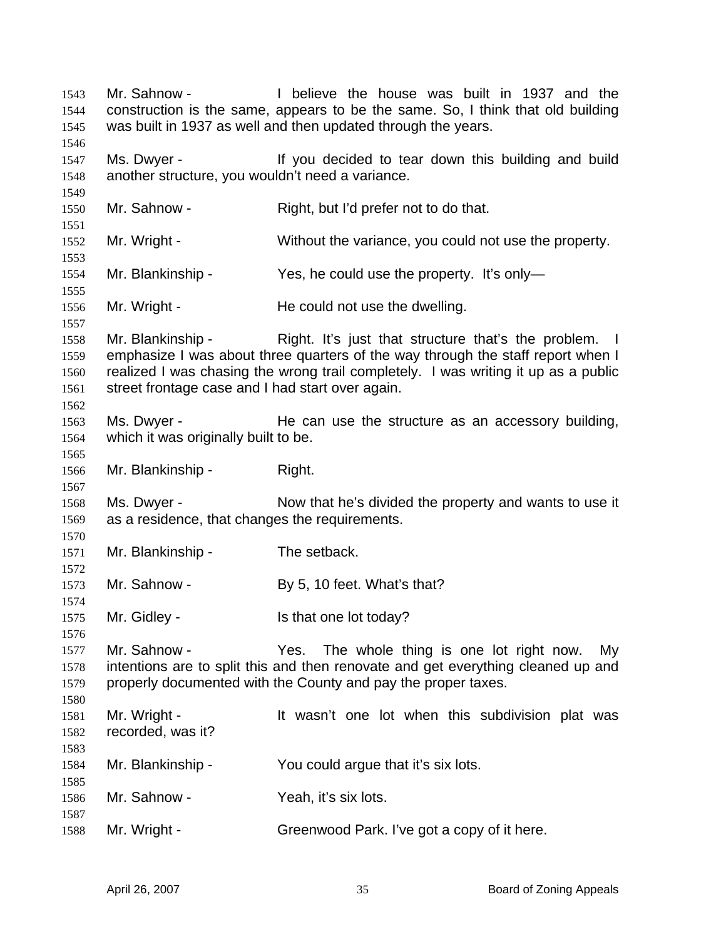Mr. Sahnow - I believe the house was built in 1937 and the construction is the same, appears to be the same. So, I think that old building was built in 1937 as well and then updated through the years. Ms. Dwyer - If you decided to tear down this building and build another structure, you wouldn't need a variance. Mr. Sahnow - Right, but I'd prefer not to do that. Mr. Wright - Without the variance, you could not use the property. Mr. Blankinship - Yes, he could use the property. It's only-Mr. Wright - He could not use the dwelling. Mr. Blankinship - Right. It's just that structure that's the problem. I emphasize I was about three quarters of the way through the staff report when I realized I was chasing the wrong trail completely. I was writing it up as a public street frontage case and I had start over again. Ms. Dwyer - The can use the structure as an accessory building, which it was originally built to be. Mr. Blankinship - Right. Ms. Dwyer - Now that he's divided the property and wants to use it as a residence, that changes the requirements. Mr. Blankinship - The setback. Mr. Sahnow - By 5, 10 feet. What's that? Mr. Gidley - Is that one lot today? Mr. Sahnow - The whole thing is one lot right now. My intentions are to split this and then renovate and get everything cleaned up and properly documented with the County and pay the proper taxes. Mr. Wright - The Mullet wasn't one lot when this subdivision plat was recorded, was it? Mr. Blankinship - You could argue that it's six lots. Mr. Sahnow - Yeah, it's six lots. Mr. Wright - Greenwood Park. I've got a copy of it here.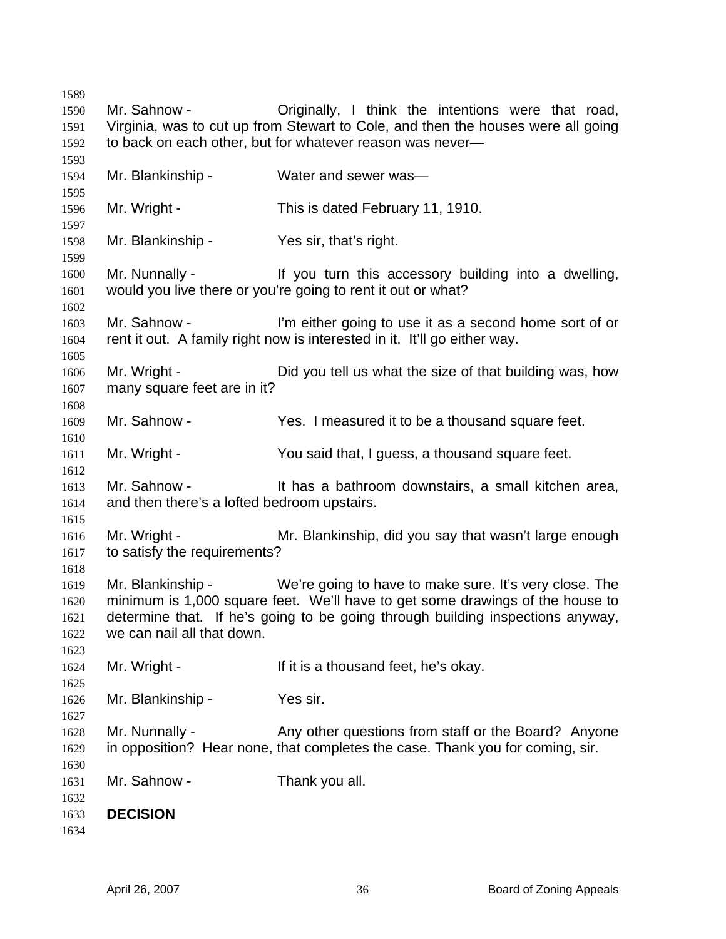Mr. Sahnow - Criginally, I think the intentions were that road, Virginia, was to cut up from Stewart to Cole, and then the houses were all going to back on each other, but for whatever reason was never— Mr. Blankinship - Water and sewer was— Mr. Wright - This is dated February 11, 1910. Mr. Blankinship - Yes sir, that's right. Mr. Nunnally - If you turn this accessory building into a dwelling, would you live there or you're going to rent it out or what? Mr. Sahnow - I'm either going to use it as a second home sort of or rent it out. A family right now is interested in it. It'll go either way. Mr. Wright - Did you tell us what the size of that building was, how many square feet are in it? Mr. Sahnow - Yes. I measured it to be a thousand square feet. Mr. Wright - You said that, I guess, a thousand square feet. Mr. Sahnow - It has a bathroom downstairs, a small kitchen area, and then there's a lofted bedroom upstairs. Mr. Wright - Mr. Blankinship, did you say that wasn't large enough to satisfy the requirements? Mr. Blankinship - We're going to have to make sure. It's very close. The minimum is 1,000 square feet. We'll have to get some drawings of the house to determine that. If he's going to be going through building inspections anyway, we can nail all that down. Mr. Wright - If it is a thousand feet, he's okay. Mr. Blankinship - Yes sir. Mr. Nunnally - Any other questions from staff or the Board? Anyone in opposition? Hear none, that completes the case. Thank you for coming, sir. Mr. Sahnow - Thank you all. **DECISION**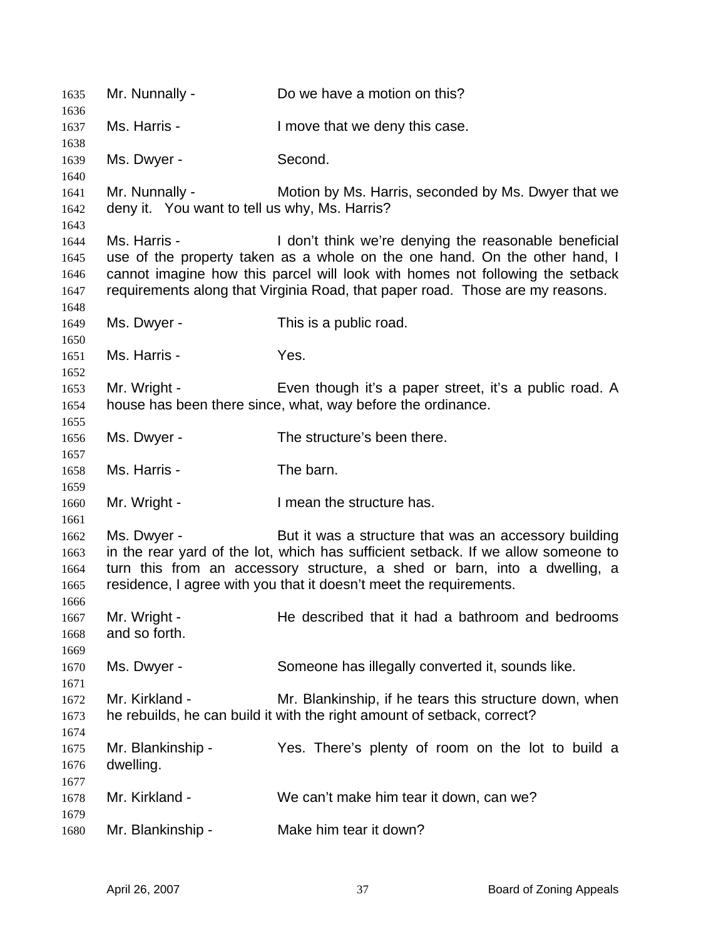Mr. Nunnally - Do we have a motion on this? Ms. Harris - I move that we deny this case. Ms. Dwyer - Second. Mr. Nunnally - Motion by Ms. Harris, seconded by Ms. Dwyer that we deny it. You want to tell us why, Ms. Harris? Ms. Harris - I don't think we're denying the reasonable beneficial use of the property taken as a whole on the one hand. On the other hand, I cannot imagine how this parcel will look with homes not following the setback requirements along that Virginia Road, that paper road. Those are my reasons. Ms. Dwyer - This is a public road. Ms. Harris - Yes. Mr. Wright - Even though it's a paper street, it's a public road. A house has been there since, what, way before the ordinance. Ms. Dwyer - The structure's been there. Ms. Harris - The barn. Mr. Wright - I mean the structure has. Ms. Dwyer - But it was a structure that was an accessory building in the rear yard of the lot, which has sufficient setback. If we allow someone to turn this from an accessory structure, a shed or barn, into a dwelling, a residence, I agree with you that it doesn't meet the requirements. Mr. Wright - He described that it had a bathroom and bedrooms and so forth. Ms. Dwyer - Someone has illegally converted it, sounds like. Mr. Kirkland - The Mr. Blankinship, if he tears this structure down, when he rebuilds, he can build it with the right amount of setback, correct? Mr. Blankinship - Yes. There's plenty of room on the lot to build a dwelling. Mr. Kirkland - We can't make him tear it down, can we? Mr. Blankinship - Make him tear it down?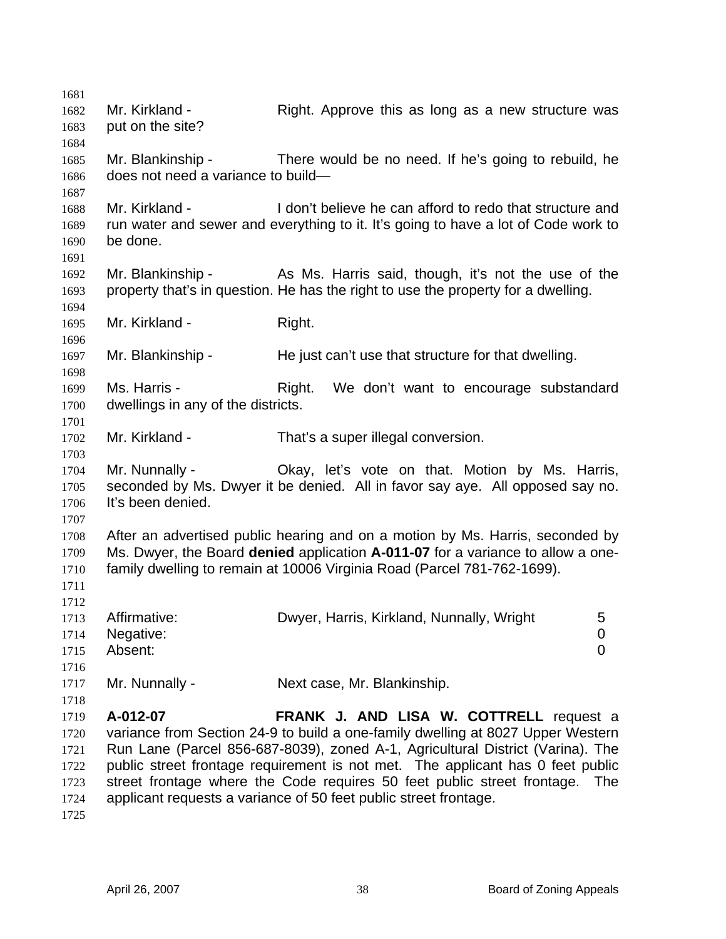| 1681 |                                    |                                                                                    |     |
|------|------------------------------------|------------------------------------------------------------------------------------|-----|
| 1682 | Mr. Kirkland -                     | Right. Approve this as long as a new structure was                                 |     |
| 1683 | put on the site?                   |                                                                                    |     |
| 1684 |                                    |                                                                                    |     |
| 1685 | Mr. Blankinship -                  | There would be no need. If he's going to rebuild, he                               |     |
| 1686 | does not need a variance to build- |                                                                                    |     |
| 1687 |                                    |                                                                                    |     |
| 1688 | Mr. Kirkland -                     | I don't believe he can afford to redo that structure and                           |     |
| 1689 |                                    | run water and sewer and everything to it. It's going to have a lot of Code work to |     |
|      | be done.                           |                                                                                    |     |
| 1690 |                                    |                                                                                    |     |
| 1691 |                                    |                                                                                    |     |
| 1692 | Mr. Blankinship -                  | As Ms. Harris said, though, it's not the use of the                                |     |
| 1693 |                                    | property that's in question. He has the right to use the property for a dwelling.  |     |
| 1694 |                                    |                                                                                    |     |
| 1695 | Mr. Kirkland -                     | Right.                                                                             |     |
| 1696 |                                    |                                                                                    |     |
| 1697 | Mr. Blankinship -                  | He just can't use that structure for that dwelling.                                |     |
| 1698 |                                    |                                                                                    |     |
| 1699 | Ms. Harris -                       | We don't want to encourage substandard<br>Right.                                   |     |
| 1700 | dwellings in any of the districts. |                                                                                    |     |
| 1701 |                                    |                                                                                    |     |
| 1702 | Mr. Kirkland -                     | That's a super illegal conversion.                                                 |     |
| 1703 |                                    |                                                                                    |     |
| 1704 | Mr. Nunnally -                     | Okay, let's vote on that. Motion by Ms. Harris,                                    |     |
| 1705 |                                    | seconded by Ms. Dwyer it be denied. All in favor say aye. All opposed say no.      |     |
| 1706 | It's been denied.                  |                                                                                    |     |
| 1707 |                                    |                                                                                    |     |
| 1708 |                                    | After an advertised public hearing and on a motion by Ms. Harris, seconded by      |     |
| 1709 |                                    | Ms. Dwyer, the Board denied application A-011-07 for a variance to allow a one-    |     |
| 1710 |                                    | family dwelling to remain at 10006 Virginia Road (Parcel 781-762-1699).            |     |
| 1711 |                                    |                                                                                    |     |
| 1712 |                                    |                                                                                    |     |
| 1713 | Affirmative:                       | Dwyer, Harris, Kirkland, Nunnally, Wright<br>5                                     |     |
| 1714 | Negative:                          | $\mathbf 0$                                                                        |     |
| 1715 | Absent:                            | 0                                                                                  |     |
| 1716 |                                    |                                                                                    |     |
| 1717 | Mr. Nunnally -                     | Next case, Mr. Blankinship.                                                        |     |
| 1718 |                                    |                                                                                    |     |
| 1719 | A-012-07                           | FRANK J. AND LISA W. COTTRELL request a                                            |     |
| 1720 |                                    | variance from Section 24-9 to build a one-family dwelling at 8027 Upper Western    |     |
| 1721 |                                    | Run Lane (Parcel 856-687-8039), zoned A-1, Agricultural District (Varina). The     |     |
| 1722 |                                    | public street frontage requirement is not met. The applicant has 0 feet public     |     |
| 1723 |                                    | street frontage where the Code requires 50 feet public street frontage.            | The |
| 1724 |                                    | applicant requests a variance of 50 feet public street frontage.                   |     |
| 1725 |                                    |                                                                                    |     |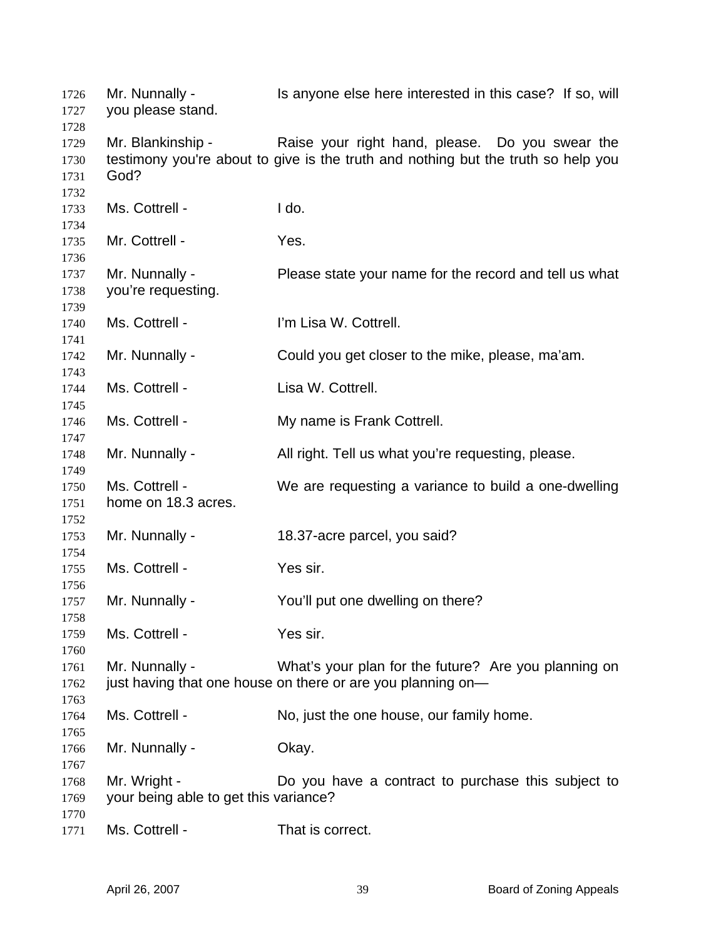| 1726<br>1727                         | Mr. Nunnally -<br>you please stand.                   | Is anyone else here interested in this case? If so, will                                                                             |
|--------------------------------------|-------------------------------------------------------|--------------------------------------------------------------------------------------------------------------------------------------|
| 1728<br>1729<br>1730<br>1731<br>1732 | Mr. Blankinship -<br>God?                             | Raise your right hand, please. Do you swear the<br>testimony you're about to give is the truth and nothing but the truth so help you |
| 1733<br>1734                         | Ms. Cottrell -                                        | I do.                                                                                                                                |
| 1735<br>1736                         | Mr. Cottrell -                                        | Yes.                                                                                                                                 |
| 1737<br>1738<br>1739                 | Mr. Nunnally -<br>you're requesting.                  | Please state your name for the record and tell us what                                                                               |
| 1740<br>1741                         | Ms. Cottrell -                                        | I'm Lisa W. Cottrell.                                                                                                                |
| 1742<br>1743                         | Mr. Nunnally -                                        | Could you get closer to the mike, please, ma'am.                                                                                     |
| 1744<br>1745                         | Ms. Cottrell -                                        | Lisa W. Cottrell.                                                                                                                    |
| 1746<br>1747                         | Ms. Cottrell -                                        | My name is Frank Cottrell.                                                                                                           |
| 1748<br>1749                         | Mr. Nunnally -                                        | All right. Tell us what you're requesting, please.                                                                                   |
| 1750<br>1751                         | Ms. Cottrell -<br>home on 18.3 acres.                 | We are requesting a variance to build a one-dwelling                                                                                 |
| 1752<br>1753                         | Mr. Nunnally -                                        | 18.37-acre parcel, you said?                                                                                                         |
| 1754<br>1755                         | Ms. Cottrell -                                        | Yes sir.                                                                                                                             |
| 1756<br>1757                         | Mr. Nunnally -                                        | You'll put one dwelling on there?                                                                                                    |
| 1758<br>1759<br>1760                 | Ms. Cottrell -                                        | Yes sir.                                                                                                                             |
| 1761<br>1762<br>1763                 | Mr. Nunnally -                                        | What's your plan for the future? Are you planning on<br>just having that one house on there or are you planning on-                  |
| 1764<br>1765                         | Ms. Cottrell -                                        | No, just the one house, our family home.                                                                                             |
| 1766<br>1767                         | Mr. Nunnally -                                        | Okay.                                                                                                                                |
| 1768<br>1769<br>1770                 | Mr. Wright -<br>your being able to get this variance? | Do you have a contract to purchase this subject to                                                                                   |
| 1771                                 | Ms. Cottrell -                                        | That is correct.                                                                                                                     |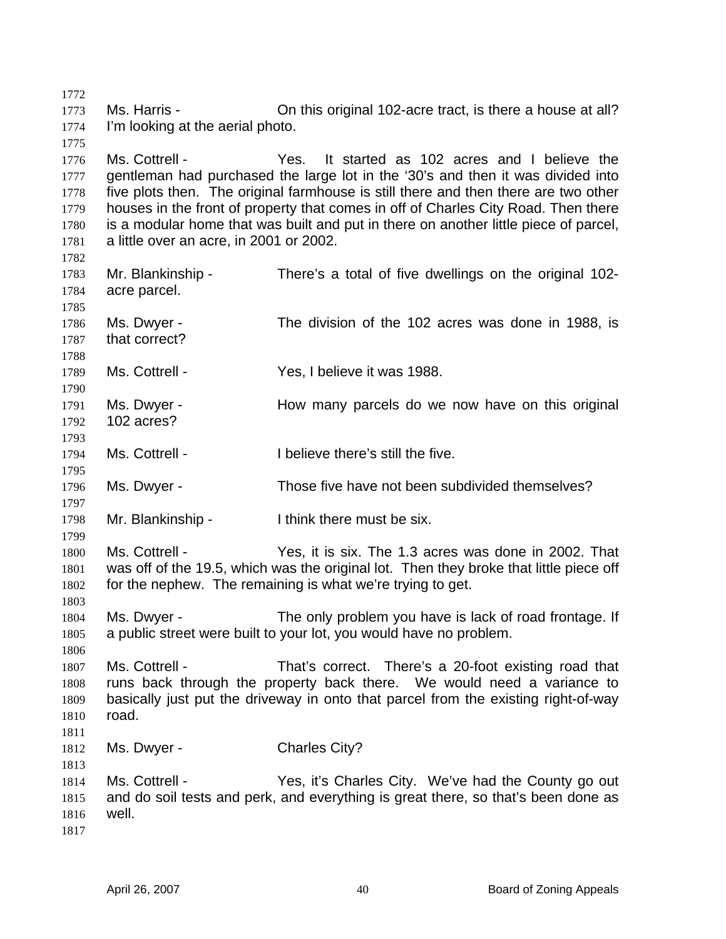1772 1773 1774 1775 1776 1777 1778 1779 1780 1781 1782 1783 1784 1785 1786 1787 1788 1789 1790 1791 1792 1793 1794 1795 1796 1797 1798 1799 1800 1801 1802 1803 1804 1805 1806 1807 1808 1809 1810 1811 1812 1813 1814 1815 1816 1817 Ms. Harris - Chris original 102-acre tract, is there a house at all? I'm looking at the aerial photo. Ms. Cottrell - Yes. It started as 102 acres and I believe the gentleman had purchased the large lot in the '30's and then it was divided into five plots then. The original farmhouse is still there and then there are two other houses in the front of property that comes in off of Charles City Road. Then there is a modular home that was built and put in there on another little piece of parcel, a little over an acre, in 2001 or 2002. Mr. Blankinship - There's a total of five dwellings on the original 102acre parcel. Ms. Dwyer - The division of the 102 acres was done in 1988, is that correct? Ms. Cottrell - The Yes, I believe it was 1988. Ms. Dwyer - The How many parcels do we now have on this original 102 acres? Ms. Cottrell - I believe there's still the five. Ms. Dwyer - Those five have not been subdivided themselves? Mr. Blankinship - Think there must be six. Ms. Cottrell - Yes, it is six. The 1.3 acres was done in 2002. That was off of the 19.5, which was the original lot. Then they broke that little piece off for the nephew. The remaining is what we're trying to get. Ms. Dwyer - The only problem you have is lack of road frontage. If a public street were built to your lot, you would have no problem. Ms. Cottrell - That's correct. There's a 20-foot existing road that runs back through the property back there. We would need a variance to basically just put the driveway in onto that parcel from the existing right-of-way road. Ms. Dwyer - Charles City? Ms. Cottrell - The Yes, it's Charles City. We've had the County go out and do soil tests and perk, and everything is great there, so that's been done as well.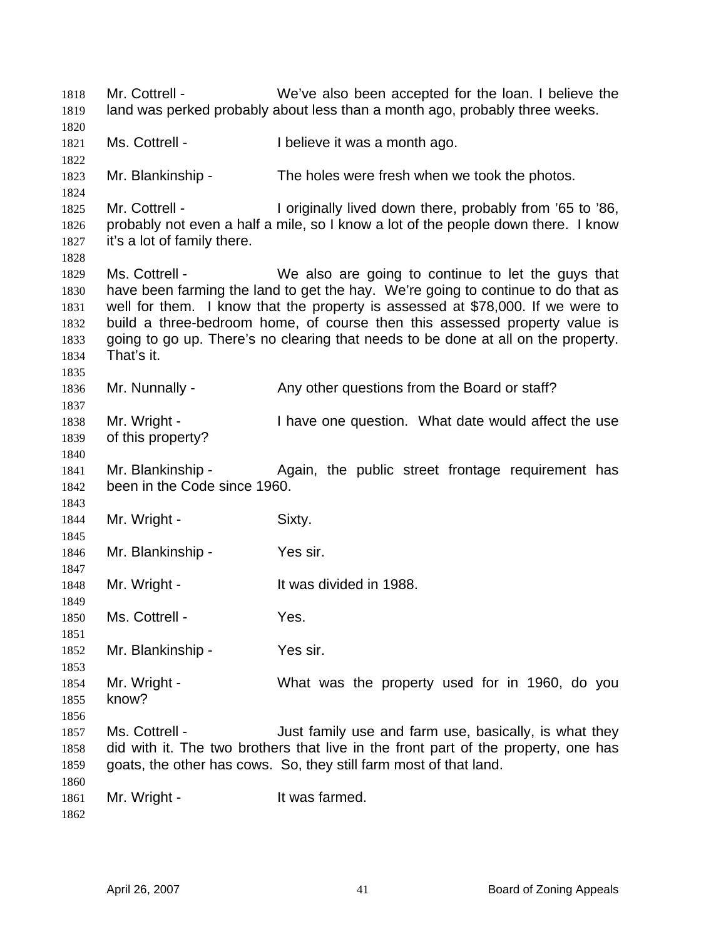Mr. Cottrell - We've also been accepted for the loan. I believe the land was perked probably about less than a month ago, probably three weeks. 1818 1819 1820 1821 1822 1823 1824 1825 1826 1827 1828 1829 1830 1831 1832 1833 1834 1835 1836 1837 1838 1839 1840 1841 1842 1843 1844 1845 1846 1847 1848 1849 1850 1851 1852 1853 1854 1855 1856 1857 1858 1859 1860 1861 1862 Ms. Cottrell - The lieve it was a month ago. Mr. Blankinship - The holes were fresh when we took the photos. Mr. Cottrell - I originally lived down there, probably from '65 to '86, probably not even a half a mile, so I know a lot of the people down there. I know it's a lot of family there. Ms. Cottrell - We also are going to continue to let the guys that have been farming the land to get the hay. We're going to continue to do that as well for them. I know that the property is assessed at \$78,000. If we were to build a three-bedroom home, of course then this assessed property value is going to go up. There's no clearing that needs to be done at all on the property. That's it. Mr. Nunnally - Any other questions from the Board or staff? Mr. Wright - Thave one question. What date would affect the use of this property? Mr. Blankinship - The Again, the public street frontage requirement has been in the Code since 1960. Mr. Wright - Sixty. Mr. Blankinship - Yes sir. Mr. Wright - It was divided in 1988. Ms. Cottrell - The Yes. Mr. Blankinship - Yes sir. Mr. Wright - What was the property used for in 1960, do you know? Ms. Cottrell - The Suit family use and farm use, basically, is what they did with it. The two brothers that live in the front part of the property, one has goats, the other has cows. So, they still farm most of that land. Mr. Wright - The Mustain Starmed.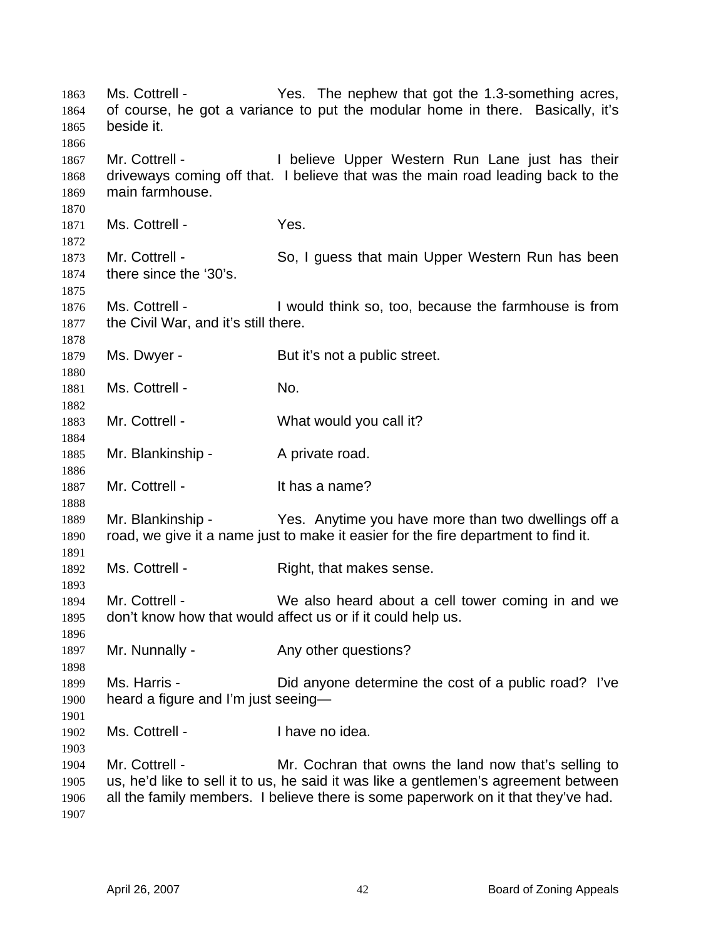| 1863<br>1864<br>1865<br>1866 | Ms. Cottrell -<br>beside it.                           | Yes. The nephew that got the 1.3-something acres,<br>of course, he got a variance to put the modular home in there. Basically, it's                                                                                              |
|------------------------------|--------------------------------------------------------|----------------------------------------------------------------------------------------------------------------------------------------------------------------------------------------------------------------------------------|
| 1867<br>1868<br>1869<br>1870 | Mr. Cottrell -<br>main farmhouse.                      | I believe Upper Western Run Lane just has their<br>driveways coming off that. I believe that was the main road leading back to the                                                                                               |
| 1871<br>1872                 | Ms. Cottrell -                                         | Yes.                                                                                                                                                                                                                             |
| 1873<br>1874<br>1875         | Mr. Cottrell -<br>there since the '30's.               | So, I guess that main Upper Western Run has been                                                                                                                                                                                 |
| 1876<br>1877<br>1878         | Ms. Cottrell -<br>the Civil War, and it's still there. | I would think so, too, because the farmhouse is from                                                                                                                                                                             |
| 1879<br>1880                 | Ms. Dwyer -                                            | But it's not a public street.                                                                                                                                                                                                    |
| 1881<br>1882                 | Ms. Cottrell -                                         | No.                                                                                                                                                                                                                              |
| 1883<br>1884                 | Mr. Cottrell -                                         | What would you call it?                                                                                                                                                                                                          |
| 1885<br>1886                 | Mr. Blankinship -                                      | A private road.                                                                                                                                                                                                                  |
| 1887<br>1888                 | Mr. Cottrell -                                         | It has a name?                                                                                                                                                                                                                   |
| 1889<br>1890<br>1891         | Mr. Blankinship -                                      | Yes. Anytime you have more than two dwellings off a<br>road, we give it a name just to make it easier for the fire department to find it.                                                                                        |
| 1892<br>1893                 | Ms. Cottrell -                                         | Right, that makes sense.                                                                                                                                                                                                         |
| 1894<br>1895<br>1896         | Mr. Cottrell -                                         | We also heard about a cell tower coming in and we<br>don't know how that would affect us or if it could help us.                                                                                                                 |
| 1897<br>1898                 | Mr. Nunnally -                                         | Any other questions?                                                                                                                                                                                                             |
| 1899<br>1900<br>1901         | Ms. Harris -<br>heard a figure and I'm just seeing-    | Did anyone determine the cost of a public road? I've                                                                                                                                                                             |
| 1902<br>1903                 | Ms. Cottrell -                                         | I have no idea.                                                                                                                                                                                                                  |
| 1904<br>1905<br>1906<br>1907 | Mr. Cottrell -                                         | Mr. Cochran that owns the land now that's selling to<br>us, he'd like to sell it to us, he said it was like a gentlemen's agreement between<br>all the family members. I believe there is some paperwork on it that they've had. |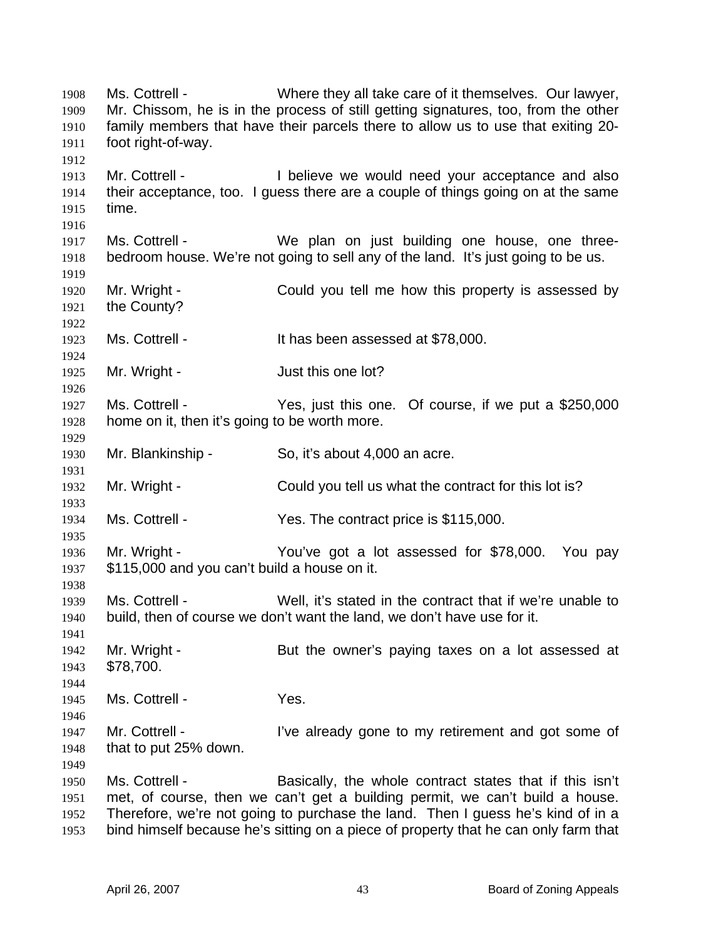Ms. Cottrell - Where they all take care of it themselves. Our lawyer, Mr. Chissom, he is in the process of still getting signatures, too, from the other family members that have their parcels there to allow us to use that exiting 20 foot right-of-way. 1908 1909 1910 1911 1912 1913 1914 1915 1916 1917 1918 1919 1920 1921 1922 1923 1924 1925 1926 1927 1928 1929 1930 1931 1932 1933 1934 1935 1936 1937 1938 1939 1940 1941 1942 1943 1944 1945 1946 1947 1948 1949 1950 1951 1952 1953 Mr. Cottrell - The I believe we would need your acceptance and also their acceptance, too. I guess there are a couple of things going on at the same time. Ms. Cottrell - We plan on just building one house, one threebedroom house. We're not going to sell any of the land. It's just going to be us. Mr. Wright - Could you tell me how this property is assessed by the County? Ms. Cottrell - It has been assessed at \$78,000. Mr. Wright - The Solution of Just this one lot? Ms. Cottrell - Yes, just this one. Of course, if we put a \$250,000 home on it, then it's going to be worth more. Mr. Blankinship - So, it's about 4,000 an acre. Mr. Wright - Could you tell us what the contract for this lot is? Ms. Cottrell - Yes. The contract price is \$115,000. Mr. Wright - You've got a lot assessed for \$78,000. You pay \$115,000 and you can't build a house on it. Ms. Cottrell - Well, it's stated in the contract that if we're unable to build, then of course we don't want the land, we don't have use for it. Mr. Wright - But the owner's paying taxes on a lot assessed at \$78,700. Ms. Cottrell - The Yes. Mr. Cottrell - I've already gone to my retirement and got some of that to put 25% down. Ms. Cottrell - Basically, the whole contract states that if this isn't met, of course, then we can't get a building permit, we can't build a house. Therefore, we're not going to purchase the land. Then I guess he's kind of in a bind himself because he's sitting on a piece of property that he can only farm that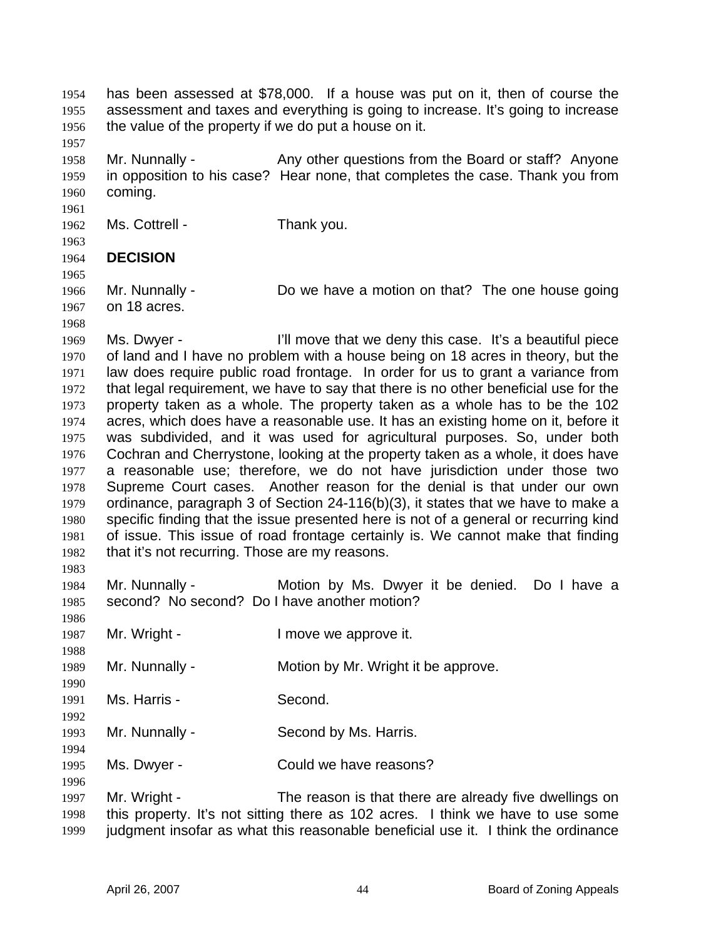has been assessed at \$78,000. If a house was put on it, then of course the assessment and taxes and everything is going to increase. It's going to increase the value of the property if we do put a house on it. 1954 1955 1956

1958 1959 1960 Mr. Nunnally - Any other questions from the Board or staff? Anyone in opposition to his case? Hear none, that completes the case. Thank you from coming.

1962 Ms. Cottrell - Thank you.

1963

1968

1983

1986

1990

1992

1994

1996

1961

1957

1964 **DECISION** 

1965 1966 1967 Mr. Nunnally - Do we have a motion on that? The one house going on 18 acres.

1969 1970 1971 1972 1973 1974 1975 1976 1977 1978 1979 1980 1981 1982 Ms. Dwyer - I'll move that we deny this case. It's a beautiful piece of land and I have no problem with a house being on 18 acres in theory, but the law does require public road frontage. In order for us to grant a variance from that legal requirement, we have to say that there is no other beneficial use for the property taken as a whole. The property taken as a whole has to be the 102 acres, which does have a reasonable use. It has an existing home on it, before it was subdivided, and it was used for agricultural purposes. So, under both Cochran and Cherrystone, looking at the property taken as a whole, it does have a reasonable use; therefore, we do not have jurisdiction under those two Supreme Court cases. Another reason for the denial is that under our own ordinance, paragraph 3 of Section 24-116(b)(3), it states that we have to make a specific finding that the issue presented here is not of a general or recurring kind of issue. This issue of road frontage certainly is. We cannot make that finding that it's not recurring. Those are my reasons.

1984 1985 Mr. Nunnally - The Motion by Ms. Dwyer it be denied. Do I have a second? No second? Do I have another motion?

1987 Mr. Wright - The Music Contract Henry Mr. Wright - The Industry Industry Mr. 2016.

1988 1989 Mr. Nunnally - Motion by Mr. Wright it be approve.

1991 Ms. Harris - Second.

1993 Mr. Nunnally - Second by Ms. Harris.

1995 Ms. Dwyer - Could we have reasons?

1997 1998 1999 Mr. Wright - The reason is that there are already five dwellings on this property. It's not sitting there as 102 acres. I think we have to use some judgment insofar as what this reasonable beneficial use it. I think the ordinance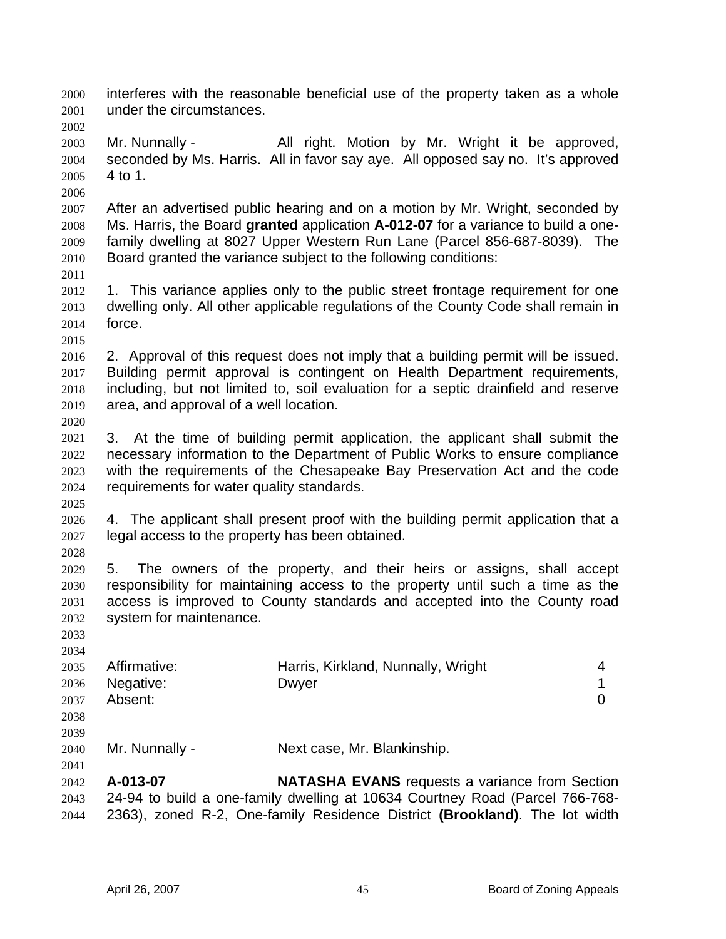interferes with the reasonable beneficial use of the property taken as a whole under the circumstances. 2000 2001 2002

2003 2004 2005 Mr. Nunnally - All right. Motion by Mr. Wright it be approved, seconded by Ms. Harris. All in favor say aye. All opposed say no. It's approved 4 to 1.

2006

2007 2008 2009 2010 After an advertised public hearing and on a motion by Mr. Wright, seconded by Ms. Harris, the Board **granted** application **A-012-07** for a variance to build a onefamily dwelling at 8027 Upper Western Run Lane (Parcel 856-687-8039). The Board granted the variance subject to the following conditions:

- 2011
- 2012 2013 2014 1. This variance applies only to the public street frontage requirement for one dwelling only. All other applicable regulations of the County Code shall remain in force.

2015

2016 2017 2018 2019 2020 2. Approval of this request does not imply that a building permit will be issued. Building permit approval is contingent on Health Department requirements, including, but not limited to, soil evaluation for a septic drainfield and reserve area, and approval of a well location.

2021 2022 2023 2024 3. At the time of building permit application, the applicant shall submit the necessary information to the Department of Public Works to ensure compliance with the requirements of the Chesapeake Bay Preservation Act and the code requirements for water quality standards.

2026 2027 4. The applicant shall present proof with the building permit application that a legal access to the property has been obtained.

2028

2025

2029 2030 2031 2032 5. The owners of the property, and their heirs or assigns, shall accept responsibility for maintaining access to the property until such a time as the access is improved to County standards and accepted into the County road system for maintenance.

2033 2034

|                      | 2035 Affirmative: | Harris, Kirkland, Nunnally, Wright |  |
|----------------------|-------------------|------------------------------------|--|
|                      | 2036 Negative:    | Dwyer                              |  |
| 2037                 | Absent:           |                                    |  |
| $\sim$ $\sim$ $\sim$ |                   |                                    |  |

2038 2039

2041

2040 Mr. Nunnally - Next case, Mr. Blankinship.

2042 2043 2044 **A-013-07 NATASHA EVANS** requests a variance from Section 24-94 to build a one-family dwelling at 10634 Courtney Road (Parcel 766-768- 2363), zoned R-2, One-family Residence District **(Brookland)**. The lot width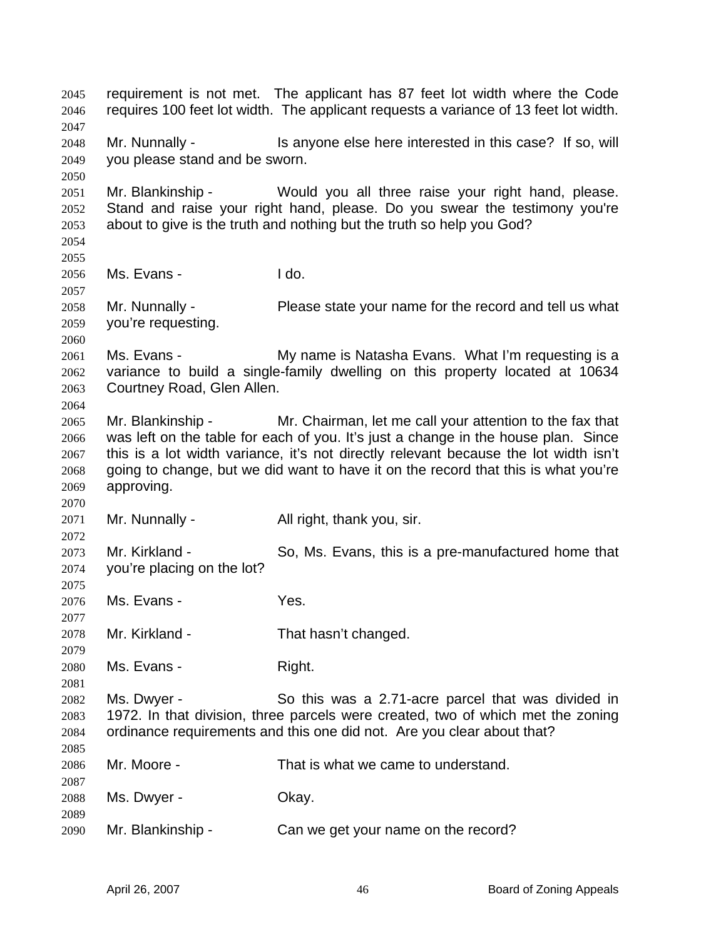requirement is not met. The applicant has 87 feet lot width where the Code requires 100 feet lot width. The applicant requests a variance of 13 feet lot width. 2045 2046 2047 2048 2049 2050 2051 2052 2053 2054 2055 2056 2057 2058 2059 2060 2061 2062 2063 2064 2065 2066 2067 2068 2069 2070 2071 2072 2073 2074 2075 2076 2077 2078 2079 2080 2081 2082 2083 2084 2085 2086 2087 2088 2089 2090 Mr. Nunnally - This anyone else here interested in this case? If so, will you please stand and be sworn. Mr. Blankinship - Would you all three raise your right hand, please. Stand and raise your right hand, please. Do you swear the testimony you're about to give is the truth and nothing but the truth so help you God? Ms. Evans - I do. Mr. Nunnally - **Please state your name for the record and tell us what** you're requesting. Ms. Evans - The My name is Natasha Evans. What I'm requesting is a variance to build a single-family dwelling on this property located at 10634 Courtney Road, Glen Allen. Mr. Blankinship - Mr. Chairman, let me call your attention to the fax that was left on the table for each of you. It's just a change in the house plan. Since this is a lot width variance, it's not directly relevant because the lot width isn't going to change, but we did want to have it on the record that this is what you're approving. Mr. Nunnally - All right, thank you, sir. Mr. Kirkland - So, Ms. Evans, this is a pre-manufactured home that you're placing on the lot? Ms. Evans - Yes. Mr. Kirkland - That hasn't changed. Ms. Evans - Right. Ms. Dwyer - So this was a 2.71-acre parcel that was divided in 1972. In that division, three parcels were created, two of which met the zoning ordinance requirements and this one did not. Are you clear about that? Mr. Moore - That is what we came to understand. Ms. Dwyer - Chay. Mr. Blankinship - Can we get your name on the record?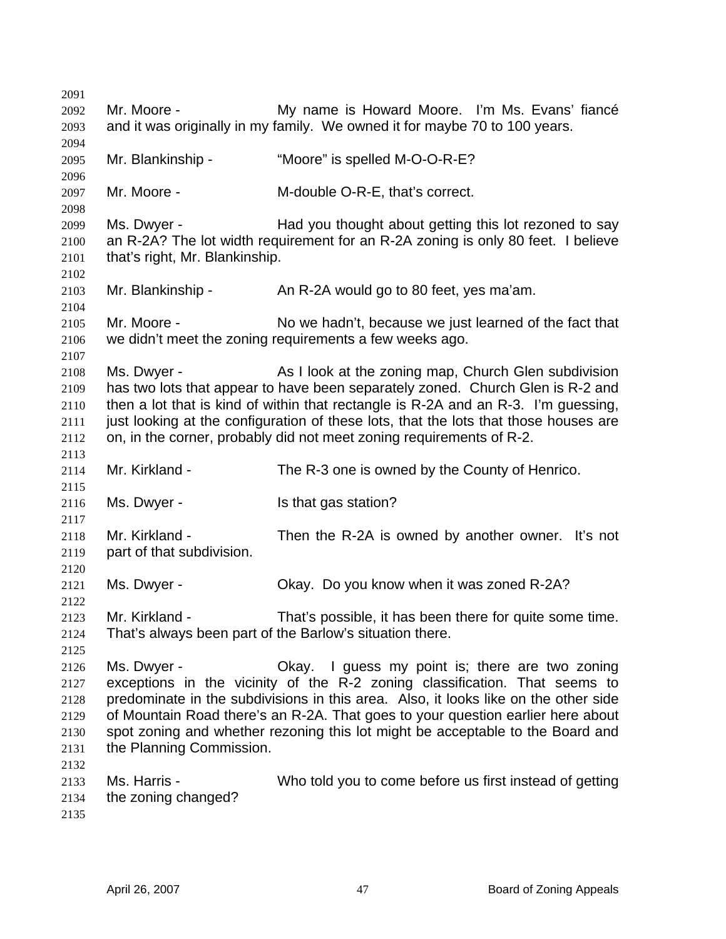| 2091         |                                                                                                                                                                   |                                                                                |  |
|--------------|-------------------------------------------------------------------------------------------------------------------------------------------------------------------|--------------------------------------------------------------------------------|--|
| 2092         | Mr. Moore -                                                                                                                                                       | My name is Howard Moore. I'm Ms. Evans' fiancé                                 |  |
| 2093         | and it was originally in my family. We owned it for maybe 70 to 100 years.                                                                                        |                                                                                |  |
| 2094         |                                                                                                                                                                   |                                                                                |  |
| 2095         | Mr. Blankinship -                                                                                                                                                 | "Moore" is spelled M-O-O-R-E?                                                  |  |
| 2096         |                                                                                                                                                                   |                                                                                |  |
| 2097         | Mr. Moore -                                                                                                                                                       | M-double O-R-E, that's correct.                                                |  |
| 2098         |                                                                                                                                                                   |                                                                                |  |
| 2099         | Ms. Dwyer -                                                                                                                                                       | Had you thought about getting this lot rezoned to say                          |  |
| 2100         | an R-2A? The lot width requirement for an R-2A zoning is only 80 feet. I believe                                                                                  |                                                                                |  |
| 2101         | that's right, Mr. Blankinship.                                                                                                                                    |                                                                                |  |
| 2102         |                                                                                                                                                                   |                                                                                |  |
| 2103         | Mr. Blankinship -                                                                                                                                                 | An R-2A would go to 80 feet, yes ma'am.                                        |  |
| 2104         | Mr. Moore -                                                                                                                                                       | No we hadn't, because we just learned of the fact that                         |  |
| 2105<br>2106 |                                                                                                                                                                   | we didn't meet the zoning requirements a few weeks ago.                        |  |
| 2107         |                                                                                                                                                                   |                                                                                |  |
| 2108         | Ms. Dwyer -                                                                                                                                                       | As I look at the zoning map, Church Glen subdivision                           |  |
| 2109         |                                                                                                                                                                   | has two lots that appear to have been separately zoned. Church Glen is R-2 and |  |
| 2110         | then a lot that is kind of within that rectangle is R-2A and an R-3. I'm guessing,                                                                                |                                                                                |  |
| 2111         | just looking at the configuration of these lots, that the lots that those houses are                                                                              |                                                                                |  |
| 2112         |                                                                                                                                                                   | on, in the corner, probably did not meet zoning requirements of R-2.           |  |
| 2113         |                                                                                                                                                                   |                                                                                |  |
| 2114         | Mr. Kirkland -                                                                                                                                                    | The R-3 one is owned by the County of Henrico.                                 |  |
| 2115         |                                                                                                                                                                   |                                                                                |  |
| 2116         | Ms. Dwyer -                                                                                                                                                       | Is that gas station?                                                           |  |
| 2117         |                                                                                                                                                                   |                                                                                |  |
| 2118         | Mr. Kirkland -                                                                                                                                                    | Then the R-2A is owned by another owner. It's not                              |  |
| 2119         | part of that subdivision.                                                                                                                                         |                                                                                |  |
| 2120         |                                                                                                                                                                   |                                                                                |  |
| 2121         | Ms. Dwyer -                                                                                                                                                       | Okay. Do you know when it was zoned R-2A?                                      |  |
| 2122         |                                                                                                                                                                   |                                                                                |  |
| 2123         | Mr. Kirkland -                                                                                                                                                    | That's possible, it has been there for quite some time.                        |  |
| 2124         |                                                                                                                                                                   | That's always been part of the Barlow's situation there.                       |  |
| 2125         |                                                                                                                                                                   |                                                                                |  |
| 2126         | Ms. Dwyer -                                                                                                                                                       | Okay. I guess my point is; there are two zoning                                |  |
| 2127         | exceptions in the vicinity of the R-2 zoning classification. That seems to                                                                                        |                                                                                |  |
| 2128         | predominate in the subdivisions in this area. Also, it looks like on the other side                                                                               |                                                                                |  |
| 2129<br>2130 | of Mountain Road there's an R-2A. That goes to your question earlier here about<br>spot zoning and whether rezoning this lot might be acceptable to the Board and |                                                                                |  |
| 2131         | the Planning Commission.                                                                                                                                          |                                                                                |  |
| 2132         |                                                                                                                                                                   |                                                                                |  |
| 2133         | Ms. Harris -                                                                                                                                                      | Who told you to come before us first instead of getting                        |  |
| 2134         | the zoning changed?                                                                                                                                               |                                                                                |  |
| 2135         |                                                                                                                                                                   |                                                                                |  |
|              |                                                                                                                                                                   |                                                                                |  |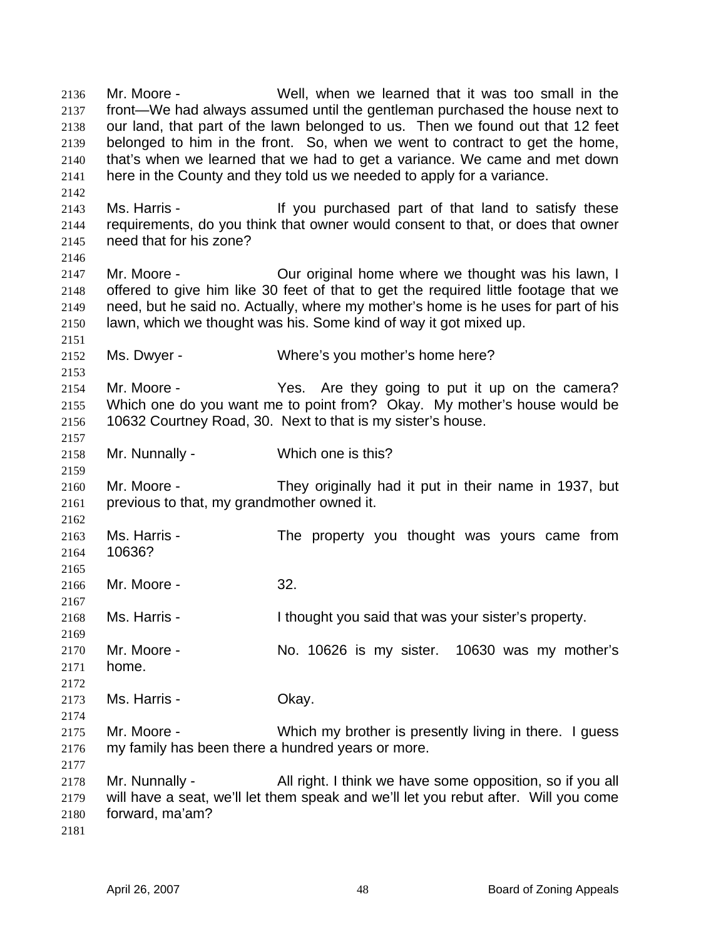Mr. Moore - Well, when we learned that it was too small in the front—We had always assumed until the gentleman purchased the house next to our land, that part of the lawn belonged to us. Then we found out that 12 feet belonged to him in the front. So, when we went to contract to get the home, that's when we learned that we had to get a variance. We came and met down here in the County and they told us we needed to apply for a variance. 2136 2137 2138 2139 2140 2141 2142 2143 2144 2145 2146 2147 2148 2149 2150 2151 2152 2153 2154 2155 2156 2157 2158 2159 2160 2161 2162 2163 2164 2165 2166 2167 2168 2169 2170 2171 2172 2173 2174 2175 2176 2177 2178 2179 2180 2181 Ms. Harris - The Music of that land to satisfy these requirements, do you think that owner would consent to that, or does that owner need that for his zone? Mr. Moore - **Our original home where we thought was his lawn, I** offered to give him like 30 feet of that to get the required little footage that we need, but he said no. Actually, where my mother's home is he uses for part of his lawn, which we thought was his. Some kind of way it got mixed up. Ms. Dwyer - Where's you mother's home here? Mr. Moore - The Yes. Are they going to put it up on the camera? Which one do you want me to point from? Okay. My mother's house would be 10632 Courtney Road, 30. Next to that is my sister's house. Mr. Nunnally - Which one is this? Mr. Moore - They originally had it put in their name in 1937, but previous to that, my grandmother owned it. Ms. Harris - The property you thought was yours came from 10636? Mr. Moore - 32. Ms. Harris - The I thought you said that was your sister's property. Mr. Moore - No. 10626 is my sister. 10630 was my mother's home. Ms. Harris - Chay. Mr. Moore - **Which my brother is presently living in there.** I guess my family has been there a hundred years or more. Mr. Nunnally - All right. I think we have some opposition, so if you all will have a seat, we'll let them speak and we'll let you rebut after. Will you come forward, ma'am?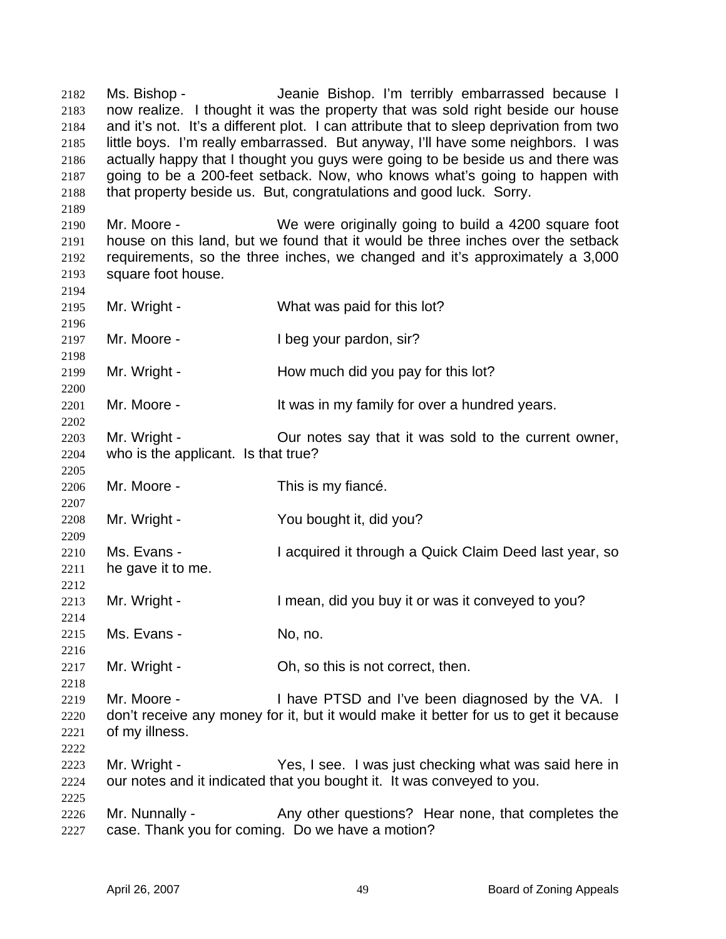Ms. Bishop - Jeanie Bishop. I'm terribly embarrassed because I now realize. I thought it was the property that was sold right beside our house and it's not. It's a different plot. I can attribute that to sleep deprivation from two little boys. I'm really embarrassed. But anyway, I'll have some neighbors. I was actually happy that I thought you guys were going to be beside us and there was going to be a 200-feet setback. Now, who knows what's going to happen with that property beside us. But, congratulations and good luck. Sorry. 2182 2183 2184 2185 2186 2187 2188

2190 2191 2192 2193 Mr. Moore - We were originally going to build a 4200 square foot house on this land, but we found that it would be three inches over the setback requirements, so the three inches, we changed and it's approximately a 3,000 square foot house.

2194 2195 2196 2197 2198 2199 2200 2201 2202 2203 2204 2205 2206 2207 2208 2209 2210 2211 2212 2213 2214 2215 2216 2217 2218 2219 2220 2221 2222 2223 2224 2225 2226 2227 Mr. Wright - What was paid for this lot? Mr. Moore - The Updayour pardon, sir? Mr. Wright - How much did you pay for this lot? Mr. Moore - It was in my family for over a hundred years. Mr. Wright - Cur notes say that it was sold to the current owner, who is the applicant. Is that true? Mr. Moore - This is my fiance. Mr. Wright - The You bought it, did you? Ms. Evans - I acquired it through a Quick Claim Deed last year, so he gave it to me. Mr. Wright - The I mean, did you buy it or was it conveyed to you? Ms. Evans - No. no. Mr. Wright - Ch, so this is not correct, then. Mr. Moore - Thave PTSD and I've been diagnosed by the VA. I don't receive any money for it, but it would make it better for us to get it because of my illness. Mr. Wright - Yes, I see. I was just checking what was said here in our notes and it indicated that you bought it. It was conveyed to you. Mr. Nunnally - Any other questions? Hear none, that completes the case. Thank you for coming. Do we have a motion?

2189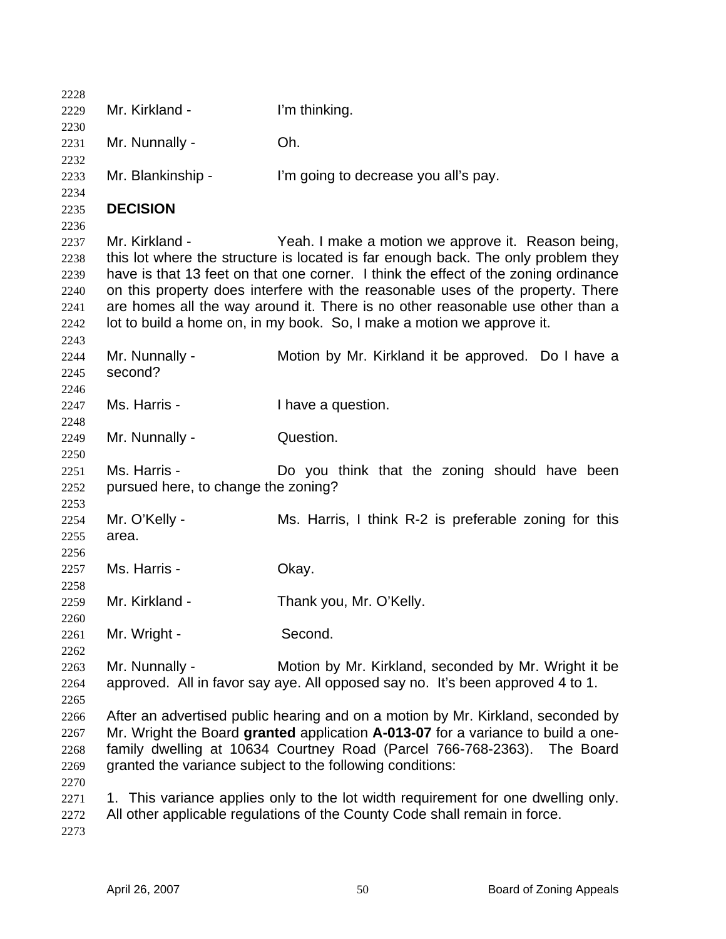| 2228         |                                                                                                                                                                        |                                                                                   |  |
|--------------|------------------------------------------------------------------------------------------------------------------------------------------------------------------------|-----------------------------------------------------------------------------------|--|
| 2229         | Mr. Kirkland -                                                                                                                                                         | I'm thinking.                                                                     |  |
| 2230         |                                                                                                                                                                        |                                                                                   |  |
| 2231         | Mr. Nunnally -                                                                                                                                                         | Oh.                                                                               |  |
| 2232         |                                                                                                                                                                        |                                                                                   |  |
| 2233         | Mr. Blankinship -                                                                                                                                                      | I'm going to decrease you all's pay.                                              |  |
| 2234         |                                                                                                                                                                        |                                                                                   |  |
| 2235         | <b>DECISION</b>                                                                                                                                                        |                                                                                   |  |
| 2236         |                                                                                                                                                                        |                                                                                   |  |
| 2237         | Mr. Kirkland -                                                                                                                                                         | Yeah. I make a motion we approve it. Reason being,                                |  |
| 2238         |                                                                                                                                                                        | this lot where the structure is located is far enough back. The only problem they |  |
| 2239         | have is that 13 feet on that one corner. I think the effect of the zoning ordinance<br>on this property does interfere with the reasonable uses of the property. There |                                                                                   |  |
| 2240<br>2241 |                                                                                                                                                                        | are homes all the way around it. There is no other reasonable use other than a    |  |
| 2242         |                                                                                                                                                                        | lot to build a home on, in my book. So, I make a motion we approve it.            |  |
| 2243         |                                                                                                                                                                        |                                                                                   |  |
| 2244         | Mr. Nunnally -                                                                                                                                                         | Motion by Mr. Kirkland it be approved. Do I have a                                |  |
| 2245         | second?                                                                                                                                                                |                                                                                   |  |
| 2246         |                                                                                                                                                                        |                                                                                   |  |
| 2247         | Ms. Harris -                                                                                                                                                           | I have a question.                                                                |  |
| 2248         |                                                                                                                                                                        |                                                                                   |  |
| 2249         | Mr. Nunnally -                                                                                                                                                         | Question.                                                                         |  |
| 2250         |                                                                                                                                                                        |                                                                                   |  |
| 2251         | Ms. Harris -                                                                                                                                                           | Do you think that the zoning should have been                                     |  |
| 2252         | pursued here, to change the zoning?                                                                                                                                    |                                                                                   |  |
| 2253         |                                                                                                                                                                        |                                                                                   |  |
| 2254         | Mr. O'Kelly -                                                                                                                                                          | Ms. Harris, I think R-2 is preferable zoning for this                             |  |
| 2255         | area.                                                                                                                                                                  |                                                                                   |  |
| 2256         |                                                                                                                                                                        |                                                                                   |  |
| 2257         | Ms. Harris -                                                                                                                                                           | Okay.                                                                             |  |
| 2258         |                                                                                                                                                                        |                                                                                   |  |
| 2259         | Mr. Kirkland -                                                                                                                                                         | Thank you, Mr. O'Kelly.                                                           |  |
| 2260         |                                                                                                                                                                        |                                                                                   |  |
| 2261         | Mr. Wright -                                                                                                                                                           | Second.                                                                           |  |
| 2262         |                                                                                                                                                                        |                                                                                   |  |
| 2263         | Mr. Nunnally -                                                                                                                                                         | Motion by Mr. Kirkland, seconded by Mr. Wright it be                              |  |
| 2264         |                                                                                                                                                                        | approved. All in favor say aye. All opposed say no. It's been approved 4 to 1.    |  |
| 2265         |                                                                                                                                                                        |                                                                                   |  |
| 2266         | After an advertised public hearing and on a motion by Mr. Kirkland, seconded by                                                                                        |                                                                                   |  |
| 2267         | Mr. Wright the Board granted application A-013-07 for a variance to build a one-                                                                                       |                                                                                   |  |
| 2268         | family dwelling at 10634 Courtney Road (Parcel 766-768-2363). The Board<br>granted the variance subject to the following conditions:                                   |                                                                                   |  |
| 2269         |                                                                                                                                                                        |                                                                                   |  |
| 2270         |                                                                                                                                                                        |                                                                                   |  |
| 2271         |                                                                                                                                                                        | 1. This variance applies only to the lot width requirement for one dwelling only. |  |
| 2272         |                                                                                                                                                                        | All other applicable regulations of the County Code shall remain in force.        |  |
| 2273         |                                                                                                                                                                        |                                                                                   |  |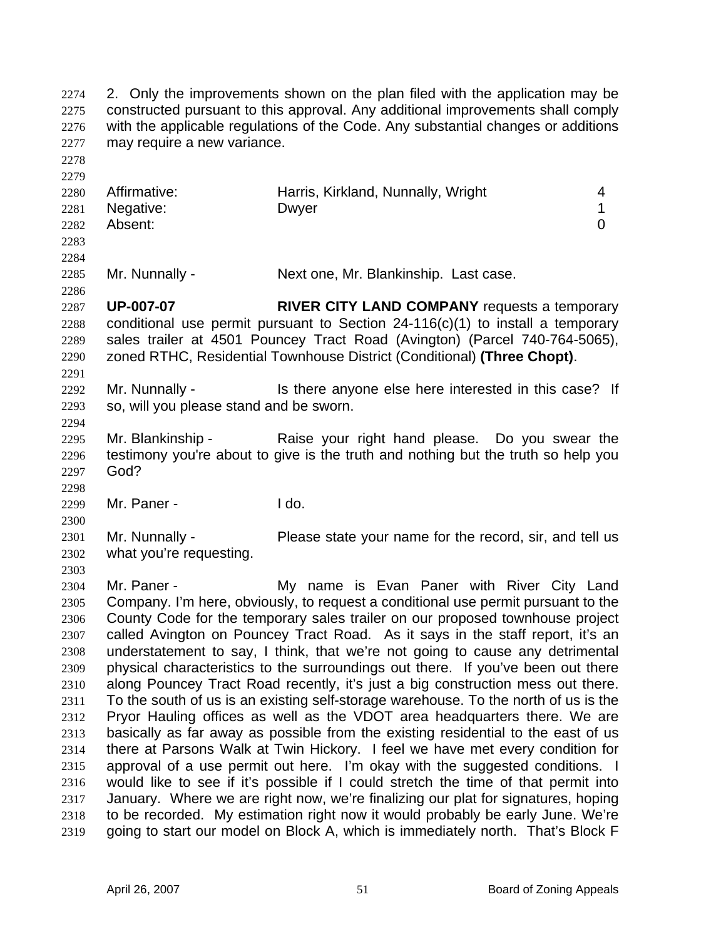2. Only the improvements shown on the plan filed with the application may be constructed pursuant to this approval. Any additional improvements shall comply with the applicable regulations of the Code. Any substantial changes or additions may require a new variance. 2274 2275 2276 2277 2278 2279 2280 2281 2282 2283 2284 2285 2286 2287 2288 2289 2290 2291 2292 2293 2294 2295 2296 2297 2298 2299 2300 2301 2302 2303 2304 2305 2306 2307 2308 2309 2310 2311 2312 2313 2314 2315 2316 2317 2318 2319 Affirmative: **Harris, Kirkland, Nunnally, Wright** 4 Negative: Dwyer 2008 Dwyer 2009 1 Absent: 0 Mr. Nunnally - Next one, Mr. Blankinship. Last case. **UP-007-07 RIVER CITY LAND COMPANY** requests a temporary conditional use permit pursuant to Section 24-116(c)(1) to install a temporary sales trailer at 4501 Pouncey Tract Road (Avington) (Parcel 740-764-5065), zoned RTHC, Residential Townhouse District (Conditional) **(Three Chopt)**. Mr. Nunnally - Is there anyone else here interested in this case? If so, will you please stand and be sworn. Mr. Blankinship - The Raise your right hand please. Do you swear the testimony you're about to give is the truth and nothing but the truth so help you God? Mr. Paner - I do. Mr. Nunnally - Please state your name for the record, sir, and tell us what you're requesting. Mr. Paner - The My name is Evan Paner with River City Land Company. I'm here, obviously, to request a conditional use permit pursuant to the County Code for the temporary sales trailer on our proposed townhouse project called Avington on Pouncey Tract Road. As it says in the staff report, it's an understatement to say, I think, that we're not going to cause any detrimental physical characteristics to the surroundings out there. If you've been out there along Pouncey Tract Road recently, it's just a big construction mess out there. To the south of us is an existing self-storage warehouse. To the north of us is the Pryor Hauling offices as well as the VDOT area headquarters there. We are basically as far away as possible from the existing residential to the east of us there at Parsons Walk at Twin Hickory. I feel we have met every condition for approval of a use permit out here. I'm okay with the suggested conditions. I would like to see if it's possible if I could stretch the time of that permit into January. Where we are right now, we're finalizing our plat for signatures, hoping to be recorded. My estimation right now it would probably be early June. We're going to start our model on Block A, which is immediately north. That's Block F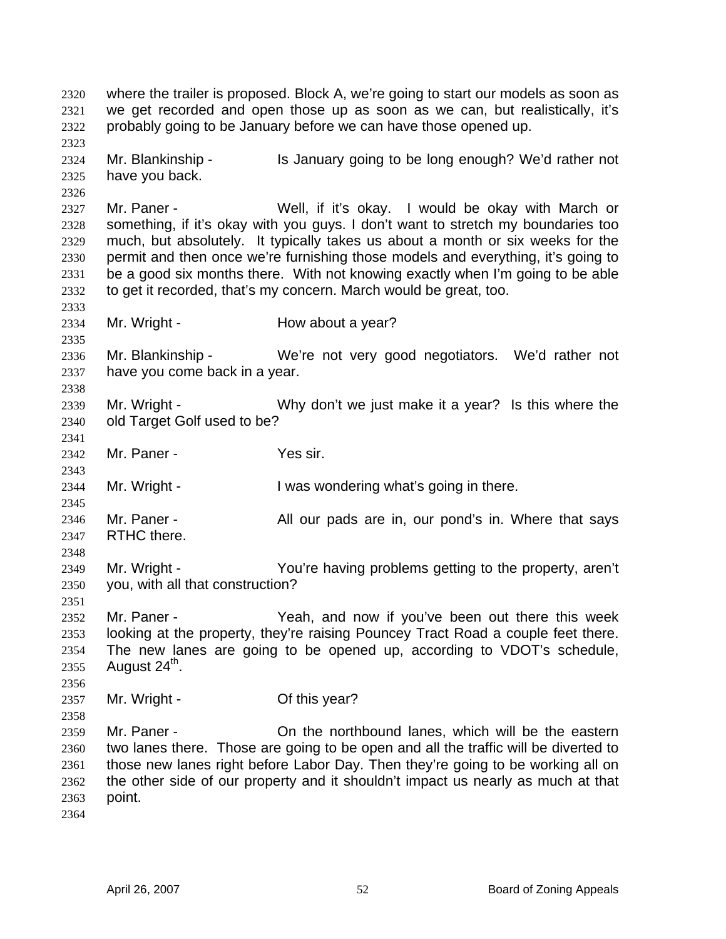where the trailer is proposed. Block A, we're going to start our models as soon as we get recorded and open those up as soon as we can, but realistically, it's probably going to be January before we can have those opened up. 2320 2321 2322 2323 2324 2325 2326 2327 2328 2329 2330 2331 2332 2333 2334 2335 2336 2337 2338 2339 2340 2341 2342 2343 2344 2345 2346 2347 2348 2349 2350 2351 2352 2353 2354 2355 2356 2357 2358 2359 2360 2361 2362 2363 2364 Mr. Blankinship - Is January going to be long enough? We'd rather not have you back. Mr. Paner - **Well, if it's okay.** I would be okay with March or something, if it's okay with you guys. I don't want to stretch my boundaries too much, but absolutely. It typically takes us about a month or six weeks for the permit and then once we're furnishing those models and everything, it's going to be a good six months there. With not knowing exactly when I'm going to be able to get it recorded, that's my concern. March would be great, too. Mr. Wright - The How about a year? Mr. Blankinship - We're not very good negotiators. We'd rather not have you come back in a year. Mr. Wright - Why don't we just make it a year? Is this where the old Target Golf used to be? Mr. Paner - Yes sir. Mr. Wright - I was wondering what's going in there. Mr. Paner - The All our pads are in, our pond's in. Where that says RTHC there. Mr. Wright - The You're having problems getting to the property, aren't you, with all that construction? Mr. Paner - Yeah, and now if you've been out there this week looking at the property, they're raising Pouncey Tract Road a couple feet there. The new lanes are going to be opened up, according to VDOT's schedule, August  $24<sup>th</sup>$ . Mr. Wright - Case Of this year? Mr. Paner - On the northbound lanes, which will be the eastern two lanes there. Those are going to be open and all the traffic will be diverted to those new lanes right before Labor Day. Then they're going to be working all on the other side of our property and it shouldn't impact us nearly as much at that point.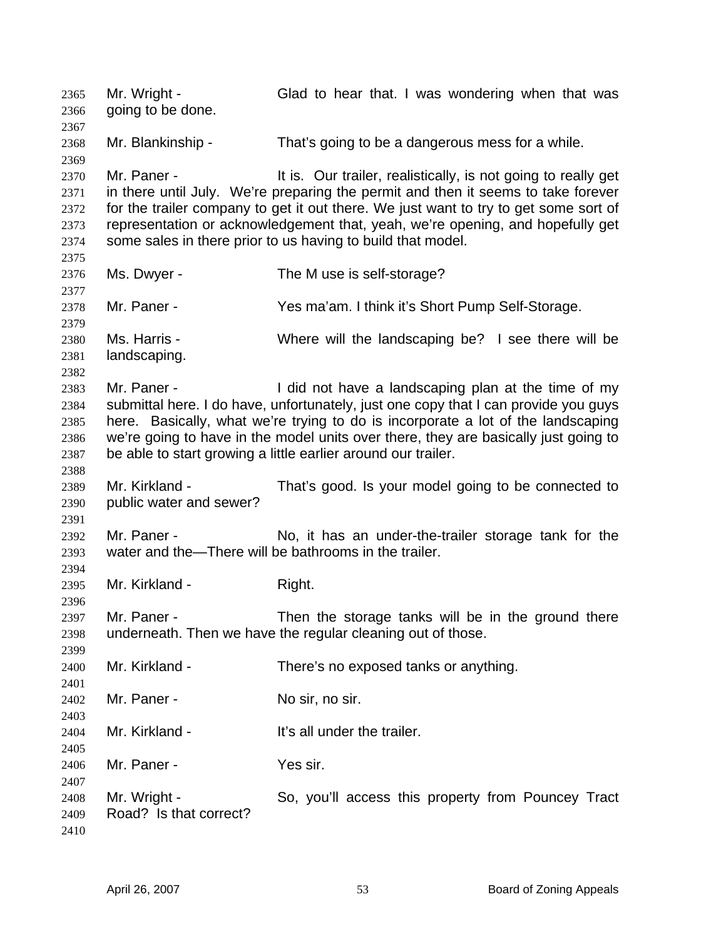Mr. Wright - Glad to hear that. I was wondering when that was going to be done. 2365 2366 2367 2368 2369 2370 2371 2372 2373 2374 2375 2376 2377 2378 2379 2380 2381 2382 2383 2384 2385 2386 2387 2388 2389 2390 2391 2392 2393 2394 2395 2396 2397 2398 2399 2400 2401 2402 2403 2404 2405 2406 2407 2408 2409 2410 Mr. Blankinship - That's going to be a dangerous mess for a while. Mr. Paner - It is. Our trailer, realistically, is not going to really get in there until July. We're preparing the permit and then it seems to take forever for the trailer company to get it out there. We just want to try to get some sort of representation or acknowledgement that, yeah, we're opening, and hopefully get some sales in there prior to us having to build that model. Ms. Dwyer - The M use is self-storage? Mr. Paner - The Yes ma'am. I think it's Short Pump Self-Storage. Ms. Harris - Where will the landscaping be? I see there will be landscaping. Mr. Paner - I did not have a landscaping plan at the time of my submittal here. I do have, unfortunately, just one copy that I can provide you guys here. Basically, what we're trying to do is incorporate a lot of the landscaping we're going to have in the model units over there, they are basically just going to be able to start growing a little earlier around our trailer. Mr. Kirkland - That's good. Is your model going to be connected to public water and sewer? Mr. Paner - No, it has an under-the-trailer storage tank for the water and the—There will be bathrooms in the trailer. Mr. Kirkland - Right. Mr. Paner - Then the storage tanks will be in the ground there underneath. Then we have the regular cleaning out of those. Mr. Kirkland - There's no exposed tanks or anything. Mr. Paner - No sir, no sir. Mr. Kirkland - The It's all under the trailer. Mr. Paner - Yes sir. Mr. Wright - So, you'll access this property from Pouncey Tract Road? Is that correct?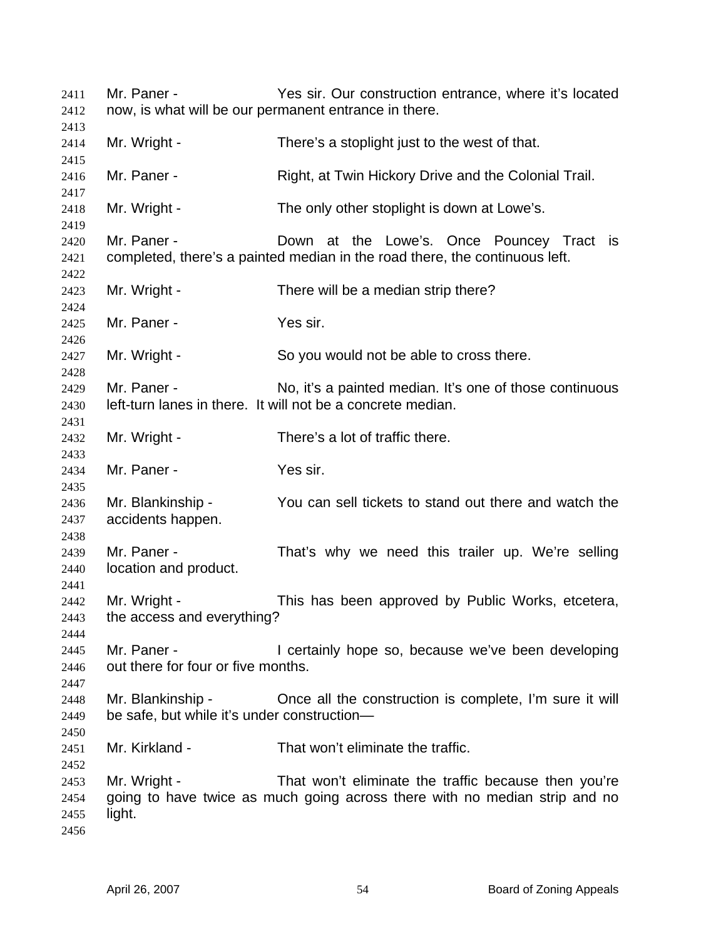Mr. Paner - Yes sir. Our construction entrance, where it's located now, is what will be our permanent entrance in there. Mr. Wright - There's a stoplight just to the west of that. Mr. Paner - Right, at Twin Hickory Drive and the Colonial Trail. Mr. Wright - The only other stoplight is down at Lowe's. Mr. Paner - The Down at the Lowe's. Once Pouncey Tract is completed, there's a painted median in the road there, the continuous left. Mr. Wright - There will be a median strip there? Mr. Paner - Yes sir. Mr. Wright - So you would not be able to cross there. Mr. Paner - No, it's a painted median. It's one of those continuous left-turn lanes in there. It will not be a concrete median. Mr. Wright - There's a lot of traffic there. Mr. Paner - Yes sir. Mr. Blankinship - You can sell tickets to stand out there and watch the accidents happen. Mr. Paner - That's why we need this trailer up. We're selling location and product. Mr. Wright - This has been approved by Public Works, etcetera, the access and everything? Mr. Paner - The Containly hope so, because we've been developing out there for four or five months. Mr. Blankinship - Chice all the construction is complete, I'm sure it will be safe, but while it's under construction— Mr. Kirkland - That won't eliminate the traffic. Mr. Wright - That won't eliminate the traffic because then you're going to have twice as much going across there with no median strip and no light.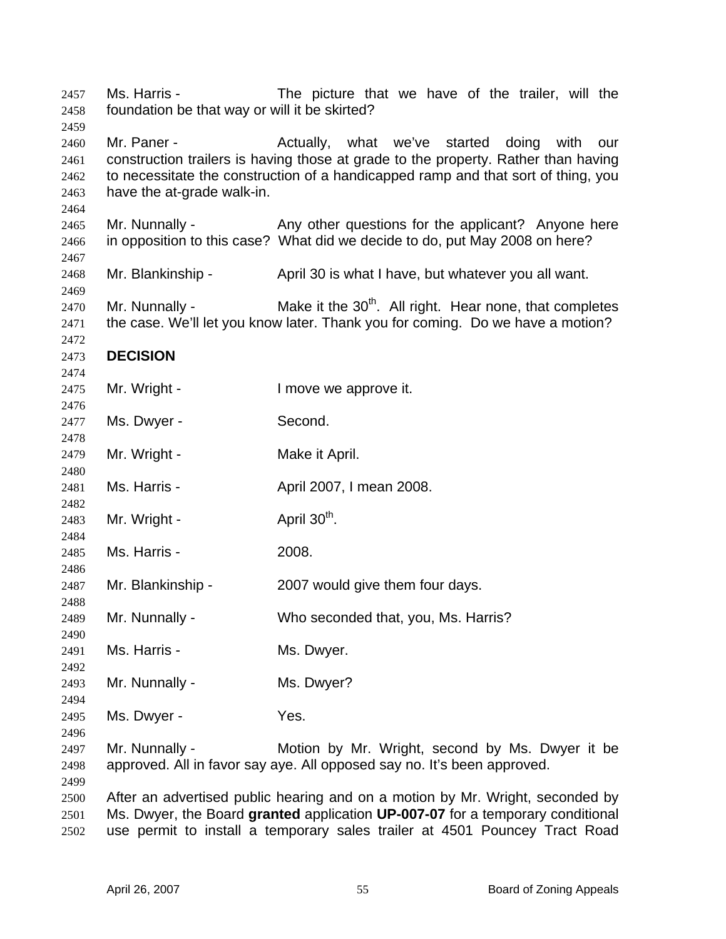Ms. Harris - The picture that we have of the trailer, will the foundation be that way or will it be skirted? Mr. Paner - The Actually, what we've started doing with our construction trailers is having those at grade to the property. Rather than having to necessitate the construction of a handicapped ramp and that sort of thing, you have the at-grade walk-in. Mr. Nunnally - Any other questions for the applicant? Anyone here in opposition to this case? What did we decide to do, put May 2008 on here? Mr. Blankinship - April 30 is what I have, but whatever you all want. Mr. Nunnally -  $\blacksquare$  Make it the 30<sup>th</sup>. All right. Hear none, that completes the case. We'll let you know later. Thank you for coming. Do we have a motion? **DECISION**  Mr. Wright - The Music Contract is a lower we approve it. Ms. Dwyer - Second. Mr. Wright - Make it April. Ms. Harris - April 2007, I mean 2008. Mr. Wright -  $\qquad \qquad$  April 30<sup>th</sup>. Ms. Harris - 2008. Mr. Blankinship - 2007 would give them four days. Mr. Nunnally - Who seconded that, you, Ms. Harris? Ms. Harris - Ms. Dwyer. Mr. Nunnally - Ms. Dwyer? Ms. Dwyer - Yes. Mr. Nunnally - Motion by Mr. Wright, second by Ms. Dwyer it be approved. All in favor say aye. All opposed say no. It's been approved. After an advertised public hearing and on a motion by Mr. Wright, seconded by Ms. Dwyer, the Board **granted** application **UP-007-07** for a temporary conditional use permit to install a temporary sales trailer at 4501 Pouncey Tract Road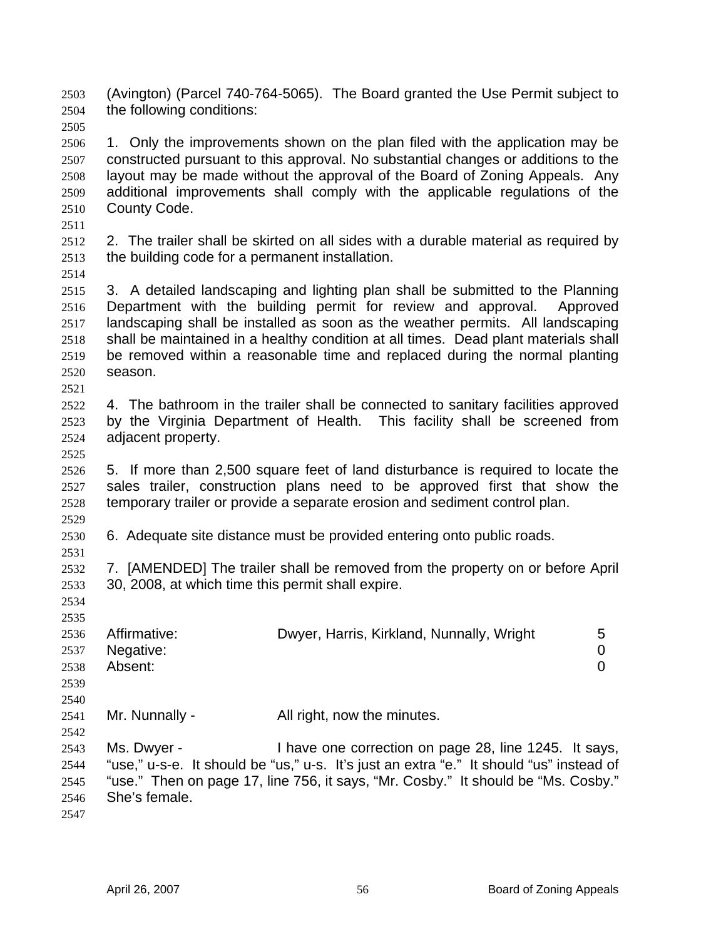(Avington) (Parcel 740-764-5065). The Board granted the Use Permit subject to the following conditions: 2503 2504

2505

2506 2507 2508 2509 2510 1. Only the improvements shown on the plan filed with the application may be constructed pursuant to this approval. No substantial changes or additions to the layout may be made without the approval of the Board of Zoning Appeals. Any additional improvements shall comply with the applicable regulations of the County Code.

2511

2512 2513 2. The trailer shall be skirted on all sides with a durable material as required by the building code for a permanent installation.

2514

2515 2516 2517 2518 2519 2520 3. A detailed landscaping and lighting plan shall be submitted to the Planning Department with the building permit for review and approval. Approved landscaping shall be installed as soon as the weather permits. All landscaping shall be maintained in a healthy condition at all times. Dead plant materials shall be removed within a reasonable time and replaced during the normal planting season.

2522 2523 2524 4. The bathroom in the trailer shall be connected to sanitary facilities approved by the Virginia Department of Health. This facility shall be screened from adjacent property.

2525

2531

2534 2535

2521

2526 2527 2528 2529 5. If more than 2,500 square feet of land disturbance is required to locate the sales trailer, construction plans need to be approved first that show the temporary trailer or provide a separate erosion and sediment control plan.

2530 6. Adequate site distance must be provided entering onto public roads.

2532 2533 7. [AMENDED] The trailer shall be removed from the property on or before April 30, 2008, at which time this permit shall expire.

| 2999 |                |                                                                                         |                |
|------|----------------|-----------------------------------------------------------------------------------------|----------------|
| 2536 | Affirmative:   | Dwyer, Harris, Kirkland, Nunnally, Wright                                               | 5              |
| 2537 | Negative:      |                                                                                         | 0              |
| 2538 | Absent:        |                                                                                         | $\overline{0}$ |
| 2539 |                |                                                                                         |                |
| 2540 |                |                                                                                         |                |
| 2541 | Mr. Nunnally - | All right, now the minutes.                                                             |                |
| 2542 |                |                                                                                         |                |
| 2543 | Ms. Dwyer -    | I have one correction on page 28, line 1245. It says,                                   |                |
| 2544 |                | "use," u-s-e. It should be "us," u-s. It's just an extra "e." It should "us" instead of |                |
| 2545 |                | "use." Then on page 17, line 756, it says, "Mr. Cosby." It should be "Ms. Cosby."       |                |
| 2546 | She's female.  |                                                                                         |                |
|      |                |                                                                                         |                |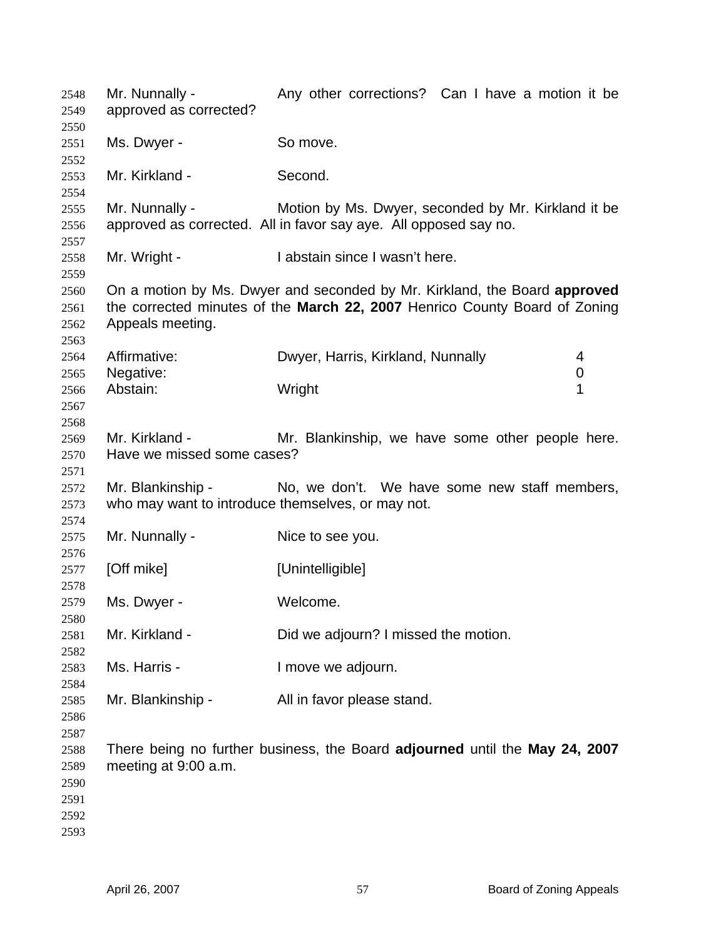| 2548<br>2549<br>2550                         | Mr. Nunnally -<br>approved as corrected?                               | Any other corrections? Can I have a motion it be                                                                                                        |   |
|----------------------------------------------|------------------------------------------------------------------------|---------------------------------------------------------------------------------------------------------------------------------------------------------|---|
| 2551<br>2552                                 | Ms. Dwyer -                                                            | So move.                                                                                                                                                |   |
| 2553<br>2554                                 | Mr. Kirkland -                                                         | Second.                                                                                                                                                 |   |
| 2555<br>2556<br>2557                         | Mr. Nunnally -                                                         | Motion by Ms. Dwyer, seconded by Mr. Kirkland it be<br>approved as corrected. All in favor say aye. All opposed say no.                                 |   |
| 2558<br>2559                                 | Mr. Wright -                                                           | I abstain since I wasn't here.                                                                                                                          |   |
| 2560<br>2561<br>2562<br>2563                 | Appeals meeting.                                                       | On a motion by Ms. Dwyer and seconded by Mr. Kirkland, the Board approved<br>the corrected minutes of the March 22, 2007 Henrico County Board of Zoning |   |
| 2564                                         | Affirmative:                                                           | Dwyer, Harris, Kirkland, Nunnally                                                                                                                       | 4 |
| 2565                                         | Negative:                                                              |                                                                                                                                                         | 0 |
| 2566<br>2567<br>2568                         | Abstain:                                                               | Wright                                                                                                                                                  | 1 |
| 2569                                         | Mr. Kirkland -                                                         | Mr. Blankinship, we have some other people here.                                                                                                        |   |
| 2570<br>2571                                 | Have we missed some cases?                                             |                                                                                                                                                         |   |
| 2572<br>2573                                 | Mr. Blankinship -<br>who may want to introduce themselves, or may not. | No, we don't. We have some new staff members,                                                                                                           |   |
| 2574<br>2575<br>2576                         | Mr. Nunnally -                                                         | Nice to see you.                                                                                                                                        |   |
| 2577<br>2578                                 | [Off mike]                                                             | [Unintelligible]                                                                                                                                        |   |
| 2579<br>2580                                 | Ms. Dwyer -                                                            | Welcome.                                                                                                                                                |   |
| 2581<br>2582                                 | Mr. Kirkland -                                                         | Did we adjourn? I missed the motion.                                                                                                                    |   |
| 2583<br>2584                                 | Ms. Harris -                                                           | I move we adjourn.                                                                                                                                      |   |
| 2585<br>2586<br>2587                         | Mr. Blankinship -                                                      | All in favor please stand.                                                                                                                              |   |
| 2588<br>2589<br>2590<br>2591<br>2592<br>2593 | meeting at 9:00 a.m.                                                   | There being no further business, the Board adjourned until the May 24, 2007                                                                             |   |